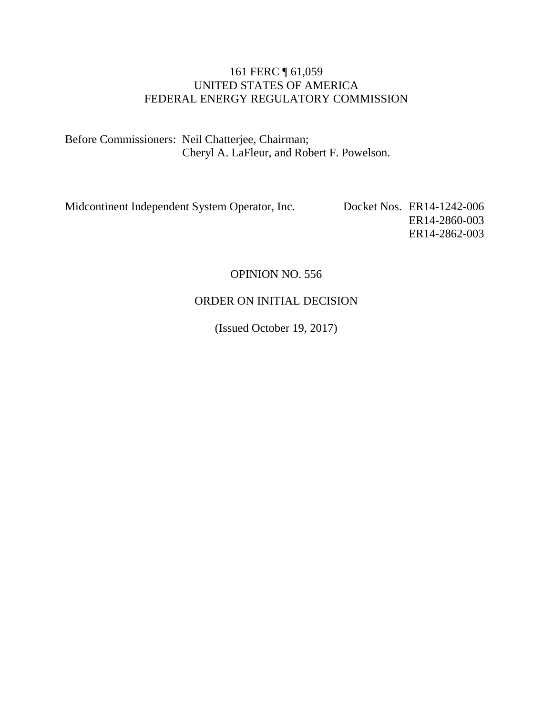#### 161 FERC ¶ 61,059 UNITED STATES OF AMERICA FEDERAL ENERGY REGULATORY COMMISSION

Before Commissioners: Neil Chatterjee, Chairman; Cheryl A. LaFleur, and Robert F. Powelson.

Midcontinent Independent System Operator, Inc. Docket Nos. ER14-1242-006

ER14-2860-003 ER14-2862-003

#### OPINION NO. 556

#### ORDER ON INITIAL DECISION

(Issued October 19, 2017)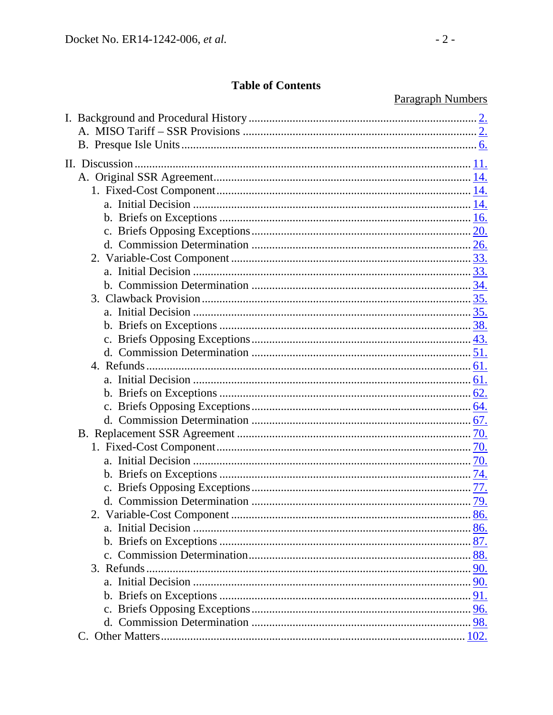# **Table of Contents**

# **Paragraph Numbers**

| 2. Variable-Cost Component. |  |
|-----------------------------|--|
|                             |  |
|                             |  |
|                             |  |
|                             |  |
|                             |  |
|                             |  |
|                             |  |
|                             |  |
|                             |  |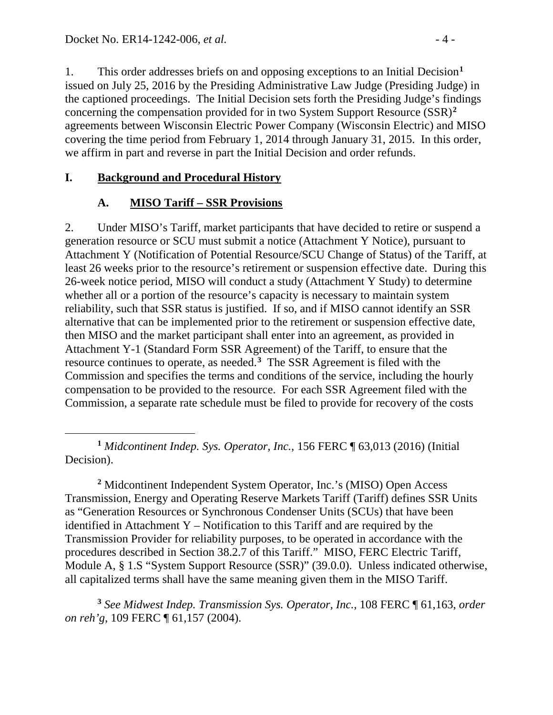1. This order addresses briefs on and opposing exceptions to an Initial Decision**[1](#page-3-2)** issued on July 25, 2016 by the Presiding Administrative Law Judge (Presiding Judge) in the captioned proceedings. The Initial Decision sets forth the Presiding Judge's findings concerning the compensation provided for in two System Support Resource (SSR)**[2](#page-3-3)** agreements between Wisconsin Electric Power Company (Wisconsin Electric) and MISO covering the time period from February 1, 2014 through January 31, 2015. In this order, we affirm in part and reverse in part the Initial Decision and order refunds.

### **I. Background and Procedural History**

### <span id="page-3-1"></span><span id="page-3-0"></span>**A. MISO Tariff – SSR Provisions**

2. Under MISO's Tariff, market participants that have decided to retire or suspend a generation resource or SCU must submit a notice (Attachment Y Notice), pursuant to Attachment Y (Notification of Potential Resource/SCU Change of Status) of the Tariff, at least 26 weeks prior to the resource's retirement or suspension effective date. During this 26-week notice period, MISO will conduct a study (Attachment Y Study) to determine whether all or a portion of the resource's capacity is necessary to maintain system reliability, such that SSR status is justified. If so, and if MISO cannot identify an SSR alternative that can be implemented prior to the retirement or suspension effective date, then MISO and the market participant shall enter into an agreement, as provided in Attachment Y-1 (Standard Form SSR Agreement) of the Tariff, to ensure that the resource continues to operate, as needed.**[3](#page-3-4)** The SSR Agreement is filed with the Commission and specifies the terms and conditions of the service, including the hourly compensation to be provided to the resource. For each SSR Agreement filed with the Commission, a separate rate schedule must be filed to provide for recovery of the costs

<span id="page-3-4"></span>**<sup>3</sup>** *See Midwest Indep. Transmission Sys. Operator, Inc.*, 108 FERC ¶ 61,163, *order on reh'g*, 109 FERC ¶ 61,157 (2004).

<span id="page-3-2"></span> $\overline{a}$ **<sup>1</sup>** *Midcontinent Indep. Sys. Operator, Inc.*, 156 FERC ¶ 63,013 (2016) (Initial Decision).

<span id="page-3-3"></span>**<sup>2</sup>** Midcontinent Independent System Operator, Inc.'s (MISO) Open Access Transmission, Energy and Operating Reserve Markets Tariff (Tariff) defines SSR Units as "Generation Resources or Synchronous Condenser Units (SCUs) that have been identified in Attachment Y – Notification to this Tariff and are required by the Transmission Provider for reliability purposes, to be operated in accordance with the procedures described in Section 38.2.7 of this Tariff." MISO, FERC Electric Tariff, Module A, § 1.S "System Support Resource (SSR)" (39.0.0). Unless indicated otherwise, all capitalized terms shall have the same meaning given them in the MISO Tariff.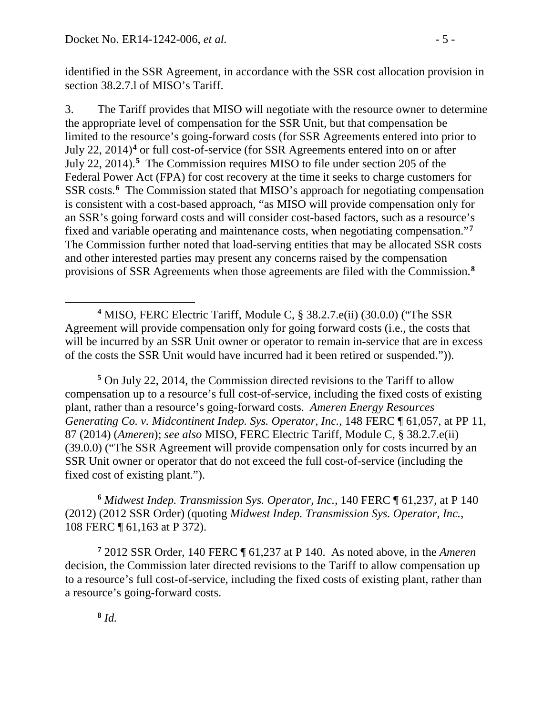identified in the SSR Agreement, in accordance with the SSR cost allocation provision in section 38.2.7.l of MISO's Tariff.

3. The Tariff provides that MISO will negotiate with the resource owner to determine the appropriate level of compensation for the SSR Unit, but that compensation be limited to the resource's going-forward costs (for SSR Agreements entered into prior to July 22, 2014)**[4](#page-4-0)** or full cost-of-service (for SSR Agreements entered into on or after July 22, 2014).**[5](#page-4-1)** The Commission requires MISO to file under section 205 of the Federal Power Act (FPA) for cost recovery at the time it seeks to charge customers for SSR costs.<sup>[6](#page-4-2)</sup> The Commission stated that MISO's approach for negotiating compensation is consistent with a cost-based approach, "as MISO will provide compensation only for an SSR's going forward costs and will consider cost-based factors, such as a resource's fixed and variable operating and maintenance costs, when negotiating compensation."**[7](#page-4-3)** The Commission further noted that load-serving entities that may be allocated SSR costs and other interested parties may present any concerns raised by the compensation provisions of SSR Agreements when those agreements are filed with the Commission.**[8](#page-4-4)**

<span id="page-4-1"></span>**<sup>5</sup>** On July 22, 2014, the Commission directed revisions to the Tariff to allow compensation up to a resource's full cost-of-service, including the fixed costs of existing plant, rather than a resource's going-forward costs. *Ameren Energy Resources Generating Co. v. Midcontinent Indep. Sys. Operator, Inc.*, 148 FERC ¶ 61,057, at PP 11, 87 (2014) (*Ameren*); *see also* MISO, FERC Electric Tariff, Module C, § 38.2.7.e(ii) (39.0.0) ("The SSR Agreement will provide compensation only for costs incurred by an SSR Unit owner or operator that do not exceed the full cost-of-service (including the fixed cost of existing plant.").

<span id="page-4-2"></span>**<sup>6</sup>** *Midwest Indep. Transmission Sys. Operator, Inc.*, 140 FERC ¶ 61,237, at P 140 (2012) (2012 SSR Order) (quoting *Midwest Indep. Transmission Sys. Operator, Inc.*, 108 FERC ¶ 61,163 at P 372).

<span id="page-4-4"></span><span id="page-4-3"></span>**<sup>7</sup>** 2012 SSR Order, 140 FERC ¶ 61,237 at P 140. As noted above, in the *Ameren*  decision, the Commission later directed revisions to the Tariff to allow compensation up to a resource's full cost-of-service, including the fixed costs of existing plant, rather than a resource's going-forward costs.

<span id="page-4-0"></span> $\overline{a}$ **<sup>4</sup>** MISO, FERC Electric Tariff, Module C, § 38.2.7.e(ii) (30.0.0) ("The SSR Agreement will provide compensation only for going forward costs (i.e., the costs that will be incurred by an SSR Unit owner or operator to remain in-service that are in excess of the costs the SSR Unit would have incurred had it been retired or suspended.")).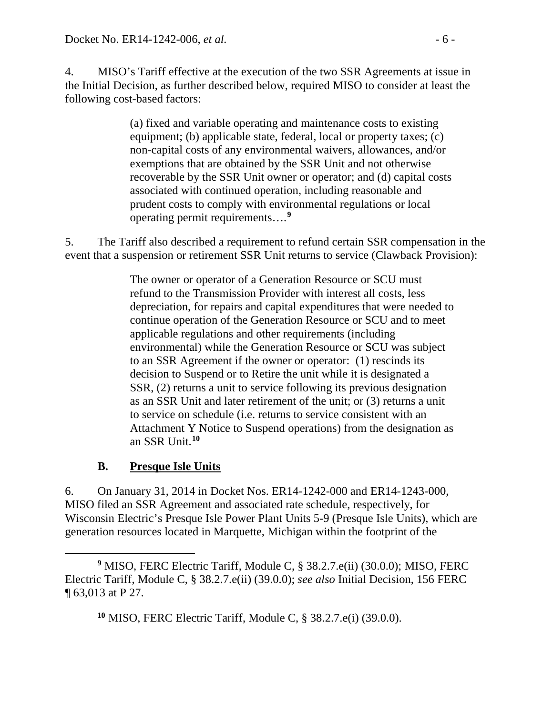4. MISO's Tariff effective at the execution of the two SSR Agreements at issue in the Initial Decision, as further described below, required MISO to consider at least the following cost-based factors:

> (a) fixed and variable operating and maintenance costs to existing equipment; (b) applicable state, federal, local or property taxes; (c) non-capital costs of any environmental waivers, allowances, and/or exemptions that are obtained by the SSR Unit and not otherwise recoverable by the SSR Unit owner or operator; and (d) capital costs associated with continued operation, including reasonable and prudent costs to comply with environmental regulations or local operating permit requirements….**[9](#page-5-1)**

5. The Tariff also described a requirement to refund certain SSR compensation in the event that a suspension or retirement SSR Unit returns to service (Clawback Provision):

> The owner or operator of a Generation Resource or SCU must refund to the Transmission Provider with interest all costs, less depreciation, for repairs and capital expenditures that were needed to continue operation of the Generation Resource or SCU and to meet applicable regulations and other requirements (including environmental) while the Generation Resource or SCU was subject to an SSR Agreement if the owner or operator: (1) rescinds its decision to Suspend or to Retire the unit while it is designated a SSR, (2) returns a unit to service following its previous designation as an SSR Unit and later retirement of the unit; or (3) returns a unit to service on schedule (i.e. returns to service consistent with an Attachment Y Notice to Suspend operations) from the designation as an SSR Unit.**[10](#page-5-2)**

## <span id="page-5-0"></span>**B. Presque Isle Units**

6. On January 31, 2014 in Docket Nos. ER14-1242-000 and ER14-1243-000, MISO filed an SSR Agreement and associated rate schedule, respectively, for Wisconsin Electric's Presque Isle Power Plant Units 5-9 (Presque Isle Units), which are generation resources located in Marquette, Michigan within the footprint of the

**<sup>10</sup>** MISO, FERC Electric Tariff, Module C, § 38.2.7.e(i) (39.0.0).

<span id="page-5-2"></span><span id="page-5-1"></span> $\overline{a}$ **<sup>9</sup>** MISO, FERC Electric Tariff, Module C, § 38.2.7.e(ii) (30.0.0); MISO, FERC Electric Tariff, Module C, § 38.2.7.e(ii) (39.0.0); *see also* Initial Decision, 156 FERC ¶ 63,013 at P 27.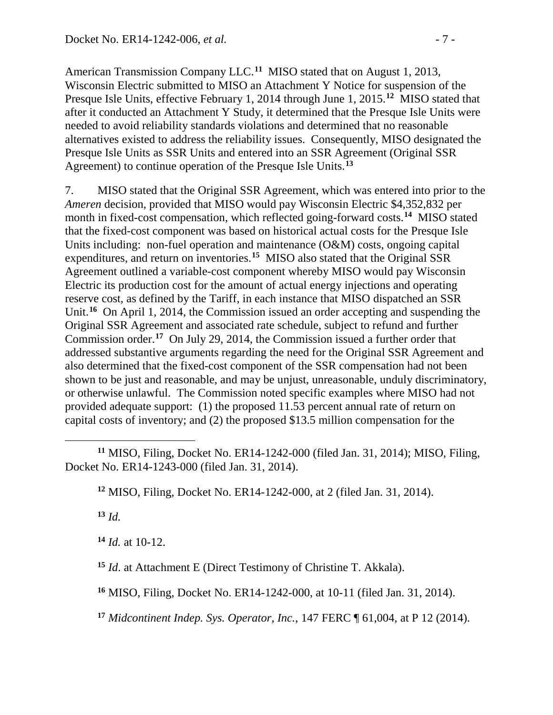American Transmission Company LLC.**[11](#page-6-0)** MISO stated that on August 1, 2013, Wisconsin Electric submitted to MISO an Attachment Y Notice for suspension of the Presque Isle Units, effective February 1, 2014 through June 1, 2015.**[12](#page-6-1)** MISO stated that after it conducted an Attachment Y Study, it determined that the Presque Isle Units were needed to avoid reliability standards violations and determined that no reasonable alternatives existed to address the reliability issues. Consequently, MISO designated the Presque Isle Units as SSR Units and entered into an SSR Agreement (Original SSR Agreement) to continue operation of the Presque Isle Units.**[13](#page-6-2)**

7. MISO stated that the Original SSR Agreement, which was entered into prior to the *Ameren* decision, provided that MISO would pay Wisconsin Electric \$4,352,832 per month in fixed-cost compensation, which reflected going-forward costs.**[14](#page-6-3)** MISO stated that the fixed-cost component was based on historical actual costs for the Presque Isle Units including: non-fuel operation and maintenance (O&M) costs, ongoing capital expenditures, and return on inventories.**[15](#page-6-4)** MISO also stated that the Original SSR Agreement outlined a variable-cost component whereby MISO would pay Wisconsin Electric its production cost for the amount of actual energy injections and operating reserve cost, as defined by the Tariff, in each instance that MISO dispatched an SSR Unit.**[16](#page-6-5)** On April 1, 2014, the Commission issued an order accepting and suspending the Original SSR Agreement and associated rate schedule, subject to refund and further Commission order.**[17](#page-6-6)** On July 29, 2014, the Commission issued a further order that addressed substantive arguments regarding the need for the Original SSR Agreement and also determined that the fixed-cost component of the SSR compensation had not been shown to be just and reasonable, and may be unjust, unreasonable, unduly discriminatory, or otherwise unlawful. The Commission noted specific examples where MISO had not provided adequate support: (1) the proposed 11.53 percent annual rate of return on capital costs of inventory; and (2) the proposed \$13.5 million compensation for the

<span id="page-6-2"></span>**<sup>13</sup>** *Id.*

<span id="page-6-3"></span>**<sup>14</sup>** *Id.* at 10-12.

<span id="page-6-6"></span>**<sup>17</sup>** *Midcontinent Indep. Sys. Operator, Inc.*, 147 FERC ¶ 61,004, at P 12 (2014).

<span id="page-6-1"></span><span id="page-6-0"></span> $\overline{a}$ **<sup>11</sup>** MISO, Filing, Docket No. ER14-1242-000 (filed Jan. 31, 2014); MISO, Filing, Docket No. ER14-1243-000 (filed Jan. 31, 2014).

**<sup>12</sup>** MISO, Filing, Docket No. ER14-1242-000, at 2 (filed Jan. 31, 2014).

<span id="page-6-4"></span>**<sup>15</sup>** *Id*. at Attachment E (Direct Testimony of Christine T. Akkala).

<span id="page-6-5"></span>**<sup>16</sup>** MISO, Filing, Docket No. ER14-1242-000, at 10-11 (filed Jan. 31, 2014).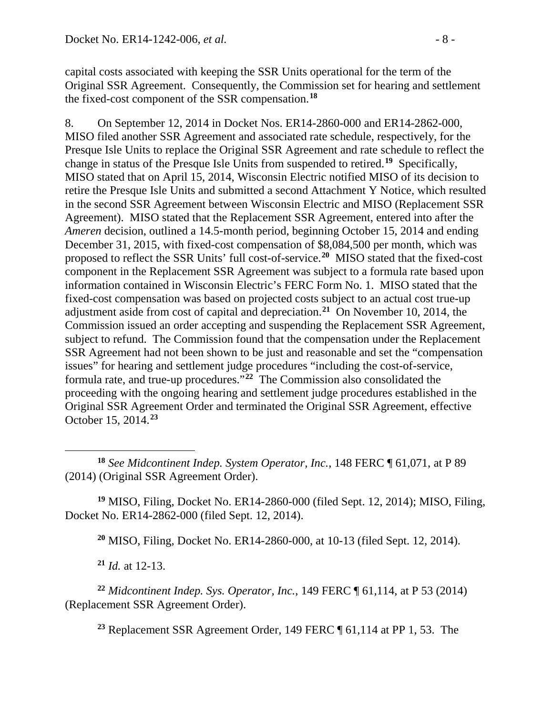capital costs associated with keeping the SSR Units operational for the term of the Original SSR Agreement. Consequently, the Commission set for hearing and settlement the fixed-cost component of the SSR compensation.**[18](#page-7-0)**

8. On September 12, 2014 in Docket Nos. ER14-2860-000 and ER14-2862-000, MISO filed another SSR Agreement and associated rate schedule, respectively, for the Presque Isle Units to replace the Original SSR Agreement and rate schedule to reflect the change in status of the Presque Isle Units from suspended to retired.**[19](#page-7-1)** Specifically, MISO stated that on April 15, 2014, Wisconsin Electric notified MISO of its decision to retire the Presque Isle Units and submitted a second Attachment Y Notice, which resulted in the second SSR Agreement between Wisconsin Electric and MISO (Replacement SSR Agreement). MISO stated that the Replacement SSR Agreement, entered into after the *Ameren* decision, outlined a 14.5-month period, beginning October 15, 2014 and ending December 31, 2015, with fixed-cost compensation of \$8,084,500 per month, which was proposed to reflect the SSR Units' full cost-of-service.**[20](#page-7-2)** MISO stated that the fixed-cost component in the Replacement SSR Agreement was subject to a formula rate based upon information contained in Wisconsin Electric's FERC Form No. 1. MISO stated that the fixed-cost compensation was based on projected costs subject to an actual cost true-up adjustment aside from cost of capital and depreciation.**[21](#page-7-3)** On November 10, 2014, the Commission issued an order accepting and suspending the Replacement SSR Agreement, subject to refund. The Commission found that the compensation under the Replacement SSR Agreement had not been shown to be just and reasonable and set the "compensation issues" for hearing and settlement judge procedures "including the cost-of-service, formula rate, and true-up procedures."**[22](#page-7-4)** The Commission also consolidated the proceeding with the ongoing hearing and settlement judge procedures established in the Original SSR Agreement Order and terminated the Original SSR Agreement, effective October 15, 2014. **[23](#page-7-5)**

<span id="page-7-2"></span><span id="page-7-1"></span>**<sup>19</sup>** MISO, Filing, Docket No. ER14-2860-000 (filed Sept. 12, 2014); MISO, Filing, Docket No. ER14-2862-000 (filed Sept. 12, 2014).

**<sup>20</sup>** MISO, Filing, Docket No. ER14-2860-000, at 10-13 (filed Sept. 12, 2014).

**<sup>21</sup>** *Id.* at 12-13.

 $\overline{a}$ 

<span id="page-7-5"></span><span id="page-7-4"></span><span id="page-7-3"></span>**<sup>22</sup>** *Midcontinent Indep. Sys. Operator, Inc.*, 149 FERC ¶ 61,114, at P 53 (2014) (Replacement SSR Agreement Order).

**<sup>23</sup>** Replacement SSR Agreement Order, 149 FERC ¶ 61,114 at PP 1, 53. The

<span id="page-7-0"></span>**<sup>18</sup>** *See Midcontinent Indep. System Operator, Inc.*, 148 FERC ¶ 61,071, at P 89 (2014) (Original SSR Agreement Order).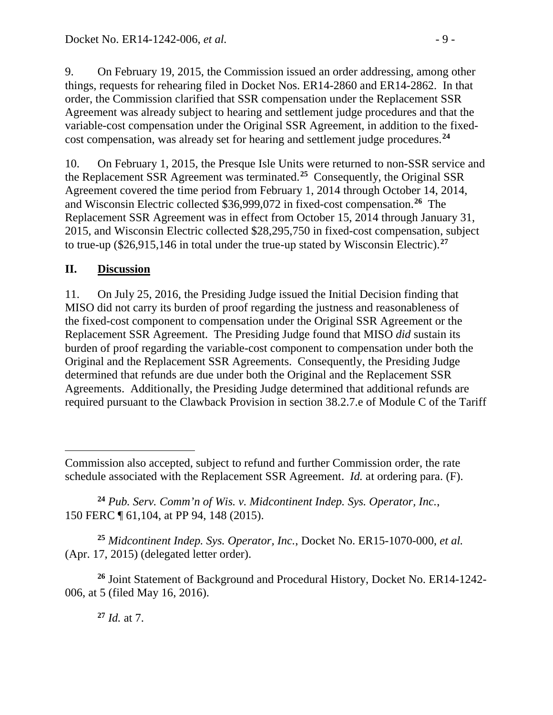9. On February 19, 2015, the Commission issued an order addressing, among other things, requests for rehearing filed in Docket Nos. ER14-2860 and ER14-2862. In that order, the Commission clarified that SSR compensation under the Replacement SSR Agreement was already subject to hearing and settlement judge procedures and that the variable-cost compensation under the Original SSR Agreement, in addition to the fixedcost compensation, was already set for hearing and settlement judge procedures.**[24](#page-8-1)**

10. On February 1, 2015, the Presque Isle Units were returned to non-SSR service and the Replacement SSR Agreement was terminated.**[25](#page-8-2)** Consequently, the Original SSR Agreement covered the time period from February 1, 2014 through October 14, 2014, and Wisconsin Electric collected \$36,999,072 in fixed-cost compensation.**[26](#page-8-3)** The Replacement SSR Agreement was in effect from October 15, 2014 through January 31, 2015, and Wisconsin Electric collected \$28,295,750 in fixed-cost compensation, subject to true-up (\$26,915,146 in total under the true-up stated by Wisconsin Electric).**[27](#page-8-4)**

### <span id="page-8-0"></span>**II. Discussion**

 $\overline{a}$ 

11. On July 25, 2016, the Presiding Judge issued the Initial Decision finding that MISO did not carry its burden of proof regarding the justness and reasonableness of the fixed-cost component to compensation under the Original SSR Agreement or the Replacement SSR Agreement. The Presiding Judge found that MISO *did* sustain its burden of proof regarding the variable-cost component to compensation under both the Original and the Replacement SSR Agreements. Consequently, the Presiding Judge determined that refunds are due under both the Original and the Replacement SSR Agreements. Additionally, the Presiding Judge determined that additional refunds are required pursuant to the Clawback Provision in section 38.2.7.e of Module C of the Tariff

<span id="page-8-2"></span>**<sup>25</sup>** *Midcontinent Indep. Sys. Operator, Inc.*, Docket No. ER15-1070-000, *et al.* (Apr. 17, 2015) (delegated letter order).

<span id="page-8-4"></span><span id="page-8-3"></span>**<sup>26</sup>** Joint Statement of Background and Procedural History, Docket No. ER14-1242- 006, at 5 (filed May 16, 2016).

**<sup>27</sup>** *Id.* at 7.

Commission also accepted, subject to refund and further Commission order, the rate schedule associated with the Replacement SSR Agreement. *Id.* at ordering para. (F).

<span id="page-8-1"></span>**<sup>24</sup>** *Pub. Serv. Comm'n of Wis. v. Midcontinent Indep. Sys. Operator, Inc.*, 150 FERC ¶ 61,104, at PP 94, 148 (2015).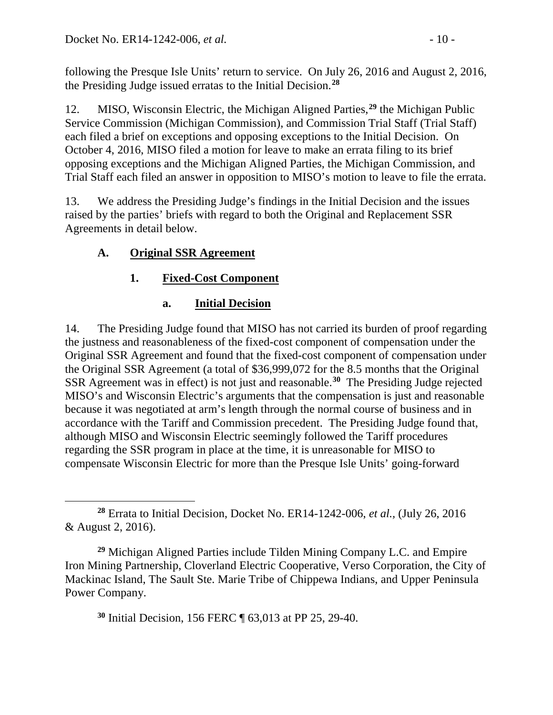following the Presque Isle Units' return to service. On July 26, 2016 and August 2, 2016, the Presiding Judge issued erratas to the Initial Decision.**[28](#page-9-3)**

12. MISO, Wisconsin Electric, the Michigan Aligned Parties, **[29](#page-9-4)** the Michigan Public Service Commission (Michigan Commission), and Commission Trial Staff (Trial Staff) each filed a brief on exceptions and opposing exceptions to the Initial Decision. On October 4, 2016, MISO filed a motion for leave to make an errata filing to its brief opposing exceptions and the Michigan Aligned Parties, the Michigan Commission, and Trial Staff each filed an answer in opposition to MISO's motion to leave to file the errata.

13. We address the Presiding Judge's findings in the Initial Decision and the issues raised by the parties' briefs with regard to both the Original and Replacement SSR Agreements in detail below.

# **A. Original SSR Agreement**

## **1. Fixed-Cost Component**

## <span id="page-9-2"></span><span id="page-9-1"></span><span id="page-9-0"></span>**a. Initial Decision**

14. The Presiding Judge found that MISO has not carried its burden of proof regarding the justness and reasonableness of the fixed-cost component of compensation under the Original SSR Agreement and found that the fixed-cost component of compensation under the Original SSR Agreement (a total of \$36,999,072 for the 8.5 months that the Original SSR Agreement was in effect) is not just and reasonable.**[30](#page-9-5)** The Presiding Judge rejected MISO's and Wisconsin Electric's arguments that the compensation is just and reasonable because it was negotiated at arm's length through the normal course of business and in accordance with the Tariff and Commission precedent. The Presiding Judge found that, although MISO and Wisconsin Electric seemingly followed the Tariff procedures regarding the SSR program in place at the time, it is unreasonable for MISO to compensate Wisconsin Electric for more than the Presque Isle Units' going-forward

**<sup>30</sup>** Initial Decision, 156 FERC ¶ 63,013 at PP 25, 29-40.

<span id="page-9-3"></span> $\overline{a}$ **<sup>28</sup>** Errata to Initial Decision, Docket No. ER14-1242-006, *et al.,* (July 26, 2016 & August 2, 2016).

<span id="page-9-5"></span><span id="page-9-4"></span>**<sup>29</sup>** Michigan Aligned Parties include Tilden Mining Company L.C. and Empire Iron Mining Partnership, Cloverland Electric Cooperative, Verso Corporation, the City of Mackinac Island, The Sault Ste. Marie Tribe of Chippewa Indians, and Upper Peninsula Power Company.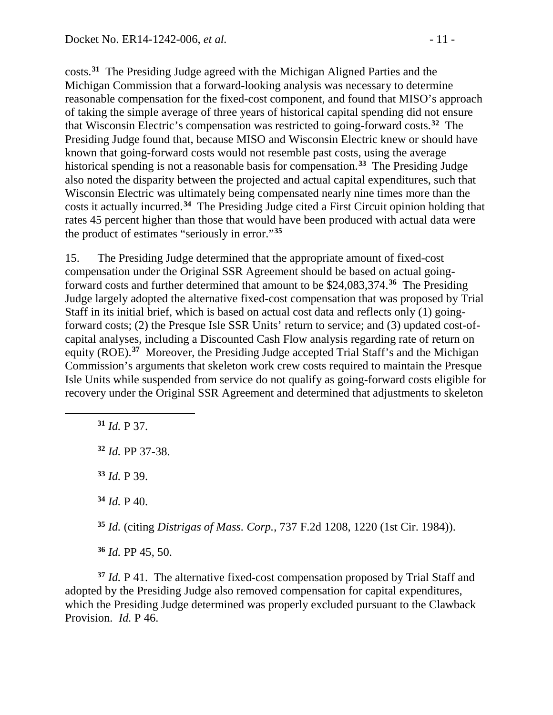costs.**[31](#page-10-0)** The Presiding Judge agreed with the Michigan Aligned Parties and the Michigan Commission that a forward-looking analysis was necessary to determine reasonable compensation for the fixed-cost component, and found that MISO's approach of taking the simple average of three years of historical capital spending did not ensure that Wisconsin Electric's compensation was restricted to going-forward costs.**[32](#page-10-1)** The Presiding Judge found that, because MISO and Wisconsin Electric knew or should have known that going-forward costs would not resemble past costs, using the average historical spending is not a reasonable basis for compensation.**[33](#page-10-2)** The Presiding Judge also noted the disparity between the projected and actual capital expenditures, such that Wisconsin Electric was ultimately being compensated nearly nine times more than the costs it actually incurred.**[34](#page-10-3)** The Presiding Judge cited a First Circuit opinion holding that rates 45 percent higher than those that would have been produced with actual data were the product of estimates "seriously in error."**[35](#page-10-4)**

15. The Presiding Judge determined that the appropriate amount of fixed-cost compensation under the Original SSR Agreement should be based on actual goingforward costs and further determined that amount to be \$24,083,374.**[36](#page-10-5)** The Presiding Judge largely adopted the alternative fixed-cost compensation that was proposed by Trial Staff in its initial brief, which is based on actual cost data and reflects only (1) goingforward costs; (2) the Presque Isle SSR Units' return to service; and (3) updated cost-ofcapital analyses, including a Discounted Cash Flow analysis regarding rate of return on equity (ROE).**[37](#page-10-6)** Moreover, the Presiding Judge accepted Trial Staff's and the Michigan Commission's arguments that skeleton work crew costs required to maintain the Presque Isle Units while suspended from service do not qualify as going-forward costs eligible for recovery under the Original SSR Agreement and determined that adjustments to skeleton

 *Id.* P 37. *Id.* PP 37-38. *Id.* P 39. *Id.* P 40. *Id.* (citing *Distrigas of Mass. Corp.*, 737 F.2d 1208, 1220 (1st Cir. 1984)). *Id.* PP 45, 50.

<span id="page-10-2"></span><span id="page-10-1"></span><span id="page-10-0"></span> $\overline{a}$ 

<span id="page-10-6"></span><span id="page-10-5"></span><span id="page-10-4"></span><span id="page-10-3"></span>**<sup>37</sup>** *Id.* P 41. The alternative fixed-cost compensation proposed by Trial Staff and adopted by the Presiding Judge also removed compensation for capital expenditures, which the Presiding Judge determined was properly excluded pursuant to the Clawback Provision. *Id.* P 46.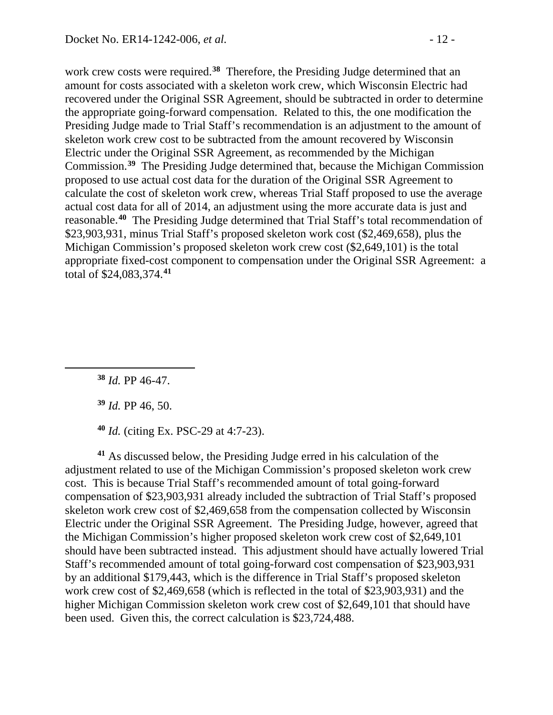work crew costs were required.**[38](#page-11-0)** Therefore, the Presiding Judge determined that an amount for costs associated with a skeleton work crew, which Wisconsin Electric had recovered under the Original SSR Agreement, should be subtracted in order to determine the appropriate going-forward compensation. Related to this, the one modification the Presiding Judge made to Trial Staff's recommendation is an adjustment to the amount of skeleton work crew cost to be subtracted from the amount recovered by Wisconsin Electric under the Original SSR Agreement, as recommended by the Michigan Commission.**[39](#page-11-1)** The Presiding Judge determined that, because the Michigan Commission proposed to use actual cost data for the duration of the Original SSR Agreement to calculate the cost of skeleton work crew, whereas Trial Staff proposed to use the average actual cost data for all of 2014, an adjustment using the more accurate data is just and reasonable.**[40](#page-11-2)** The Presiding Judge determined that Trial Staff's total recommendation of \$23,903,931, minus Trial Staff's proposed skeleton work cost (\$2,469,658), plus the Michigan Commission's proposed skeleton work crew cost (\$2,649,101) is the total appropriate fixed-cost component to compensation under the Original SSR Agreement: a total of \$24,083,374.**[41](#page-11-3)**

**<sup>38</sup>** *Id.* PP 46-47.

<span id="page-11-1"></span><span id="page-11-0"></span> $\overline{a}$ 

**<sup>39</sup>** *Id.* PP 46, 50.

**<sup>40</sup>** *Id.* (citing Ex. PSC-29 at 4:7-23).

<span id="page-11-3"></span><span id="page-11-2"></span>**<sup>41</sup>** As discussed below, the Presiding Judge erred in his calculation of the adjustment related to use of the Michigan Commission's proposed skeleton work crew cost. This is because Trial Staff's recommended amount of total going-forward compensation of \$23,903,931 already included the subtraction of Trial Staff's proposed skeleton work crew cost of \$2,469,658 from the compensation collected by Wisconsin Electric under the Original SSR Agreement. The Presiding Judge, however, agreed that the Michigan Commission's higher proposed skeleton work crew cost of \$2,649,101 should have been subtracted instead. This adjustment should have actually lowered Trial Staff's recommended amount of total going-forward cost compensation of \$23,903,931 by an additional \$179,443, which is the difference in Trial Staff's proposed skeleton work crew cost of \$2,469,658 (which is reflected in the total of \$23,903,931) and the higher Michigan Commission skeleton work crew cost of \$2,649,101 that should have been used. Given this, the correct calculation is \$23,724,488.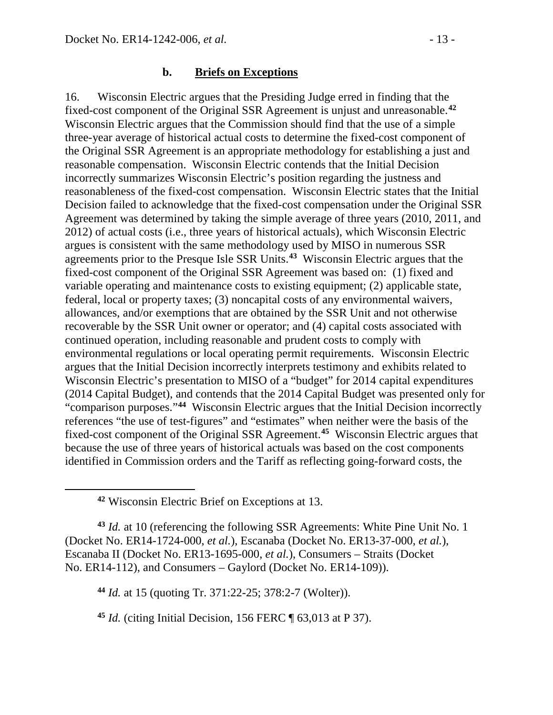<span id="page-12-0"></span>16. Wisconsin Electric argues that the Presiding Judge erred in finding that the fixed-cost component of the Original SSR Agreement is unjust and unreasonable.**[42](#page-12-1)** Wisconsin Electric argues that the Commission should find that the use of a simple three-year average of historical actual costs to determine the fixed-cost component of the Original SSR Agreement is an appropriate methodology for establishing a just and reasonable compensation. Wisconsin Electric contends that the Initial Decision incorrectly summarizes Wisconsin Electric's position regarding the justness and reasonableness of the fixed-cost compensation. Wisconsin Electric states that the Initial Decision failed to acknowledge that the fixed-cost compensation under the Original SSR Agreement was determined by taking the simple average of three years (2010, 2011, and 2012) of actual costs (i.e., three years of historical actuals), which Wisconsin Electric argues is consistent with the same methodology used by MISO in numerous SSR agreements prior to the Presque Isle SSR Units.**[43](#page-12-2)** Wisconsin Electric argues that the fixed-cost component of the Original SSR Agreement was based on: (1) fixed and variable operating and maintenance costs to existing equipment; (2) applicable state, federal, local or property taxes; (3) noncapital costs of any environmental waivers, allowances, and/or exemptions that are obtained by the SSR Unit and not otherwise recoverable by the SSR Unit owner or operator; and (4) capital costs associated with continued operation, including reasonable and prudent costs to comply with environmental regulations or local operating permit requirements. Wisconsin Electric argues that the Initial Decision incorrectly interprets testimony and exhibits related to Wisconsin Electric's presentation to MISO of a "budget" for 2014 capital expenditures (2014 Capital Budget), and contends that the 2014 Capital Budget was presented only for "comparison purposes."**[44](#page-12-3)** Wisconsin Electric argues that the Initial Decision incorrectly references "the use of test-figures" and "estimates" when neither were the basis of the fixed-cost component of the Original SSR Agreement.**[45](#page-12-4)** Wisconsin Electric argues that because the use of three years of historical actuals was based on the cost components identified in Commission orders and the Tariff as reflecting going-forward costs, the

<span id="page-12-1"></span> $\overline{a}$ 

<span id="page-12-3"></span><span id="page-12-2"></span>**<sup>43</sup>** *Id.* at 10 (referencing the following SSR Agreements: White Pine Unit No. 1 (Docket No. ER14-1724-000, *et al.*), Escanaba (Docket No. ER13-37-000, *et al.*), Escanaba II (Docket No. ER13-1695-000, *et al.*), Consumers – Straits (Docket No. ER14-112), and Consumers – Gaylord (Docket No. ER14-109)).

**<sup>44</sup>** *Id.* at 15 (quoting Tr. 371:22-25; 378:2-7 (Wolter)).

<span id="page-12-4"></span>**<sup>45</sup>** *Id.* (citing Initial Decision, 156 FERC ¶ 63,013 at P 37).

**<sup>42</sup>** Wisconsin Electric Brief on Exceptions at 13.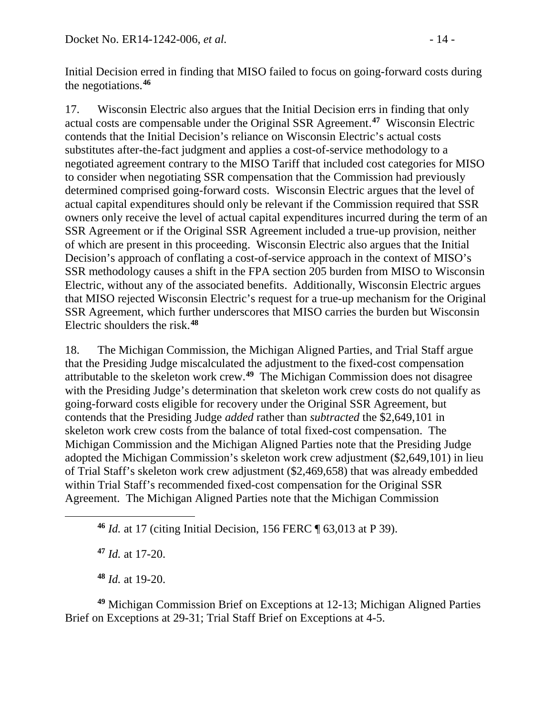Initial Decision erred in finding that MISO failed to focus on going-forward costs during the negotiations.**[46](#page-13-0)**

17. Wisconsin Electric also argues that the Initial Decision errs in finding that only actual costs are compensable under the Original SSR Agreement.**[47](#page-13-1)** Wisconsin Electric contends that the Initial Decision's reliance on Wisconsin Electric's actual costs substitutes after-the-fact judgment and applies a cost-of-service methodology to a negotiated agreement contrary to the MISO Tariff that included cost categories for MISO to consider when negotiating SSR compensation that the Commission had previously determined comprised going-forward costs. Wisconsin Electric argues that the level of actual capital expenditures should only be relevant if the Commission required that SSR owners only receive the level of actual capital expenditures incurred during the term of an SSR Agreement or if the Original SSR Agreement included a true-up provision, neither of which are present in this proceeding. Wisconsin Electric also argues that the Initial Decision's approach of conflating a cost-of-service approach in the context of MISO's SSR methodology causes a shift in the FPA section 205 burden from MISO to Wisconsin Electric, without any of the associated benefits. Additionally, Wisconsin Electric argues that MISO rejected Wisconsin Electric's request for a true-up mechanism for the Original SSR Agreement, which further underscores that MISO carries the burden but Wisconsin Electric shoulders the risk.**[48](#page-13-2)**

18. The Michigan Commission, the Michigan Aligned Parties, and Trial Staff argue that the Presiding Judge miscalculated the adjustment to the fixed-cost compensation attributable to the skeleton work crew.**[49](#page-13-3)** The Michigan Commission does not disagree with the Presiding Judge's determination that skeleton work crew costs do not qualify as going-forward costs eligible for recovery under the Original SSR Agreement, but contends that the Presiding Judge *added* rather than *subtracted* the \$2,649,101 in skeleton work crew costs from the balance of total fixed-cost compensation. The Michigan Commission and the Michigan Aligned Parties note that the Presiding Judge adopted the Michigan Commission's skeleton work crew adjustment (\$2,649,101) in lieu of Trial Staff's skeleton work crew adjustment (\$2,469,658) that was already embedded within Trial Staff's recommended fixed-cost compensation for the Original SSR Agreement. The Michigan Aligned Parties note that the Michigan Commission

**<sup>47</sup>** *Id.* at 17-20.

<span id="page-13-1"></span><span id="page-13-0"></span> $\overline{a}$ 

**<sup>48</sup>** *Id.* at 19-20.

<span id="page-13-3"></span><span id="page-13-2"></span>**<sup>49</sup>** Michigan Commission Brief on Exceptions at 12-13; Michigan Aligned Parties Brief on Exceptions at 29-31; Trial Staff Brief on Exceptions at 4-5.

**<sup>46</sup>** *Id.* at 17 (citing Initial Decision, 156 FERC ¶ 63,013 at P 39).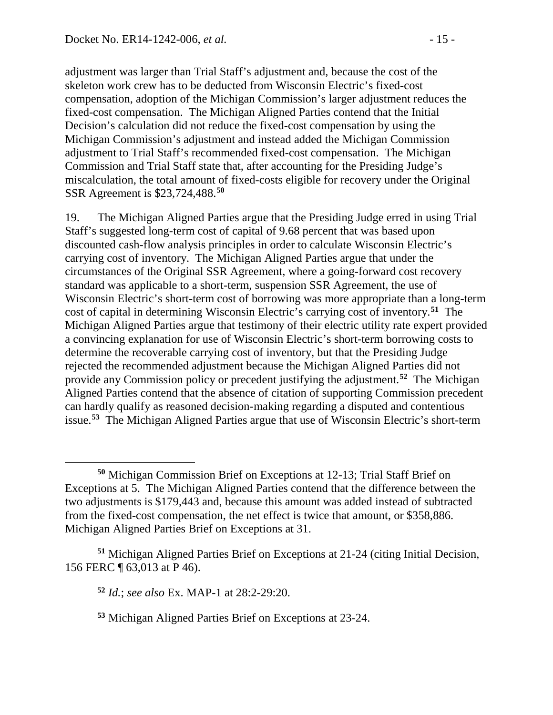adjustment was larger than Trial Staff's adjustment and, because the cost of the skeleton work crew has to be deducted from Wisconsin Electric's fixed-cost compensation, adoption of the Michigan Commission's larger adjustment reduces the fixed-cost compensation. The Michigan Aligned Parties contend that the Initial Decision's calculation did not reduce the fixed-cost compensation by using the Michigan Commission's adjustment and instead added the Michigan Commission adjustment to Trial Staff's recommended fixed-cost compensation. The Michigan Commission and Trial Staff state that, after accounting for the Presiding Judge's miscalculation, the total amount of fixed-costs eligible for recovery under the Original SSR Agreement is \$23,724,488.**[50](#page-14-0)**

19. The Michigan Aligned Parties argue that the Presiding Judge erred in using Trial Staff's suggested long-term cost of capital of 9.68 percent that was based upon discounted cash-flow analysis principles in order to calculate Wisconsin Electric's carrying cost of inventory. The Michigan Aligned Parties argue that under the circumstances of the Original SSR Agreement, where a going-forward cost recovery standard was applicable to a short-term, suspension SSR Agreement, the use of Wisconsin Electric's short-term cost of borrowing was more appropriate than a long-term cost of capital in determining Wisconsin Electric's carrying cost of inventory.**[51](#page-14-1)** The Michigan Aligned Parties argue that testimony of their electric utility rate expert provided a convincing explanation for use of Wisconsin Electric's short-term borrowing costs to determine the recoverable carrying cost of inventory, but that the Presiding Judge rejected the recommended adjustment because the Michigan Aligned Parties did not provide any Commission policy or precedent justifying the adjustment.**[52](#page-14-2)** The Michigan Aligned Parties contend that the absence of citation of supporting Commission precedent can hardly qualify as reasoned decision-making regarding a disputed and contentious issue.**[53](#page-14-3)** The Michigan Aligned Parties argue that use of Wisconsin Electric's short-term

<span id="page-14-3"></span><span id="page-14-2"></span><span id="page-14-1"></span>**<sup>51</sup>** Michigan Aligned Parties Brief on Exceptions at 21-24 (citing Initial Decision, 156 FERC ¶ 63,013 at P 46).

**<sup>52</sup>** *Id.*; *see also* Ex. MAP-1 at 28:2-29:20.

 $\overline{a}$ 

**<sup>53</sup>** Michigan Aligned Parties Brief on Exceptions at 23-24.

<span id="page-14-0"></span>**<sup>50</sup>** Michigan Commission Brief on Exceptions at 12-13; Trial Staff Brief on Exceptions at 5. The Michigan Aligned Parties contend that the difference between the two adjustments is \$179,443 and, because this amount was added instead of subtracted from the fixed-cost compensation, the net effect is twice that amount, or \$358,886. Michigan Aligned Parties Brief on Exceptions at 31.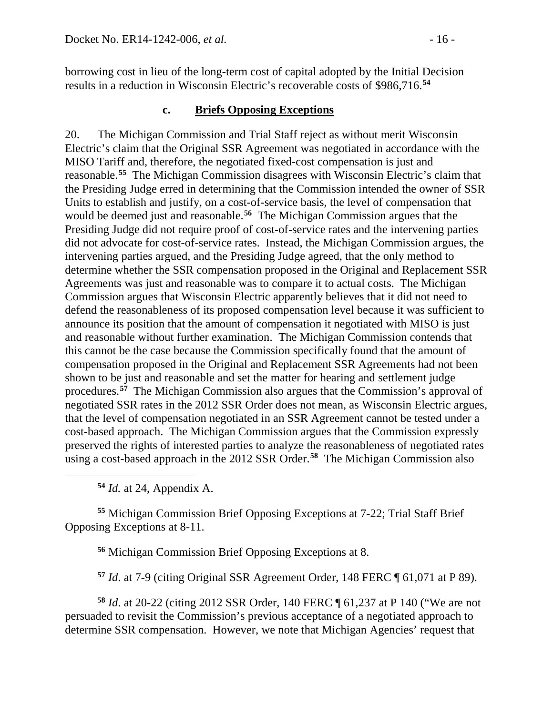borrowing cost in lieu of the long-term cost of capital adopted by the Initial Decision results in a reduction in Wisconsin Electric's recoverable costs of \$986,716.**[54](#page-15-1)**

#### <span id="page-15-0"></span>**c. Briefs Opposing Exceptions**

20. The Michigan Commission and Trial Staff reject as without merit Wisconsin Electric's claim that the Original SSR Agreement was negotiated in accordance with the MISO Tariff and, therefore, the negotiated fixed-cost compensation is just and reasonable.**[55](#page-15-2)** The Michigan Commission disagrees with Wisconsin Electric's claim that the Presiding Judge erred in determining that the Commission intended the owner of SSR Units to establish and justify, on a cost-of-service basis, the level of compensation that would be deemed just and reasonable.**[56](#page-15-3)** The Michigan Commission argues that the Presiding Judge did not require proof of cost-of-service rates and the intervening parties did not advocate for cost-of-service rates. Instead, the Michigan Commission argues, the intervening parties argued, and the Presiding Judge agreed, that the only method to determine whether the SSR compensation proposed in the Original and Replacement SSR Agreements was just and reasonable was to compare it to actual costs. The Michigan Commission argues that Wisconsin Electric apparently believes that it did not need to defend the reasonableness of its proposed compensation level because it was sufficient to announce its position that the amount of compensation it negotiated with MISO is just and reasonable without further examination. The Michigan Commission contends that this cannot be the case because the Commission specifically found that the amount of compensation proposed in the Original and Replacement SSR Agreements had not been shown to be just and reasonable and set the matter for hearing and settlement judge procedures.<sup>[57](#page-15-4)</sup> The Michigan Commission also argues that the Commission's approval of negotiated SSR rates in the 2012 SSR Order does not mean, as Wisconsin Electric argues, that the level of compensation negotiated in an SSR Agreement cannot be tested under a cost-based approach. The Michigan Commission argues that the Commission expressly preserved the rights of interested parties to analyze the reasonableness of negotiated rates using a cost-based approach in the 2012 SSR Order.**[58](#page-15-5)** The Michigan Commission also

**<sup>54</sup>** *Id.* at 24, Appendix A.

<span id="page-15-1"></span> $\overline{a}$ 

<span id="page-15-3"></span><span id="page-15-2"></span>**<sup>55</sup>** Michigan Commission Brief Opposing Exceptions at 7-22; Trial Staff Brief Opposing Exceptions at 8-11.

**<sup>56</sup>** Michigan Commission Brief Opposing Exceptions at 8.

**<sup>57</sup>** *Id*. at 7-9 (citing Original SSR Agreement Order, 148 FERC ¶ 61,071 at P 89).

<span id="page-15-5"></span><span id="page-15-4"></span>**<sup>58</sup>** *Id*. at 20-22 (citing 2012 SSR Order, 140 FERC ¶ 61,237 at P 140 ("We are not persuaded to revisit the Commission's previous acceptance of a negotiated approach to determine SSR compensation. However, we note that Michigan Agencies' request that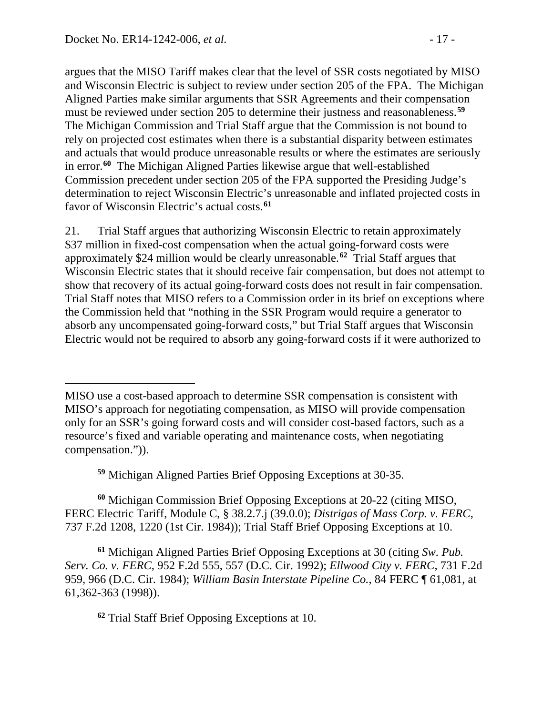argues that the MISO Tariff makes clear that the level of SSR costs negotiated by MISO and Wisconsin Electric is subject to review under section 205 of the FPA. The Michigan Aligned Parties make similar arguments that SSR Agreements and their compensation must be reviewed under section 205 to determine their justness and reasonableness.**[59](#page-16-0)** The Michigan Commission and Trial Staff argue that the Commission is not bound to rely on projected cost estimates when there is a substantial disparity between estimates and actuals that would produce unreasonable results or where the estimates are seriously in error.**[60](#page-16-1)** The Michigan Aligned Parties likewise argue that well-established Commission precedent under section 205 of the FPA supported the Presiding Judge's determination to reject Wisconsin Electric's unreasonable and inflated projected costs in favor of Wisconsin Electric's actual costs.**[61](#page-16-2)**

21. Trial Staff argues that authorizing Wisconsin Electric to retain approximately \$37 million in fixed-cost compensation when the actual going-forward costs were approximately \$24 million would be clearly unreasonable.**[62](#page-16-3)** Trial Staff argues that Wisconsin Electric states that it should receive fair compensation, but does not attempt to show that recovery of its actual going-forward costs does not result in fair compensation. Trial Staff notes that MISO refers to a Commission order in its brief on exceptions where the Commission held that "nothing in the SSR Program would require a generator to absorb any uncompensated going-forward costs," but Trial Staff argues that Wisconsin Electric would not be required to absorb any going-forward costs if it were authorized to

**<sup>59</sup>** Michigan Aligned Parties Brief Opposing Exceptions at 30-35.

<span id="page-16-1"></span><span id="page-16-0"></span>**<sup>60</sup>** Michigan Commission Brief Opposing Exceptions at 20-22 (citing MISO, FERC Electric Tariff, Module C, § 38.2.7.j (39.0.0); *Distrigas of Mass Corp. v. FERC*, 737 F.2d 1208, 1220 (1st Cir. 1984)); Trial Staff Brief Opposing Exceptions at 10.

<span id="page-16-3"></span><span id="page-16-2"></span>**<sup>61</sup>** Michigan Aligned Parties Brief Opposing Exceptions at 30 (citing *Sw. Pub. Serv. Co. v. FERC*, 952 F.2d 555, 557 (D.C. Cir. 1992); *Ellwood City v. FERC*, 731 F.2d 959, 966 (D.C. Cir. 1984); *William Basin Interstate Pipeline Co.*, 84 FERC ¶ 61,081, at 61,362-363 (1998)).

**<sup>62</sup>** Trial Staff Brief Opposing Exceptions at 10.

MISO use a cost-based approach to determine SSR compensation is consistent with MISO's approach for negotiating compensation, as MISO will provide compensation only for an SSR's going forward costs and will consider cost-based factors, such as a resource's fixed and variable operating and maintenance costs, when negotiating compensation.")).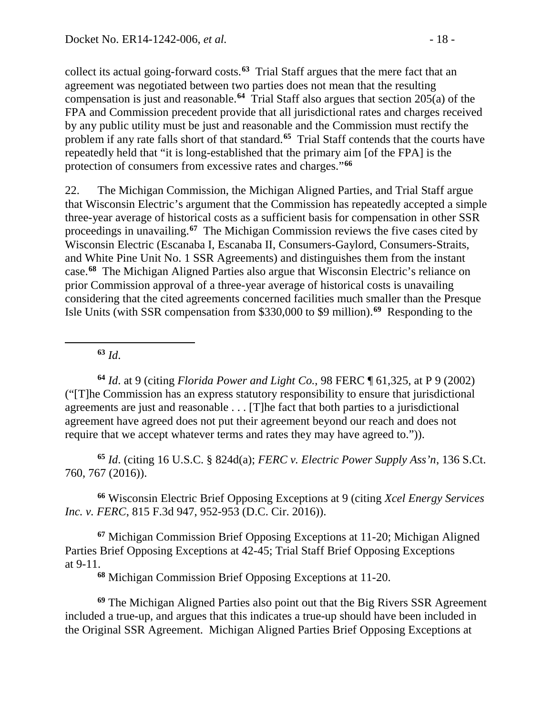collect its actual going-forward costs.**[63](#page-17-0)** Trial Staff argues that the mere fact that an agreement was negotiated between two parties does not mean that the resulting compensation is just and reasonable.**[64](#page-17-1)** Trial Staff also argues that section 205(a) of the FPA and Commission precedent provide that all jurisdictional rates and charges received by any public utility must be just and reasonable and the Commission must rectify the problem if any rate falls short of that standard.**[65](#page-17-2)** Trial Staff contends that the courts have repeatedly held that "it is long-established that the primary aim [of the FPA] is the protection of consumers from excessive rates and charges."**[66](#page-17-3)**

22. The Michigan Commission, the Michigan Aligned Parties, and Trial Staff argue that Wisconsin Electric's argument that the Commission has repeatedly accepted a simple three-year average of historical costs as a sufficient basis for compensation in other SSR proceedings in unavailing.**[67](#page-17-4)** The Michigan Commission reviews the five cases cited by Wisconsin Electric (Escanaba I, Escanaba II, Consumers-Gaylord, Consumers-Straits, and White Pine Unit No. 1 SSR Agreements) and distinguishes them from the instant case.**[68](#page-17-5)** The Michigan Aligned Parties also argue that Wisconsin Electric's reliance on prior Commission approval of a three-year average of historical costs is unavailing considering that the cited agreements concerned facilities much smaller than the Presque Isle Units (with SSR compensation from \$330,000 to \$9 million).**[69](#page-17-6)** Responding to the

**<sup>63</sup>** *Id*.

<span id="page-17-0"></span> $\overline{a}$ 

<span id="page-17-1"></span>**<sup>64</sup>** *Id*. at 9 (citing *Florida Power and Light Co.*, 98 FERC ¶ 61,325, at P 9 (2002) ("[T]he Commission has an express statutory responsibility to ensure that jurisdictional agreements are just and reasonable . . . [T]he fact that both parties to a jurisdictional agreement have agreed does not put their agreement beyond our reach and does not require that we accept whatever terms and rates they may have agreed to.")).

<span id="page-17-2"></span>**<sup>65</sup>** *Id*. (citing 16 U.S.C. § 824d(a); *FERC v. Electric Power Supply Ass'n*, 136 S.Ct. 760, 767 (2016)).

<span id="page-17-3"></span>**<sup>66</sup>** Wisconsin Electric Brief Opposing Exceptions at 9 (citing *Xcel Energy Services Inc. v. FERC*, 815 F.3d 947, 952-953 (D.C. Cir. 2016)).

<span id="page-17-4"></span>**<sup>67</sup>** Michigan Commission Brief Opposing Exceptions at 11-20; Michigan Aligned Parties Brief Opposing Exceptions at 42-45; Trial Staff Brief Opposing Exceptions at 9-11.

**<sup>68</sup>** Michigan Commission Brief Opposing Exceptions at 11-20.

<span id="page-17-6"></span><span id="page-17-5"></span>**<sup>69</sup>** The Michigan Aligned Parties also point out that the Big Rivers SSR Agreement included a true-up, and argues that this indicates a true-up should have been included in the Original SSR Agreement. Michigan Aligned Parties Brief Opposing Exceptions at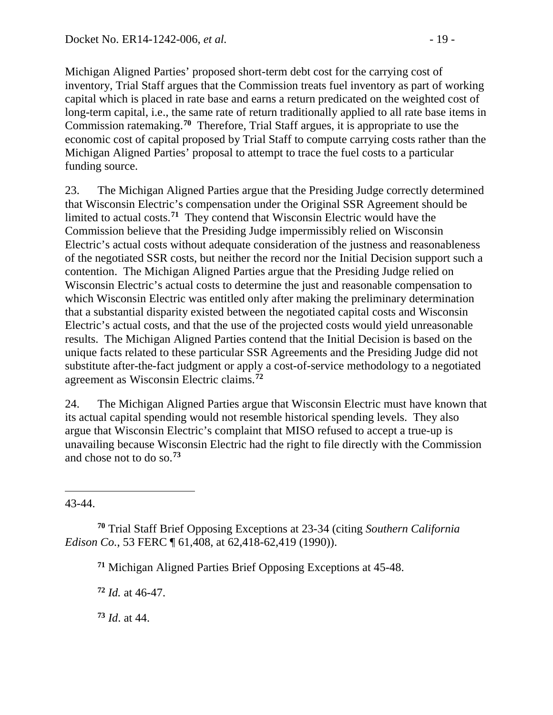Michigan Aligned Parties' proposed short-term debt cost for the carrying cost of inventory, Trial Staff argues that the Commission treats fuel inventory as part of working capital which is placed in rate base and earns a return predicated on the weighted cost of long-term capital, i.e., the same rate of return traditionally applied to all rate base items in Commission ratemaking.**[70](#page-18-0)** Therefore, Trial Staff argues, it is appropriate to use the economic cost of capital proposed by Trial Staff to compute carrying costs rather than the Michigan Aligned Parties' proposal to attempt to trace the fuel costs to a particular funding source.

23. The Michigan Aligned Parties argue that the Presiding Judge correctly determined that Wisconsin Electric's compensation under the Original SSR Agreement should be limited to actual costs.**[71](#page-18-1)** They contend that Wisconsin Electric would have the Commission believe that the Presiding Judge impermissibly relied on Wisconsin Electric's actual costs without adequate consideration of the justness and reasonableness of the negotiated SSR costs, but neither the record nor the Initial Decision support such a contention. The Michigan Aligned Parties argue that the Presiding Judge relied on Wisconsin Electric's actual costs to determine the just and reasonable compensation to which Wisconsin Electric was entitled only after making the preliminary determination that a substantial disparity existed between the negotiated capital costs and Wisconsin Electric's actual costs, and that the use of the projected costs would yield unreasonable results. The Michigan Aligned Parties contend that the Initial Decision is based on the unique facts related to these particular SSR Agreements and the Presiding Judge did not substitute after-the-fact judgment or apply a cost-of-service methodology to a negotiated agreement as Wisconsin Electric claims.**[72](#page-18-2)**

24. The Michigan Aligned Parties argue that Wisconsin Electric must have known that its actual capital spending would not resemble historical spending levels. They also argue that Wisconsin Electric's complaint that MISO refused to accept a true-up is unavailing because Wisconsin Electric had the right to file directly with the Commission and chose not to do so.**[73](#page-18-3)**

 $\overline{a}$ 43-44.

<span id="page-18-2"></span><span id="page-18-1"></span><span id="page-18-0"></span>**<sup>70</sup>** Trial Staff Brief Opposing Exceptions at 23-34 (citing *Southern California Edison Co.*, 53 FERC ¶ 61,408, at 62,418-62,419 (1990)).

**<sup>71</sup>** Michigan Aligned Parties Brief Opposing Exceptions at 45-48.

**<sup>72</sup>** *Id.* at 46-47.

<span id="page-18-3"></span>**<sup>73</sup>** *Id*. at 44.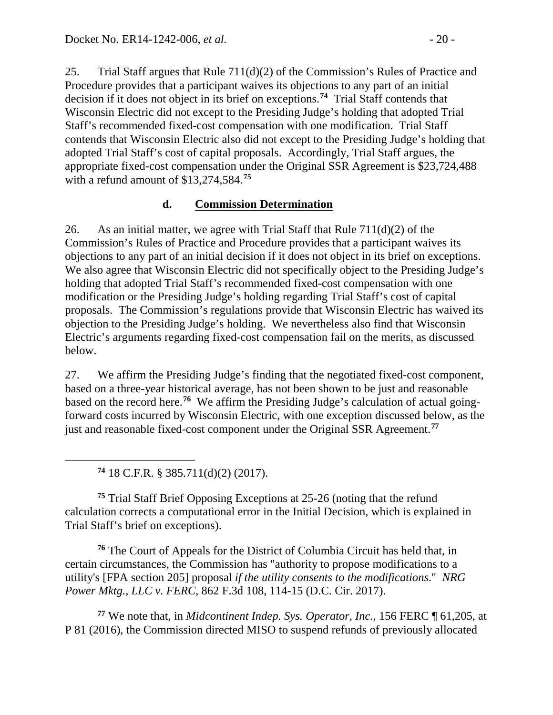25. Trial Staff argues that Rule 711(d)(2) of the Commission's Rules of Practice and Procedure provides that a participant waives its objections to any part of an initial decision if it does not object in its brief on exceptions.**[74](#page-19-1)** Trial Staff contends that Wisconsin Electric did not except to the Presiding Judge's holding that adopted Trial Staff's recommended fixed-cost compensation with one modification. Trial Staff contends that Wisconsin Electric also did not except to the Presiding Judge's holding that adopted Trial Staff's cost of capital proposals. Accordingly, Trial Staff argues, the appropriate fixed-cost compensation under the Original SSR Agreement is \$23,724,488 with a refund amount of \$13,274,584.**[75](#page-19-2)**

#### <span id="page-19-0"></span>**d. Commission Determination**

26. As an initial matter, we agree with Trial Staff that Rule 711(d)(2) of the Commission's Rules of Practice and Procedure provides that a participant waives its objections to any part of an initial decision if it does not object in its brief on exceptions. We also agree that Wisconsin Electric did not specifically object to the Presiding Judge's holding that adopted Trial Staff's recommended fixed-cost compensation with one modification or the Presiding Judge's holding regarding Trial Staff's cost of capital proposals. The Commission's regulations provide that Wisconsin Electric has waived its objection to the Presiding Judge's holding. We nevertheless also find that Wisconsin Electric's arguments regarding fixed-cost compensation fail on the merits, as discussed below.

27. We affirm the Presiding Judge's finding that the negotiated fixed-cost component, based on a three-year historical average, has not been shown to be just and reasonable based on the record here. **[76](#page-19-3)** We affirm the Presiding Judge's calculation of actual goingforward costs incurred by Wisconsin Electric, with one exception discussed below, as the just and reasonable fixed-cost component under the Original SSR Agreement.**[77](#page-19-4)**

**<sup>74</sup>** 18 C.F.R. § 385.711(d)(2) (2017).

<span id="page-19-1"></span> $\overline{a}$ 

<span id="page-19-2"></span>**<sup>75</sup>** Trial Staff Brief Opposing Exceptions at 25-26 (noting that the refund calculation corrects a computational error in the Initial Decision, which is explained in Trial Staff's brief on exceptions).

<span id="page-19-3"></span>**<sup>76</sup>** The Court of Appeals for the District of Columbia Circuit has held that, in certain circumstances, the Commission has "authority to propose modifications to a utility's [FPA section 205] proposal *if the utility consents to the modifications*." *NRG Power Mktg., LLC v. FERC*, 862 F.3d 108, 114-15 (D.C. Cir. 2017).

<span id="page-19-4"></span>**<sup>77</sup>** We note that, in *Midcontinent Indep. Sys. Operator, Inc.*, 156 FERC ¶ 61,205, at P 81 (2016), the Commission directed MISO to suspend refunds of previously allocated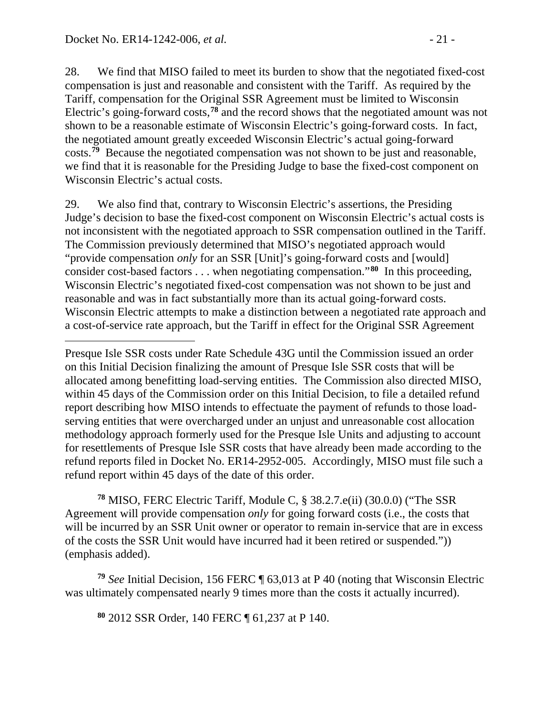28. We find that MISO failed to meet its burden to show that the negotiated fixed-cost compensation is just and reasonable and consistent with the Tariff. As required by the Tariff, compensation for the Original SSR Agreement must be limited to Wisconsin Electric's going-forward costs, **[78](#page-20-0)** and the record shows that the negotiated amount was not shown to be a reasonable estimate of Wisconsin Electric's going-forward costs. In fact, the negotiated amount greatly exceeded Wisconsin Electric's actual going-forward costs.<sup>[79](#page-20-1)</sup> Because the negotiated compensation was not shown to be just and reasonable, we find that it is reasonable for the Presiding Judge to base the fixed-cost component on Wisconsin Electric's actual costs.

29. We also find that, contrary to Wisconsin Electric's assertions, the Presiding Judge's decision to base the fixed-cost component on Wisconsin Electric's actual costs is not inconsistent with the negotiated approach to SSR compensation outlined in the Tariff. The Commission previously determined that MISO's negotiated approach would "provide compensation *only* for an SSR [Unit]'s going-forward costs and [would] consider cost-based factors . . . when negotiating compensation."**[80](#page-20-2)** In this proceeding, Wisconsin Electric's negotiated fixed-cost compensation was not shown to be just and reasonable and was in fact substantially more than its actual going-forward costs. Wisconsin Electric attempts to make a distinction between a negotiated rate approach and a cost-of-service rate approach, but the Tariff in effect for the Original SSR Agreement

Presque Isle SSR costs under Rate Schedule 43G until the Commission issued an order on this Initial Decision finalizing the amount of Presque Isle SSR costs that will be allocated among benefitting load-serving entities. The Commission also directed MISO, within 45 days of the Commission order on this Initial Decision, to file a detailed refund report describing how MISO intends to effectuate the payment of refunds to those loadserving entities that were overcharged under an unjust and unreasonable cost allocation methodology approach formerly used for the Presque Isle Units and adjusting to account for resettlements of Presque Isle SSR costs that have already been made according to the refund reports filed in Docket No. ER14-2952-005. Accordingly, MISO must file such a refund report within 45 days of the date of this order.

<span id="page-20-0"></span>**<sup>78</sup>** MISO, FERC Electric Tariff, Module C, § 38.2.7.e(ii) (30.0.0) ("The SSR Agreement will provide compensation *only* for going forward costs (i.e., the costs that will be incurred by an SSR Unit owner or operator to remain in-service that are in excess of the costs the SSR Unit would have incurred had it been retired or suspended.")) (emphasis added).

<span id="page-20-2"></span><span id="page-20-1"></span>**<sup>79</sup>** *See* Initial Decision, 156 FERC ¶ 63,013 at P 40 (noting that Wisconsin Electric was ultimately compensated nearly 9 times more than the costs it actually incurred).

**<sup>80</sup>** 2012 SSR Order, 140 FERC ¶ 61,237 at P 140.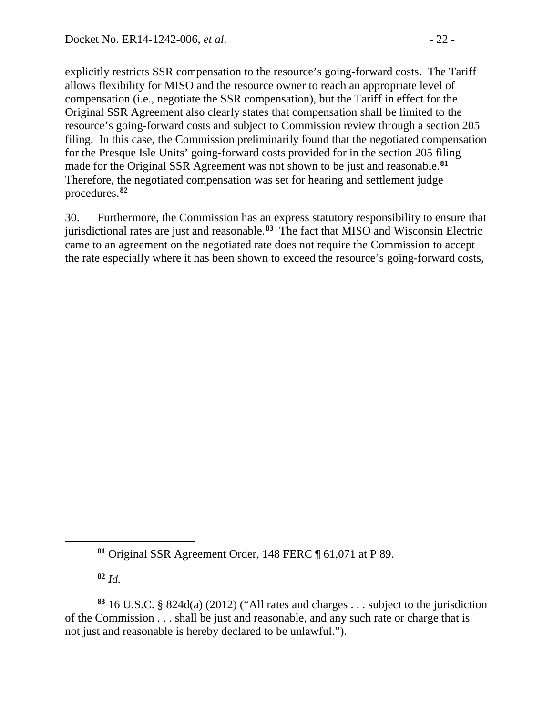explicitly restricts SSR compensation to the resource's going-forward costs. The Tariff allows flexibility for MISO and the resource owner to reach an appropriate level of compensation (i.e., negotiate the SSR compensation), but the Tariff in effect for the Original SSR Agreement also clearly states that compensation shall be limited to the resource's going-forward costs and subject to Commission review through a section 205 filing. In this case, the Commission preliminarily found that the negotiated compensation for the Presque Isle Units' going-forward costs provided for in the section 205 filing made for the Original SSR Agreement was not shown to be just and reasonable.**[81](#page-21-0)** Therefore, the negotiated compensation was set for hearing and settlement judge procedures. **[82](#page-21-1)**

30. Furthermore, the Commission has an express statutory responsibility to ensure that jurisdictional rates are just and reasonable.**[83](#page-21-2)** The fact that MISO and Wisconsin Electric came to an agreement on the negotiated rate does not require the Commission to accept the rate especially where it has been shown to exceed the resource's going-forward costs,

**<sup>82</sup>** *Id.*

<span id="page-21-0"></span> $\overline{a}$ 

**<sup>81</sup>** Original SSR Agreement Order, 148 FERC ¶ 61,071 at P 89.

<span id="page-21-2"></span><span id="page-21-1"></span>**<sup>83</sup>** 16 U.S.C. § 824d(a) (2012) ("All rates and charges . . . subject to the jurisdiction of the Commission . . . shall be just and reasonable, and any such rate or charge that is not just and reasonable is hereby declared to be unlawful.").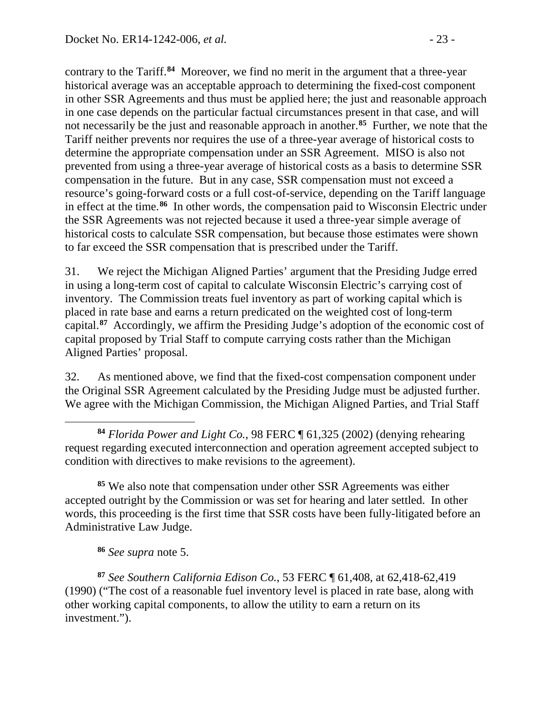contrary to the Tariff.**[84](#page-22-0)** Moreover, we find no merit in the argument that a three-year historical average was an acceptable approach to determining the fixed-cost component in other SSR Agreements and thus must be applied here; the just and reasonable approach in one case depends on the particular factual circumstances present in that case, and will not necessarily be the just and reasonable approach in another. **[85](#page-22-1)** Further, we note that the Tariff neither prevents nor requires the use of a three-year average of historical costs to determine the appropriate compensation under an SSR Agreement. MISO is also not prevented from using a three-year average of historical costs as a basis to determine SSR compensation in the future. But in any case, SSR compensation must not exceed a resource's going-forward costs or a full cost-of-service, depending on the Tariff language in effect at the time.**[86](#page-22-2)** In other words, the compensation paid to Wisconsin Electric under the SSR Agreements was not rejected because it used a three-year simple average of historical costs to calculate SSR compensation, but because those estimates were shown to far exceed the SSR compensation that is prescribed under the Tariff.

31. We reject the Michigan Aligned Parties' argument that the Presiding Judge erred in using a long-term cost of capital to calculate Wisconsin Electric's carrying cost of inventory. The Commission treats fuel inventory as part of working capital which is placed in rate base and earns a return predicated on the weighted cost of long-term capital.**[87](#page-22-3)** Accordingly, we affirm the Presiding Judge's adoption of the economic cost of capital proposed by Trial Staff to compute carrying costs rather than the Michigan Aligned Parties' proposal.

32. As mentioned above, we find that the fixed-cost compensation component under the Original SSR Agreement calculated by the Presiding Judge must be adjusted further. We agree with the Michigan Commission, the Michigan Aligned Parties, and Trial Staff

<span id="page-22-1"></span>**<sup>85</sup>** We also note that compensation under other SSR Agreements was either accepted outright by the Commission or was set for hearing and later settled. In other words, this proceeding is the first time that SSR costs have been fully-litigated before an Administrative Law Judge.

**<sup>86</sup>** *See supra* note 5.

<span id="page-22-3"></span><span id="page-22-2"></span>**<sup>87</sup>** *See Southern California Edison Co.*, 53 FERC ¶ 61,408, at 62,418-62,419 (1990) ("The cost of a reasonable fuel inventory level is placed in rate base, along with other working capital components, to allow the utility to earn a return on its investment.").

<span id="page-22-0"></span> $\overline{a}$ **<sup>84</sup>** *Florida Power and Light Co.*, 98 FERC ¶ 61,325 (2002) (denying rehearing request regarding executed interconnection and operation agreement accepted subject to condition with directives to make revisions to the agreement).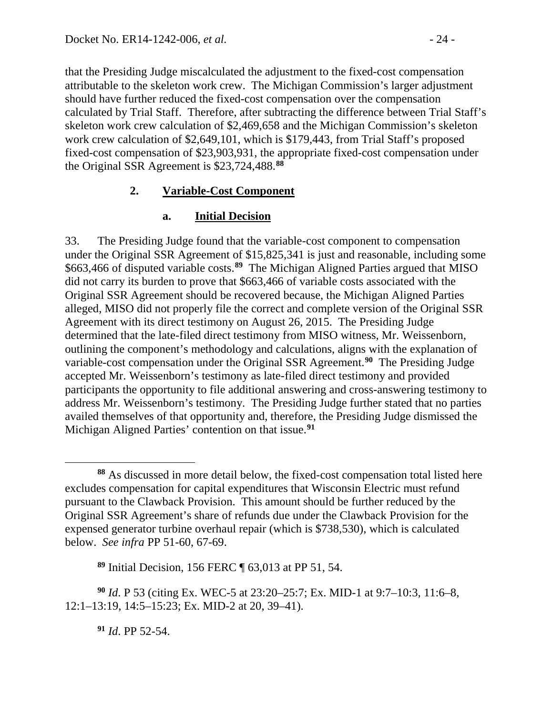that the Presiding Judge miscalculated the adjustment to the fixed-cost compensation attributable to the skeleton work crew. The Michigan Commission's larger adjustment should have further reduced the fixed-cost compensation over the compensation calculated by Trial Staff. Therefore, after subtracting the difference between Trial Staff's skeleton work crew calculation of \$2,469,658 and the Michigan Commission's skeleton work crew calculation of \$2,649,101, which is \$179,443, from Trial Staff's proposed fixed-cost compensation of \$23,903,931, the appropriate fixed-cost compensation under the Original SSR Agreement is \$23,724,488. **[88](#page-23-2)**

#### **2. Variable-Cost Component**

#### <span id="page-23-1"></span><span id="page-23-0"></span>**a. Initial Decision**

33. The Presiding Judge found that the variable-cost component to compensation under the Original SSR Agreement of \$15,825,341 is just and reasonable, including some \$663,466 of disputed variable costs.**[89](#page-23-3)** The Michigan Aligned Parties argued that MISO did not carry its burden to prove that \$663,466 of variable costs associated with the Original SSR Agreement should be recovered because, the Michigan Aligned Parties alleged, MISO did not properly file the correct and complete version of the Original SSR Agreement with its direct testimony on August 26, 2015. The Presiding Judge determined that the late-filed direct testimony from MISO witness, Mr. Weissenborn, outlining the component's methodology and calculations, aligns with the explanation of variable-cost compensation under the Original SSR Agreement.**[90](#page-23-4)** The Presiding Judge accepted Mr. Weissenborn's testimony as late-filed direct testimony and provided participants the opportunity to file additional answering and cross-answering testimony to address Mr. Weissenborn's testimony. The Presiding Judge further stated that no parties availed themselves of that opportunity and, therefore, the Presiding Judge dismissed the Michigan Aligned Parties' contention on that issue.**[91](#page-23-5)**

**<sup>89</sup>** Initial Decision, 156 FERC ¶ 63,013 at PP 51, 54.

<span id="page-23-5"></span><span id="page-23-4"></span><span id="page-23-3"></span>**<sup>90</sup>** *Id*. P 53 (citing Ex. WEC-5 at 23:20–25:7; Ex. MID-1 at 9:7–10:3, 11:6–8, 12:1–13:19, 14:5–15:23; Ex. MID-2 at 20, 39–41).

**<sup>91</sup>** *Id*. PP 52-54.

<span id="page-23-2"></span> $\overline{a}$ **<sup>88</sup>** As discussed in more detail below, the fixed-cost compensation total listed here excludes compensation for capital expenditures that Wisconsin Electric must refund pursuant to the Clawback Provision. This amount should be further reduced by the Original SSR Agreement's share of refunds due under the Clawback Provision for the expensed generator turbine overhaul repair (which is \$738,530), which is calculated below. *See infra* PP 51-60, 67-69.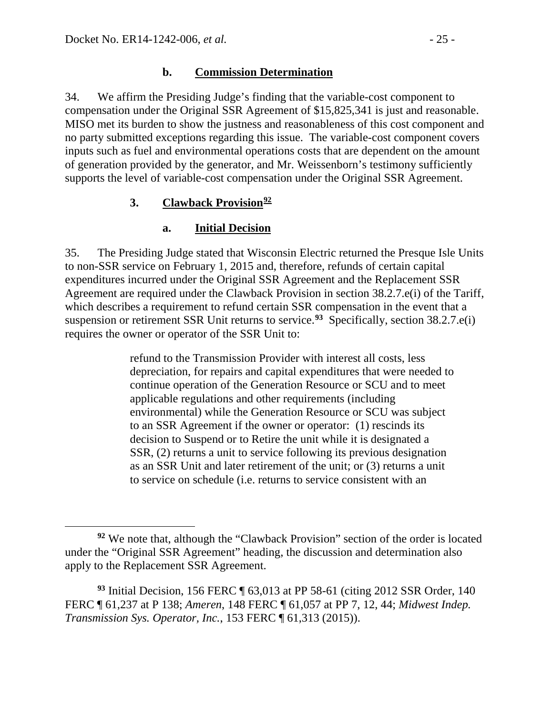#### <span id="page-24-0"></span>**b. Commission Determination**

34. We affirm the Presiding Judge's finding that the variable-cost component to compensation under the Original SSR Agreement of \$15,825,341 is just and reasonable. MISO met its burden to show the justness and reasonableness of this cost component and no party submitted exceptions regarding this issue. The variable-cost component covers inputs such as fuel and environmental operations costs that are dependent on the amount of generation provided by the generator, and Mr. Weissenborn's testimony sufficiently supports the level of variable-cost compensation under the Original SSR Agreement.

### **3. Clawback Provision[92](#page-24-3)**

### <span id="page-24-2"></span><span id="page-24-1"></span>**a. Initial Decision**

35. The Presiding Judge stated that Wisconsin Electric returned the Presque Isle Units to non-SSR service on February 1, 2015 and, therefore, refunds of certain capital expenditures incurred under the Original SSR Agreement and the Replacement SSR Agreement are required under the Clawback Provision in section 38.2.7.e(i) of the Tariff, which describes a requirement to refund certain SSR compensation in the event that a suspension or retirement SSR Unit returns to service.**[93](#page-24-4)** Specifically, section 38.2.7.e(i) requires the owner or operator of the SSR Unit to:

> refund to the Transmission Provider with interest all costs, less depreciation, for repairs and capital expenditures that were needed to continue operation of the Generation Resource or SCU and to meet applicable regulations and other requirements (including environmental) while the Generation Resource or SCU was subject to an SSR Agreement if the owner or operator: (1) rescinds its decision to Suspend or to Retire the unit while it is designated a SSR, (2) returns a unit to service following its previous designation as an SSR Unit and later retirement of the unit; or (3) returns a unit to service on schedule (i.e. returns to service consistent with an

<span id="page-24-4"></span>**<sup>93</sup>** Initial Decision, 156 FERC ¶ 63,013 at PP 58-61 (citing 2012 SSR Order, 140 FERC ¶ 61,237 at P 138; *Ameren*, 148 FERC ¶ 61,057 at PP 7, 12, 44; *Midwest Indep. Transmission Sys. Operator, Inc.*, 153 FERC ¶ 61,313 (2015)).

<span id="page-24-3"></span> $\overline{a}$ **<sup>92</sup>** We note that, although the "Clawback Provision" section of the order is located under the "Original SSR Agreement" heading, the discussion and determination also apply to the Replacement SSR Agreement.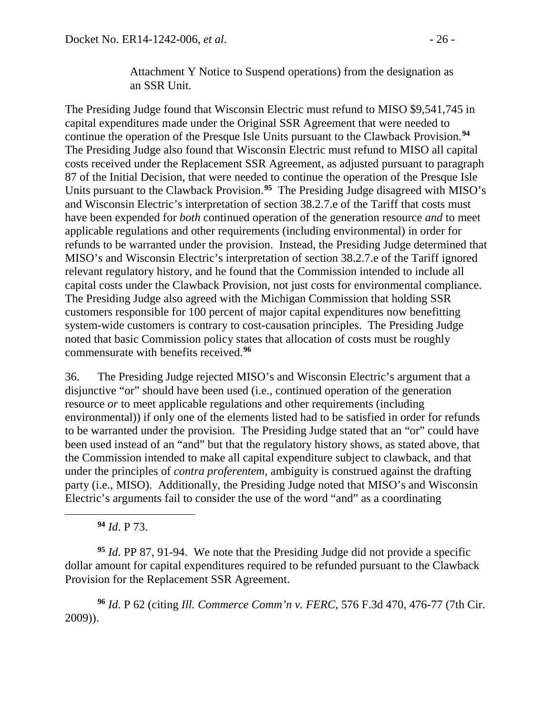Attachment Y Notice to Suspend operations) from the designation as an SSR Unit.

The Presiding Judge found that Wisconsin Electric must refund to MISO \$9,541,745 in capital expenditures made under the Original SSR Agreement that were needed to continue the operation of the Presque Isle Units pursuant to the Clawback Provision.**[94](#page-25-0)** The Presiding Judge also found that Wisconsin Electric must refund to MISO all capital costs received under the Replacement SSR Agreement, as adjusted pursuant to paragraph 87 of the Initial Decision, that were needed to continue the operation of the Presque Isle Units pursuant to the Clawback Provision.**[95](#page-25-1)** The Presiding Judge disagreed with MISO's and Wisconsin Electric's interpretation of section 38.2.7.e of the Tariff that costs must have been expended for *both* continued operation of the generation resource *and* to meet applicable regulations and other requirements (including environmental) in order for refunds to be warranted under the provision. Instead, the Presiding Judge determined that MISO's and Wisconsin Electric's interpretation of section 38.2.7.e of the Tariff ignored relevant regulatory history, and he found that the Commission intended to include all capital costs under the Clawback Provision, not just costs for environmental compliance. The Presiding Judge also agreed with the Michigan Commission that holding SSR customers responsible for 100 percent of major capital expenditures now benefitting system-wide customers is contrary to cost-causation principles. The Presiding Judge noted that basic Commission policy states that allocation of costs must be roughly commensurate with benefits received.**[96](#page-25-2)**

36. The Presiding Judge rejected MISO's and Wisconsin Electric's argument that a disjunctive "or" should have been used (i.e., continued operation of the generation resource *or* to meet applicable regulations and other requirements (including environmental)) if only one of the elements listed had to be satisfied in order for refunds to be warranted under the provision. The Presiding Judge stated that an "or" could have been used instead of an "and" but that the regulatory history shows, as stated above, that the Commission intended to make all capital expenditure subject to clawback, and that under the principles of *contra proferentem*, ambiguity is construed against the drafting party (i.e., MISO). Additionally, the Presiding Judge noted that MISO's and Wisconsin Electric's arguments fail to consider the use of the word "and" as a coordinating

#### **<sup>94</sup>** *Id*. P 73.

<span id="page-25-0"></span> $\overline{a}$ 

<span id="page-25-1"></span>**<sup>95</sup>** *Id*. PP 87, 91-94. We note that the Presiding Judge did not provide a specific dollar amount for capital expenditures required to be refunded pursuant to the Clawback Provision for the Replacement SSR Agreement.

<span id="page-25-2"></span>**<sup>96</sup>** *Id*. P 62 (citing *Ill. Commerce Comm'n v. FERC*, 576 F.3d 470, 476-77 (7th Cir. 2009)).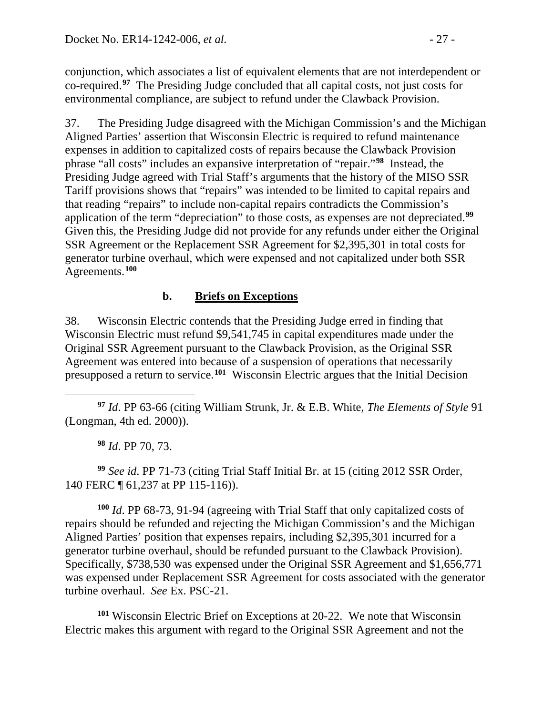conjunction, which associates a list of equivalent elements that are not interdependent or co-required.**[97](#page-26-1)** The Presiding Judge concluded that all capital costs, not just costs for environmental compliance, are subject to refund under the Clawback Provision.

37. The Presiding Judge disagreed with the Michigan Commission's and the Michigan Aligned Parties' assertion that Wisconsin Electric is required to refund maintenance expenses in addition to capitalized costs of repairs because the Clawback Provision phrase "all costs" includes an expansive interpretation of "repair."**[98](#page-26-2)** Instead, the Presiding Judge agreed with Trial Staff's arguments that the history of the MISO SSR Tariff provisions shows that "repairs" was intended to be limited to capital repairs and that reading "repairs" to include non-capital repairs contradicts the Commission's application of the term "depreciation" to those costs, as expenses are not depreciated.**[99](#page-26-3)** Given this, the Presiding Judge did not provide for any refunds under either the Original SSR Agreement or the Replacement SSR Agreement for \$2,395,301 in total costs for generator turbine overhaul, which were expensed and not capitalized under both SSR Agreements.**[100](#page-26-4)**

## <span id="page-26-0"></span>**b. Briefs on Exceptions**

38. Wisconsin Electric contends that the Presiding Judge erred in finding that Wisconsin Electric must refund \$9,541,745 in capital expenditures made under the Original SSR Agreement pursuant to the Clawback Provision, as the Original SSR Agreement was entered into because of a suspension of operations that necessarily presupposed a return to service.**[101](#page-26-5)** Wisconsin Electric argues that the Initial Decision

<span id="page-26-1"></span> $\overline{a}$ **<sup>97</sup>** *Id*. PP 63-66 (citing William Strunk, Jr. & E.B. White, *The Elements of Style* 91 (Longman, 4th ed. 2000)).

**<sup>98</sup>** *Id*. PP 70, 73.

<span id="page-26-3"></span><span id="page-26-2"></span>**<sup>99</sup>** *See id*. PP 71-73 (citing Trial Staff Initial Br. at 15 (citing 2012 SSR Order, 140 FERC ¶ 61,237 at PP 115-116)).

<span id="page-26-4"></span>**<sup>100</sup>** *Id*. PP 68-73, 91-94 (agreeing with Trial Staff that only capitalized costs of repairs should be refunded and rejecting the Michigan Commission's and the Michigan Aligned Parties' position that expenses repairs, including \$2,395,301 incurred for a generator turbine overhaul, should be refunded pursuant to the Clawback Provision). Specifically, \$738,530 was expensed under the Original SSR Agreement and \$1,656,771 was expensed under Replacement SSR Agreement for costs associated with the generator turbine overhaul. *See* Ex. PSC-21.

<span id="page-26-5"></span>**<sup>101</sup>** Wisconsin Electric Brief on Exceptions at 20-22. We note that Wisconsin Electric makes this argument with regard to the Original SSR Agreement and not the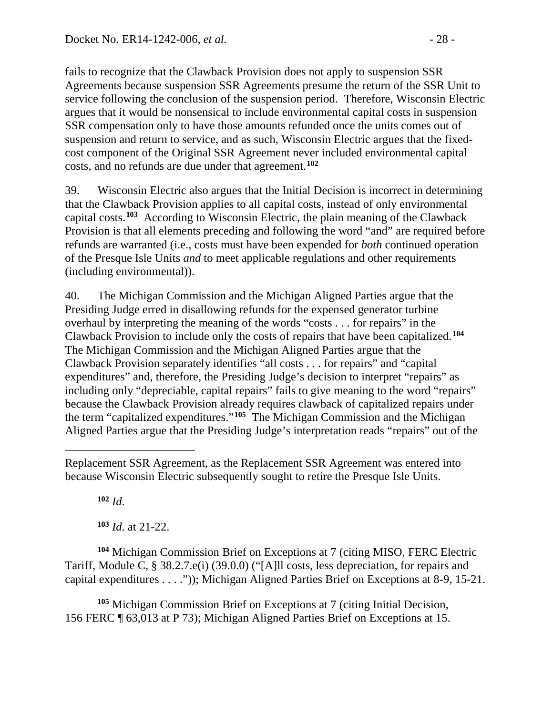fails to recognize that the Clawback Provision does not apply to suspension SSR Agreements because suspension SSR Agreements presume the return of the SSR Unit to service following the conclusion of the suspension period. Therefore, Wisconsin Electric argues that it would be nonsensical to include environmental capital costs in suspension SSR compensation only to have those amounts refunded once the units comes out of suspension and return to service, and as such, Wisconsin Electric argues that the fixedcost component of the Original SSR Agreement never included environmental capital costs, and no refunds are due under that agreement. **[102](#page-27-0)**

39. Wisconsin Electric also argues that the Initial Decision is incorrect in determining that the Clawback Provision applies to all capital costs, instead of only environmental capital costs.**[103](#page-27-1)** According to Wisconsin Electric, the plain meaning of the Clawback Provision is that all elements preceding and following the word "and" are required before refunds are warranted (i.e., costs must have been expended for *both* continued operation of the Presque Isle Units *and* to meet applicable regulations and other requirements (including environmental)).

40. The Michigan Commission and the Michigan Aligned Parties argue that the Presiding Judge erred in disallowing refunds for the expensed generator turbine overhaul by interpreting the meaning of the words "costs . . . for repairs" in the Clawback Provision to include only the costs of repairs that have been capitalized.**[104](#page-27-2)** The Michigan Commission and the Michigan Aligned Parties argue that the Clawback Provision separately identifies "all costs . . . for repairs" and "capital expenditures" and, therefore, the Presiding Judge's decision to interpret "repairs" as including only "depreciable, capital repairs" fails to give meaning to the word "repairs" because the Clawback Provision already requires clawback of capitalized repairs under the term "capitalized expenditures."**[105](#page-27-3)** The Michigan Commission and the Michigan Aligned Parties argue that the Presiding Judge's interpretation reads "repairs" out of the

**<sup>102</sup>** *Id*.

 $\overline{a}$ 

**<sup>103</sup>** *Id*. at 21-22.

<span id="page-27-2"></span><span id="page-27-1"></span>**<sup>104</sup>** Michigan Commission Brief on Exceptions at 7 (citing MISO, FERC Electric Tariff, Module C, § 38.2.7.e(i) (39.0.0) ("[A]ll costs, less depreciation, for repairs and capital expenditures . . . .")); Michigan Aligned Parties Brief on Exceptions at 8-9, 15-21.

<span id="page-27-3"></span>**<sup>105</sup>** Michigan Commission Brief on Exceptions at 7 (citing Initial Decision, 156 FERC ¶ 63,013 at P 73); Michigan Aligned Parties Brief on Exceptions at 15.

<span id="page-27-0"></span>Replacement SSR Agreement, as the Replacement SSR Agreement was entered into because Wisconsin Electric subsequently sought to retire the Presque Isle Units.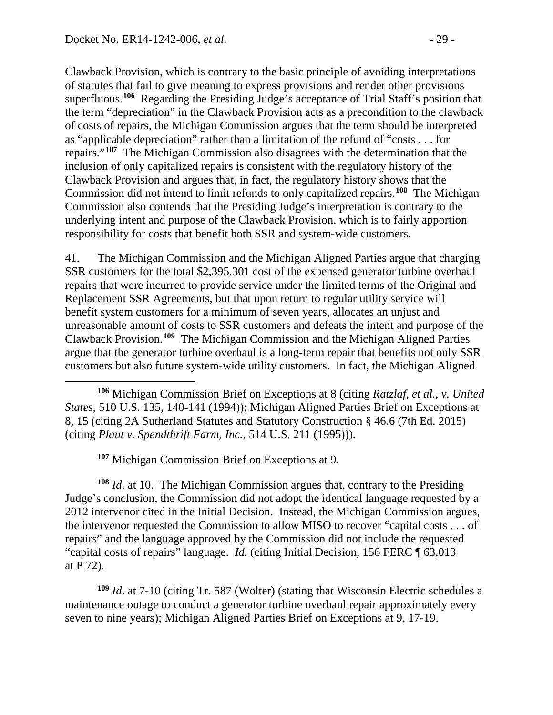Clawback Provision, which is contrary to the basic principle of avoiding interpretations of statutes that fail to give meaning to express provisions and render other provisions superfluous.**[106](#page-28-0)** Regarding the Presiding Judge's acceptance of Trial Staff's position that the term "depreciation" in the Clawback Provision acts as a precondition to the clawback of costs of repairs, the Michigan Commission argues that the term should be interpreted as "applicable depreciation" rather than a limitation of the refund of "costs . . . for repairs."**[107](#page-28-1)** The Michigan Commission also disagrees with the determination that the inclusion of only capitalized repairs is consistent with the regulatory history of the Clawback Provision and argues that, in fact, the regulatory history shows that the Commission did not intend to limit refunds to only capitalized repairs.**[108](#page-28-2)** The Michigan Commission also contends that the Presiding Judge's interpretation is contrary to the underlying intent and purpose of the Clawback Provision, which is to fairly apportion responsibility for costs that benefit both SSR and system-wide customers.

41. The Michigan Commission and the Michigan Aligned Parties argue that charging SSR customers for the total \$2,395,301 cost of the expensed generator turbine overhaul repairs that were incurred to provide service under the limited terms of the Original and Replacement SSR Agreements, but that upon return to regular utility service will benefit system customers for a minimum of seven years, allocates an unjust and unreasonable amount of costs to SSR customers and defeats the intent and purpose of the Clawback Provision.**[109](#page-28-3)** The Michigan Commission and the Michigan Aligned Parties argue that the generator turbine overhaul is a long-term repair that benefits not only SSR customers but also future system-wide utility customers. In fact, the Michigan Aligned

**<sup>107</sup>** Michigan Commission Brief on Exceptions at 9.

<span id="page-28-2"></span><span id="page-28-1"></span>**<sup>108</sup>** *Id*. at 10. The Michigan Commission argues that, contrary to the Presiding Judge's conclusion, the Commission did not adopt the identical language requested by a 2012 intervenor cited in the Initial Decision. Instead, the Michigan Commission argues, the intervenor requested the Commission to allow MISO to recover "capital costs . . . of repairs" and the language approved by the Commission did not include the requested "capital costs of repairs" language. *Id.* (citing Initial Decision, 156 FERC ¶ 63,013 at P 72).

<span id="page-28-3"></span>**<sup>109</sup>** *Id*. at 7-10 (citing Tr. 587 (Wolter) (stating that Wisconsin Electric schedules a maintenance outage to conduct a generator turbine overhaul repair approximately every seven to nine years); Michigan Aligned Parties Brief on Exceptions at 9, 17-19.

<span id="page-28-0"></span>**<sup>106</sup>** Michigan Commission Brief on Exceptions at 8 (citing *Ratzlaf, et al., v. United States*, 510 U.S. 135, 140-141 (1994)); Michigan Aligned Parties Brief on Exceptions at 8, 15 (citing 2A Sutherland Statutes and Statutory Construction § 46.6 (7th Ed. 2015) (citing *Plaut v. Spendthrift Farm, Inc.*, 514 U.S. 211 (1995))).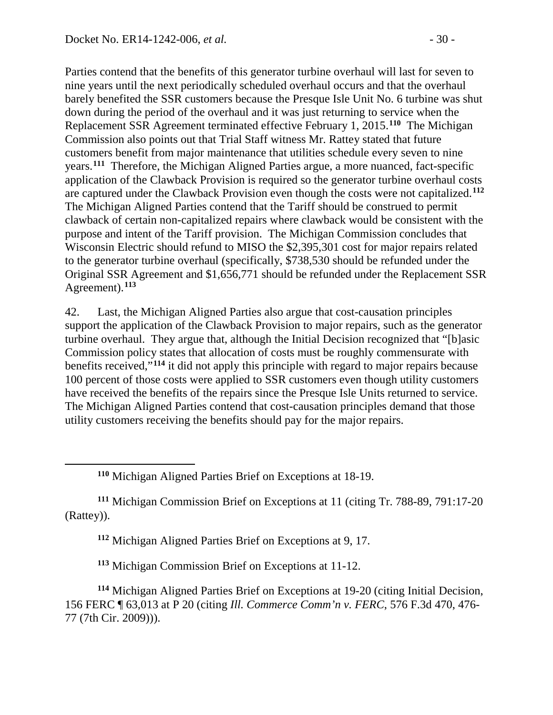Parties contend that the benefits of this generator turbine overhaul will last for seven to nine years until the next periodically scheduled overhaul occurs and that the overhaul barely benefited the SSR customers because the Presque Isle Unit No. 6 turbine was shut down during the period of the overhaul and it was just returning to service when the Replacement SSR Agreement terminated effective February 1, 2015.**[110](#page-29-0)** The Michigan Commission also points out that Trial Staff witness Mr. Rattey stated that future customers benefit from major maintenance that utilities schedule every seven to nine years. **[111](#page-29-1)** Therefore, the Michigan Aligned Parties argue, a more nuanced, fact-specific application of the Clawback Provision is required so the generator turbine overhaul costs are captured under the Clawback Provision even though the costs were not capitalized.**[112](#page-29-2)** The Michigan Aligned Parties contend that the Tariff should be construed to permit clawback of certain non-capitalized repairs where clawback would be consistent with the purpose and intent of the Tariff provision. The Michigan Commission concludes that Wisconsin Electric should refund to MISO the \$2,395,301 cost for major repairs related to the generator turbine overhaul (specifically, \$738,530 should be refunded under the Original SSR Agreement and \$1,656,771 should be refunded under the Replacement SSR Agreement).**[113](#page-29-3)**

42. Last, the Michigan Aligned Parties also argue that cost-causation principles support the application of the Clawback Provision to major repairs, such as the generator turbine overhaul. They argue that, although the Initial Decision recognized that "[b]asic Commission policy states that allocation of costs must be roughly commensurate with benefits received,"**[114](#page-29-4)** it did not apply this principle with regard to major repairs because 100 percent of those costs were applied to SSR customers even though utility customers have received the benefits of the repairs since the Presque Isle Units returned to service. The Michigan Aligned Parties contend that cost-causation principles demand that those utility customers receiving the benefits should pay for the major repairs.

**<sup>110</sup>** Michigan Aligned Parties Brief on Exceptions at 18-19.

<span id="page-29-2"></span><span id="page-29-1"></span><span id="page-29-0"></span>**<sup>111</sup>** Michigan Commission Brief on Exceptions at 11 (citing Tr. 788-89, 791:17-20 (Rattey)).

**<sup>112</sup>** Michigan Aligned Parties Brief on Exceptions at 9, 17.

**<sup>113</sup>** Michigan Commission Brief on Exceptions at 11-12.

<span id="page-29-4"></span><span id="page-29-3"></span>**<sup>114</sup>** Michigan Aligned Parties Brief on Exceptions at 19-20 (citing Initial Decision, 156 FERC ¶ 63,013 at P 20 (citing *Ill. Commerce Comm'n v. FERC*, 576 F.3d 470, 476- 77 (7th Cir. 2009))).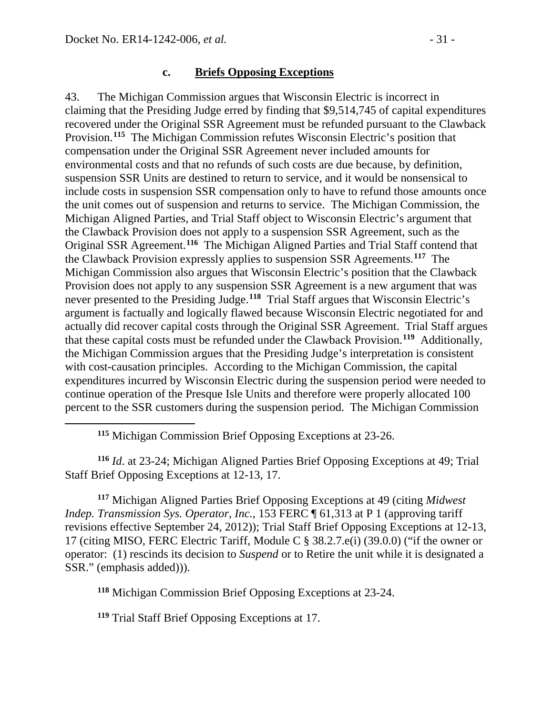#### <span id="page-30-0"></span>**c. Briefs Opposing Exceptions**

43. The Michigan Commission argues that Wisconsin Electric is incorrect in claiming that the Presiding Judge erred by finding that \$9,514,745 of capital expenditures recovered under the Original SSR Agreement must be refunded pursuant to the Clawback Provision.**[115](#page-30-1)** The Michigan Commission refutes Wisconsin Electric's position that compensation under the Original SSR Agreement never included amounts for environmental costs and that no refunds of such costs are due because, by definition, suspension SSR Units are destined to return to service, and it would be nonsensical to include costs in suspension SSR compensation only to have to refund those amounts once the unit comes out of suspension and returns to service. The Michigan Commission, the Michigan Aligned Parties, and Trial Staff object to Wisconsin Electric's argument that the Clawback Provision does not apply to a suspension SSR Agreement, such as the Original SSR Agreement.**[116](#page-30-2)** The Michigan Aligned Parties and Trial Staff contend that the Clawback Provision expressly applies to suspension SSR Agreements.**[117](#page-30-3)** The Michigan Commission also argues that Wisconsin Electric's position that the Clawback Provision does not apply to any suspension SSR Agreement is a new argument that was never presented to the Presiding Judge.**[118](#page-30-4)** Trial Staff argues that Wisconsin Electric's argument is factually and logically flawed because Wisconsin Electric negotiated for and actually did recover capital costs through the Original SSR Agreement. Trial Staff argues that these capital costs must be refunded under the Clawback Provision.**[119](#page-30-5)** Additionally, the Michigan Commission argues that the Presiding Judge's interpretation is consistent with cost-causation principles. According to the Michigan Commission, the capital expenditures incurred by Wisconsin Electric during the suspension period were needed to continue operation of the Presque Isle Units and therefore were properly allocated 100 percent to the SSR customers during the suspension period. The Michigan Commission

**<sup>115</sup>** Michigan Commission Brief Opposing Exceptions at 23-26.

<span id="page-30-2"></span><span id="page-30-1"></span>**<sup>116</sup>** *Id*. at 23-24; Michigan Aligned Parties Brief Opposing Exceptions at 49; Trial Staff Brief Opposing Exceptions at 12-13, 17.

<span id="page-30-3"></span>**<sup>117</sup>** Michigan Aligned Parties Brief Opposing Exceptions at 49 (citing *Midwest Indep. Transmission Sys. Operator, Inc., 153 FERC* 161,313 at P 1 (approving tariff revisions effective September 24, 2012)); Trial Staff Brief Opposing Exceptions at 12-13, 17 (citing MISO, FERC Electric Tariff, Module C § 38.2.7.e(i) (39.0.0) ("if the owner or operator: (1) rescinds its decision to *Suspend* or to Retire the unit while it is designated a SSR." (emphasis added))).

<span id="page-30-4"></span>**<sup>118</sup>** Michigan Commission Brief Opposing Exceptions at 23-24.

<span id="page-30-5"></span>**<sup>119</sup>** Trial Staff Brief Opposing Exceptions at 17.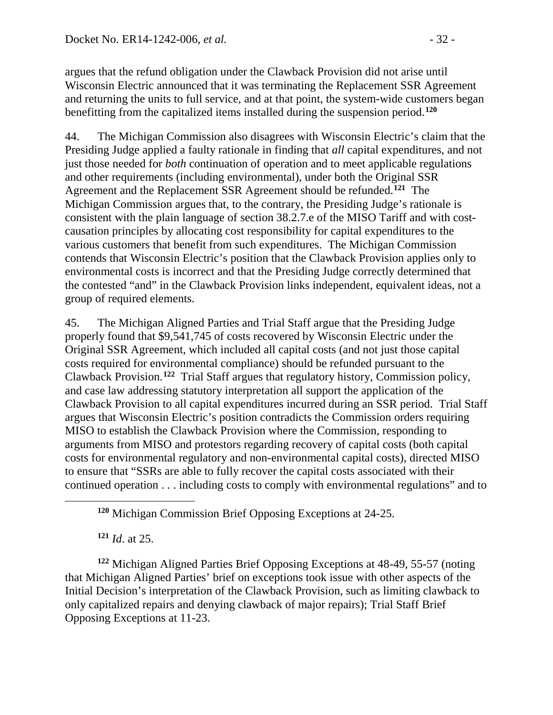argues that the refund obligation under the Clawback Provision did not arise until Wisconsin Electric announced that it was terminating the Replacement SSR Agreement and returning the units to full service, and at that point, the system-wide customers began benefitting from the capitalized items installed during the suspension period.**[120](#page-31-0)**

44. The Michigan Commission also disagrees with Wisconsin Electric's claim that the Presiding Judge applied a faulty rationale in finding that *all* capital expenditures, and not just those needed for *both* continuation of operation and to meet applicable regulations and other requirements (including environmental), under both the Original SSR Agreement and the Replacement SSR Agreement should be refunded.**[121](#page-31-1)** The Michigan Commission argues that, to the contrary, the Presiding Judge's rationale is consistent with the plain language of section 38.2.7.e of the MISO Tariff and with costcausation principles by allocating cost responsibility for capital expenditures to the various customers that benefit from such expenditures. The Michigan Commission contends that Wisconsin Electric's position that the Clawback Provision applies only to environmental costs is incorrect and that the Presiding Judge correctly determined that the contested "and" in the Clawback Provision links independent, equivalent ideas, not a group of required elements.

45. The Michigan Aligned Parties and Trial Staff argue that the Presiding Judge properly found that \$9,541,745 of costs recovered by Wisconsin Electric under the Original SSR Agreement, which included all capital costs (and not just those capital costs required for environmental compliance) should be refunded pursuant to the Clawback Provision.**[122](#page-31-2)** Trial Staff argues that regulatory history, Commission policy, and case law addressing statutory interpretation all support the application of the Clawback Provision to all capital expenditures incurred during an SSR period. Trial Staff argues that Wisconsin Electric's position contradicts the Commission orders requiring MISO to establish the Clawback Provision where the Commission, responding to arguments from MISO and protestors regarding recovery of capital costs (both capital costs for environmental regulatory and non-environmental capital costs), directed MISO to ensure that "SSRs are able to fully recover the capital costs associated with their continued operation . . . including costs to comply with environmental regulations" and to

**<sup>120</sup>** Michigan Commission Brief Opposing Exceptions at 24-25.

**<sup>121</sup>** *Id*. at 25.

<span id="page-31-0"></span> $\overline{a}$ 

<span id="page-31-2"></span><span id="page-31-1"></span>**<sup>122</sup>** Michigan Aligned Parties Brief Opposing Exceptions at 48-49, 55-57 (noting that Michigan Aligned Parties' brief on exceptions took issue with other aspects of the Initial Decision's interpretation of the Clawback Provision, such as limiting clawback to only capitalized repairs and denying clawback of major repairs); Trial Staff Brief Opposing Exceptions at 11-23.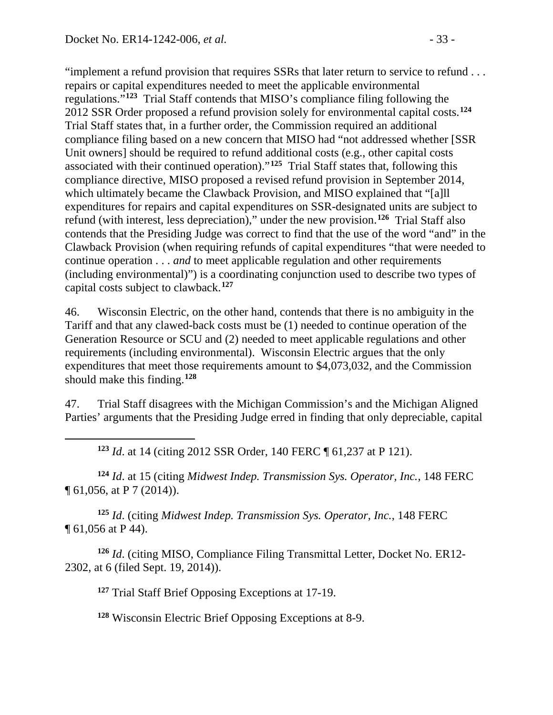"implement a refund provision that requires SSRs that later return to service to refund . . . repairs or capital expenditures needed to meet the applicable environmental regulations."**[123](#page-32-0)** Trial Staff contends that MISO's compliance filing following the 2012 SSR Order proposed a refund provision solely for environmental capital costs.**[124](#page-32-1)** Trial Staff states that, in a further order, the Commission required an additional compliance filing based on a new concern that MISO had "not addressed whether [SSR Unit owners] should be required to refund additional costs (e.g., other capital costs associated with their continued operation)."**[125](#page-32-2)** Trial Staff states that, following this compliance directive, MISO proposed a revised refund provision in September 2014, which ultimately became the Clawback Provision, and MISO explained that "[a]ll expenditures for repairs and capital expenditures on SSR-designated units are subject to refund (with interest, less depreciation)," under the new provision.**[126](#page-32-3)** Trial Staff also contends that the Presiding Judge was correct to find that the use of the word "and" in the Clawback Provision (when requiring refunds of capital expenditures "that were needed to continue operation . . . *and* to meet applicable regulation and other requirements (including environmental)") is a coordinating conjunction used to describe two types of capital costs subject to clawback.**[127](#page-32-4)**

46. Wisconsin Electric, on the other hand, contends that there is no ambiguity in the Tariff and that any clawed-back costs must be (1) needed to continue operation of the Generation Resource or SCU and (2) needed to meet applicable regulations and other requirements (including environmental). Wisconsin Electric argues that the only expenditures that meet those requirements amount to \$4,073,032, and the Commission should make this finding.**[128](#page-32-5)**

47. Trial Staff disagrees with the Michigan Commission's and the Michigan Aligned Parties' arguments that the Presiding Judge erred in finding that only depreciable, capital

**<sup>123</sup>** *Id*. at 14 (citing 2012 SSR Order, 140 FERC ¶ 61,237 at P 121).

<span id="page-32-1"></span><span id="page-32-0"></span>**<sup>124</sup>** *Id*. at 15 (citing *Midwest Indep. Transmission Sys. Operator, Inc.*, 148 FERC ¶ 61,056, at P 7 (2014)).

<span id="page-32-2"></span>**<sup>125</sup>** *Id*. (citing *Midwest Indep. Transmission Sys. Operator, Inc.*, 148 FERC ¶ 61,056 at P 44).

<span id="page-32-5"></span><span id="page-32-4"></span><span id="page-32-3"></span>**<sup>126</sup>** *Id*. (citing MISO, Compliance Filing Transmittal Letter, Docket No. ER12- 2302, at 6 (filed Sept. 19, 2014)).

**<sup>127</sup>** Trial Staff Brief Opposing Exceptions at 17-19.

**<sup>128</sup>** Wisconsin Electric Brief Opposing Exceptions at 8-9.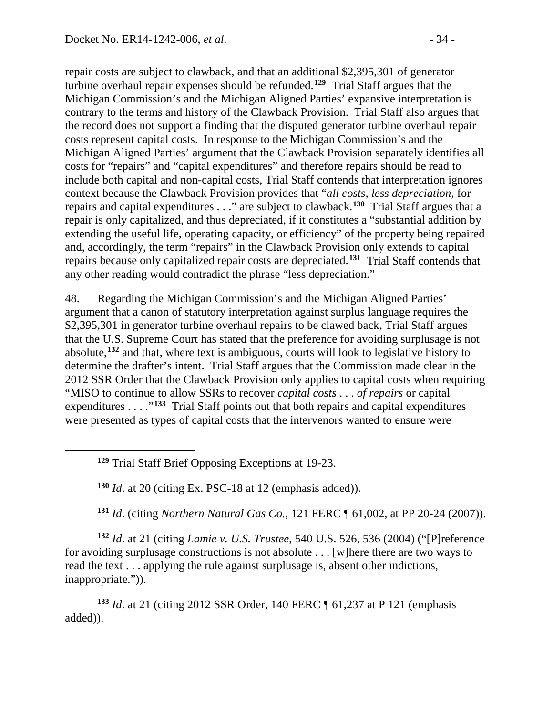repair costs are subject to clawback, and that an additional \$2,395,301 of generator turbine overhaul repair expenses should be refunded.**[129](#page-33-0)** Trial Staff argues that the Michigan Commission's and the Michigan Aligned Parties' expansive interpretation is contrary to the terms and history of the Clawback Provision. Trial Staff also argues that the record does not support a finding that the disputed generator turbine overhaul repair costs represent capital costs. In response to the Michigan Commission's and the Michigan Aligned Parties' argument that the Clawback Provision separately identifies all costs for "repairs" and "capital expenditures" and therefore repairs should be read to include both capital and non-capital costs, Trial Staff contends that interpretation ignores context because the Clawback Provision provides that "*all costs, less depreciation*, for repairs and capital expenditures . . ." are subject to clawback.**[130](#page-33-1)** Trial Staff argues that a repair is only capitalized, and thus depreciated, if it constitutes a "substantial addition by extending the useful life, operating capacity, or efficiency" of the property being repaired and, accordingly, the term "repairs" in the Clawback Provision only extends to capital repairs because only capitalized repair costs are depreciated.**[131](#page-33-2)** Trial Staff contends that any other reading would contradict the phrase "less depreciation."

48. Regarding the Michigan Commission's and the Michigan Aligned Parties' argument that a canon of statutory interpretation against surplus language requires the \$2,395,301 in generator turbine overhaul repairs to be clawed back, Trial Staff argues that the U.S. Supreme Court has stated that the preference for avoiding surplusage is not absolute,**[132](#page-33-3)** and that, where text is ambiguous, courts will look to legislative history to determine the drafter's intent. Trial Staff argues that the Commission made clear in the 2012 SSR Order that the Clawback Provision only applies to capital costs when requiring "MISO to continue to allow SSRs to recover *capital costs* . . . *of repairs* or capital expenditures . . . ."**[133](#page-33-4)** Trial Staff points out that both repairs and capital expenditures were presented as types of capital costs that the intervenors wanted to ensure were

**<sup>129</sup>** Trial Staff Brief Opposing Exceptions at 19-23.

<span id="page-33-1"></span><span id="page-33-0"></span> $\overline{a}$ 

**<sup>130</sup>** *Id*. at 20 (citing Ex. PSC-18 at 12 (emphasis added)).

**<sup>131</sup>** *Id*. (citing *Northern Natural Gas Co.*, 121 FERC ¶ 61,002, at PP 20-24 (2007)).

<span id="page-33-3"></span><span id="page-33-2"></span>**<sup>132</sup>** *Id*. at 21 (citing *Lamie v. U.S. Trustee*, 540 U.S. 526, 536 (2004) ("[P]reference for avoiding surplusage constructions is not absolute . . . [w]here there are two ways to read the text . . . applying the rule against surplusage is, absent other indictions, inappropriate.")).

<span id="page-33-4"></span>**<sup>133</sup>** *Id*. at 21 (citing 2012 SSR Order, 140 FERC ¶ 61,237 at P 121 (emphasis added)).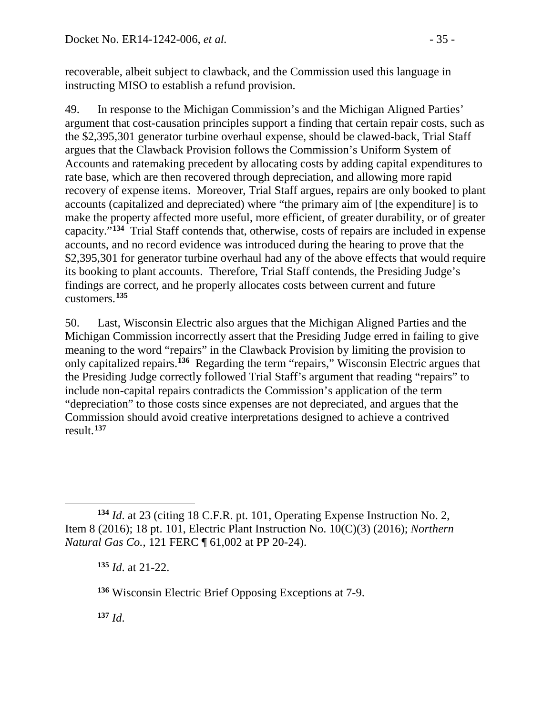recoverable, albeit subject to clawback, and the Commission used this language in instructing MISO to establish a refund provision.

49. In response to the Michigan Commission's and the Michigan Aligned Parties' argument that cost-causation principles support a finding that certain repair costs, such as the \$2,395,301 generator turbine overhaul expense, should be clawed-back, Trial Staff argues that the Clawback Provision follows the Commission's Uniform System of Accounts and ratemaking precedent by allocating costs by adding capital expenditures to rate base, which are then recovered through depreciation, and allowing more rapid recovery of expense items. Moreover, Trial Staff argues, repairs are only booked to plant accounts (capitalized and depreciated) where "the primary aim of [the expenditure] is to make the property affected more useful, more efficient, of greater durability, or of greater capacity."**[134](#page-34-0)** Trial Staff contends that, otherwise, costs of repairs are included in expense accounts, and no record evidence was introduced during the hearing to prove that the \$2,395,301 for generator turbine overhaul had any of the above effects that would require its booking to plant accounts. Therefore, Trial Staff contends, the Presiding Judge's findings are correct, and he properly allocates costs between current and future customers.**[135](#page-34-1)**

50. Last, Wisconsin Electric also argues that the Michigan Aligned Parties and the Michigan Commission incorrectly assert that the Presiding Judge erred in failing to give meaning to the word "repairs" in the Clawback Provision by limiting the provision to only capitalized repairs.**[136](#page-34-2)** Regarding the term "repairs," Wisconsin Electric argues that the Presiding Judge correctly followed Trial Staff's argument that reading "repairs" to include non-capital repairs contradicts the Commission's application of the term "depreciation" to those costs since expenses are not depreciated, and argues that the Commission should avoid creative interpretations designed to achieve a contrived result.**[137](#page-34-3)**

**<sup>135</sup>** *Id*. at 21-22.

<span id="page-34-3"></span>**<sup>137</sup>** *Id*.

 $\overline{a}$ 

<span id="page-34-1"></span><span id="page-34-0"></span>**<sup>134</sup>** *Id*. at 23 (citing 18 C.F.R. pt. 101, Operating Expense Instruction No. 2, Item 8 (2016); 18 pt. 101, Electric Plant Instruction No. 10(C)(3) (2016); *Northern Natural Gas Co.*, 121 FERC ¶ 61,002 at PP 20-24).

<span id="page-34-2"></span>**<sup>136</sup>** Wisconsin Electric Brief Opposing Exceptions at 7-9.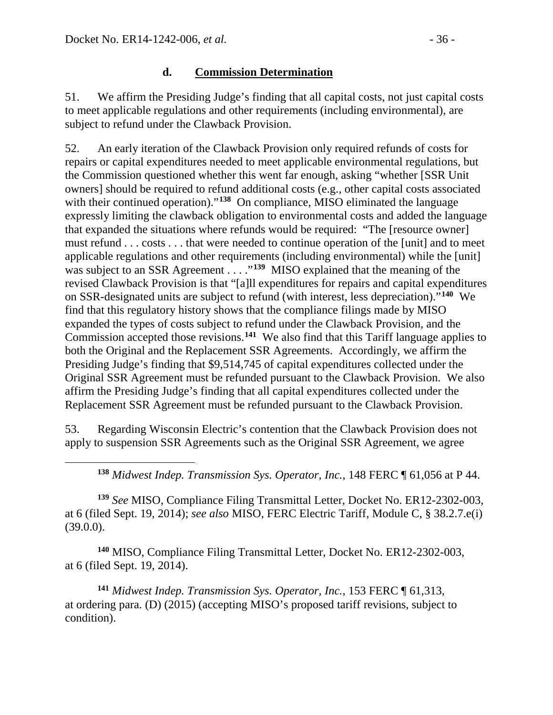#### <span id="page-35-0"></span>**d. Commission Determination**

51. We affirm the Presiding Judge's finding that all capital costs, not just capital costs to meet applicable regulations and other requirements (including environmental), are subject to refund under the Clawback Provision.

52. An early iteration of the Clawback Provision only required refunds of costs for repairs or capital expenditures needed to meet applicable environmental regulations, but the Commission questioned whether this went far enough, asking "whether [SSR Unit owners] should be required to refund additional costs (e.g., other capital costs associated with their continued operation)."<sup>[138](#page-35-1)</sup> On compliance, MISO eliminated the language expressly limiting the clawback obligation to environmental costs and added the language that expanded the situations where refunds would be required: "The [resource owner] must refund . . . costs . . . that were needed to continue operation of the [unit] and to meet applicable regulations and other requirements (including environmental) while the [unit] was subject to an SSR Agreement . . . . "<sup>[139](#page-35-2)</sup> MISO explained that the meaning of the revised Clawback Provision is that "[a]ll expenditures for repairs and capital expenditures on SSR-designated units are subject to refund (with interest, less depreciation)."**[140](#page-35-3)** We find that this regulatory history shows that the compliance filings made by MISO expanded the types of costs subject to refund under the Clawback Provision, and the Commission accepted those revisions.**[141](#page-35-4)** We also find that this Tariff language applies to both the Original and the Replacement SSR Agreements. Accordingly, we affirm the Presiding Judge's finding that \$9,514,745 of capital expenditures collected under the Original SSR Agreement must be refunded pursuant to the Clawback Provision. We also affirm the Presiding Judge's finding that all capital expenditures collected under the Replacement SSR Agreement must be refunded pursuant to the Clawback Provision.

53. Regarding Wisconsin Electric's contention that the Clawback Provision does not apply to suspension SSR Agreements such as the Original SSR Agreement, we agree

**<sup>138</sup>** *Midwest Indep. Transmission Sys. Operator, Inc.*, 148 FERC ¶ 61,056 at P 44.

<span id="page-35-2"></span><span id="page-35-1"></span>**<sup>139</sup>** *See* MISO, Compliance Filing Transmittal Letter, Docket No. ER12-2302-003, at 6 (filed Sept. 19, 2014); *see also* MISO, FERC Electric Tariff, Module C, § 38.2.7.e(i)  $(39.0.0)$ .

<span id="page-35-3"></span>**<sup>140</sup>** MISO, Compliance Filing Transmittal Letter, Docket No. ER12-2302-003, at 6 (filed Sept. 19, 2014).

<span id="page-35-4"></span>**<sup>141</sup>** *Midwest Indep. Transmission Sys. Operator, Inc.*, 153 FERC ¶ 61,313, at ordering para. (D) (2015) (accepting MISO's proposed tariff revisions, subject to condition).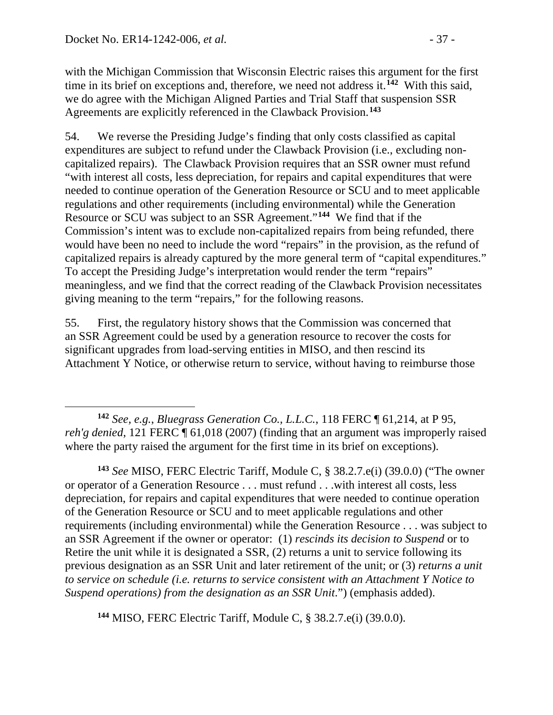with the Michigan Commission that Wisconsin Electric raises this argument for the first time in its brief on exceptions and, therefore, we need not address it.**[142](#page-36-0)** With this said, we do agree with the Michigan Aligned Parties and Trial Staff that suspension SSR Agreements are explicitly referenced in the Clawback Provision.**[143](#page-36-1)**

54. We reverse the Presiding Judge's finding that only costs classified as capital expenditures are subject to refund under the Clawback Provision (i.e., excluding noncapitalized repairs). The Clawback Provision requires that an SSR owner must refund "with interest all costs, less depreciation, for repairs and capital expenditures that were needed to continue operation of the Generation Resource or SCU and to meet applicable regulations and other requirements (including environmental) while the Generation Resource or SCU was subject to an SSR Agreement."**[144](#page-36-2)** We find that if the Commission's intent was to exclude non-capitalized repairs from being refunded, there would have been no need to include the word "repairs" in the provision, as the refund of capitalized repairs is already captured by the more general term of "capital expenditures." To accept the Presiding Judge's interpretation would render the term "repairs" meaningless, and we find that the correct reading of the Clawback Provision necessitates giving meaning to the term "repairs," for the following reasons.

55. First, the regulatory history shows that the Commission was concerned that an SSR Agreement could be used by a generation resource to recover the costs for significant upgrades from load-serving entities in MISO, and then rescind its Attachment Y Notice, or otherwise return to service, without having to reimburse those

<span id="page-36-0"></span> $\overline{a}$ **<sup>142</sup>** *See, e.g.*, *Bluegrass Generation Co., L.L.C.*, 118 FERC ¶ 61,214, at P 95, *reh'g denied*, 121 FERC ¶ 61,018 (2007) (finding that an argument was improperly raised where the party raised the argument for the first time in its brief on exceptions).

<span id="page-36-1"></span>**<sup>143</sup>** *See* MISO, FERC Electric Tariff, Module C, § 38.2.7.e(i) (39.0.0) ("The owner or operator of a Generation Resource . . . must refund . . .with interest all costs, less depreciation, for repairs and capital expenditures that were needed to continue operation of the Generation Resource or SCU and to meet applicable regulations and other requirements (including environmental) while the Generation Resource . . . was subject to an SSR Agreement if the owner or operator: (1) *rescinds its decision to Suspend* or to Retire the unit while it is designated a SSR, (2) returns a unit to service following its previous designation as an SSR Unit and later retirement of the unit; or (3) *returns a unit to service on schedule (i.e. returns to service consistent with an Attachment Y Notice to Suspend operations) from the designation as an SSR Unit*.") (emphasis added).

<span id="page-36-2"></span>**<sup>144</sup>** MISO, FERC Electric Tariff, Module C, § 38.2.7.e(i) (39.0.0).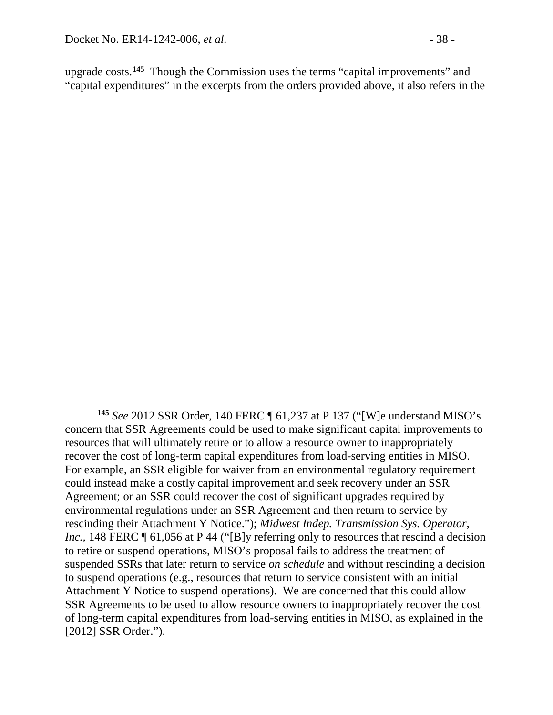upgrade costs.**[145](#page-37-0)** Though the Commission uses the terms "capital improvements" and "capital expenditures" in the excerpts from the orders provided above, it also refers in the

<span id="page-37-0"></span>**<sup>145</sup>** *See* 2012 SSR Order, 140 FERC ¶ 61,237 at P 137 ("[W]e understand MISO's concern that SSR Agreements could be used to make significant capital improvements to resources that will ultimately retire or to allow a resource owner to inappropriately recover the cost of long-term capital expenditures from load-serving entities in MISO. For example, an SSR eligible for waiver from an environmental regulatory requirement could instead make a costly capital improvement and seek recovery under an SSR Agreement; or an SSR could recover the cost of significant upgrades required by environmental regulations under an SSR Agreement and then return to service by rescinding their Attachment Y Notice."); *Midwest Indep. Transmission Sys. Operator, Inc.*, 148 FERC  $\P$  61,056 at P 44 ("[B]y referring only to resources that rescind a decision to retire or suspend operations, MISO's proposal fails to address the treatment of suspended SSRs that later return to service *on schedule* and without rescinding a decision to suspend operations (e.g., resources that return to service consistent with an initial Attachment Y Notice to suspend operations). We are concerned that this could allow SSR Agreements to be used to allow resource owners to inappropriately recover the cost of long-term capital expenditures from load-serving entities in MISO, as explained in the [2012] SSR Order.").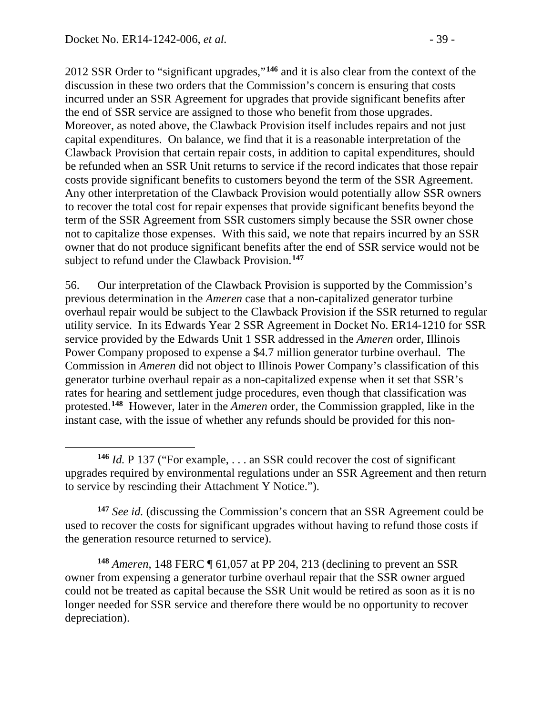2012 SSR Order to "significant upgrades,"**[146](#page-38-0)** and it is also clear from the context of the discussion in these two orders that the Commission's concern is ensuring that costs incurred under an SSR Agreement for upgrades that provide significant benefits after the end of SSR service are assigned to those who benefit from those upgrades. Moreover, as noted above, the Clawback Provision itself includes repairs and not just capital expenditures. On balance, we find that it is a reasonable interpretation of the Clawback Provision that certain repair costs, in addition to capital expenditures, should be refunded when an SSR Unit returns to service if the record indicates that those repair costs provide significant benefits to customers beyond the term of the SSR Agreement. Any other interpretation of the Clawback Provision would potentially allow SSR owners to recover the total cost for repair expenses that provide significant benefits beyond the term of the SSR Agreement from SSR customers simply because the SSR owner chose not to capitalize those expenses. With this said, we note that repairs incurred by an SSR owner that do not produce significant benefits after the end of SSR service would not be subject to refund under the Clawback Provision.**[147](#page-38-1)**

56. Our interpretation of the Clawback Provision is supported by the Commission's previous determination in the *Ameren* case that a non-capitalized generator turbine overhaul repair would be subject to the Clawback Provision if the SSR returned to regular utility service. In its Edwards Year 2 SSR Agreement in Docket No. ER14-1210 for SSR service provided by the Edwards Unit 1 SSR addressed in the *Ameren* order, Illinois Power Company proposed to expense a \$4.7 million generator turbine overhaul. The Commission in *Ameren* did not object to Illinois Power Company's classification of this generator turbine overhaul repair as a non-capitalized expense when it set that SSR's rates for hearing and settlement judge procedures, even though that classification was protested. **[148](#page-38-2)** However, later in the *Ameren* order, the Commission grappled, like in the instant case, with the issue of whether any refunds should be provided for this non-

<span id="page-38-1"></span>**<sup>147</sup>** *See id.* (discussing the Commission's concern that an SSR Agreement could be used to recover the costs for significant upgrades without having to refund those costs if the generation resource returned to service).

<span id="page-38-2"></span>**<sup>148</sup>** *Ameren*, 148 FERC ¶ 61,057 at PP 204, 213 (declining to prevent an SSR owner from expensing a generator turbine overhaul repair that the SSR owner argued could not be treated as capital because the SSR Unit would be retired as soon as it is no longer needed for SSR service and therefore there would be no opportunity to recover depreciation).

<span id="page-38-0"></span> $\overline{a}$ **<sup>146</sup>** *Id.* P 137 ("For example, . . . an SSR could recover the cost of significant upgrades required by environmental regulations under an SSR Agreement and then return to service by rescinding their Attachment Y Notice.").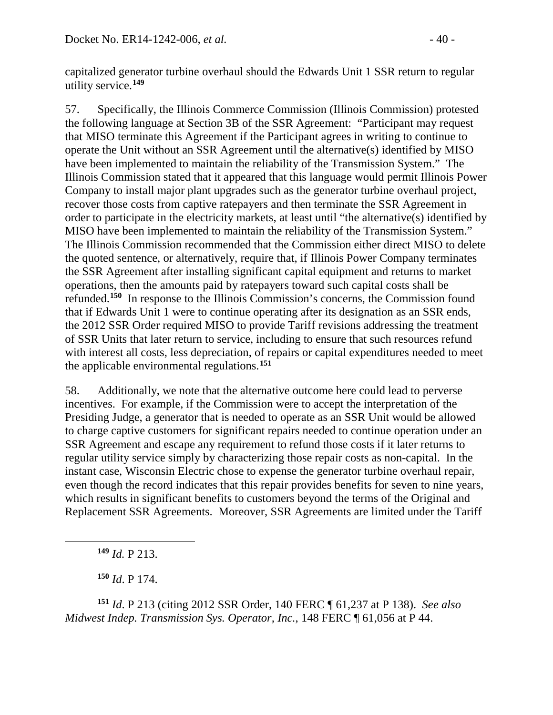capitalized generator turbine overhaul should the Edwards Unit 1 SSR return to regular utility service.**[149](#page-39-0)**

57. Specifically, the Illinois Commerce Commission (Illinois Commission) protested the following language at Section 3B of the SSR Agreement: "Participant may request that MISO terminate this Agreement if the Participant agrees in writing to continue to operate the Unit without an SSR Agreement until the alternative(s) identified by MISO have been implemented to maintain the reliability of the Transmission System." The Illinois Commission stated that it appeared that this language would permit Illinois Power Company to install major plant upgrades such as the generator turbine overhaul project, recover those costs from captive ratepayers and then terminate the SSR Agreement in order to participate in the electricity markets, at least until "the alternative(s) identified by MISO have been implemented to maintain the reliability of the Transmission System." The Illinois Commission recommended that the Commission either direct MISO to delete the quoted sentence, or alternatively, require that, if Illinois Power Company terminates the SSR Agreement after installing significant capital equipment and returns to market operations, then the amounts paid by ratepayers toward such capital costs shall be refunded.**[150](#page-39-1)** In response to the Illinois Commission's concerns, the Commission found that if Edwards Unit 1 were to continue operating after its designation as an SSR ends, the 2012 SSR Order required MISO to provide Tariff revisions addressing the treatment of SSR Units that later return to service, including to ensure that such resources refund with interest all costs, less depreciation, of repairs or capital expenditures needed to meet the applicable environmental regulations.**[151](#page-39-2)**

58. Additionally, we note that the alternative outcome here could lead to perverse incentives. For example, if the Commission were to accept the interpretation of the Presiding Judge, a generator that is needed to operate as an SSR Unit would be allowed to charge captive customers for significant repairs needed to continue operation under an SSR Agreement and escape any requirement to refund those costs if it later returns to regular utility service simply by characterizing those repair costs as non-capital. In the instant case, Wisconsin Electric chose to expense the generator turbine overhaul repair, even though the record indicates that this repair provides benefits for seven to nine years, which results in significant benefits to customers beyond the terms of the Original and Replacement SSR Agreements. Moreover, SSR Agreements are limited under the Tariff

<span id="page-39-0"></span> $\overline{a}$ 

**<sup>150</sup>** *Id*. P 174.

<span id="page-39-2"></span><span id="page-39-1"></span>**<sup>151</sup>** *Id*. P 213 (citing 2012 SSR Order, 140 FERC ¶ 61,237 at P 138). *See also Midwest Indep. Transmission Sys. Operator, Inc.*, 148 FERC ¶ 61,056 at P 44.

**<sup>149</sup>** *Id.* P 213.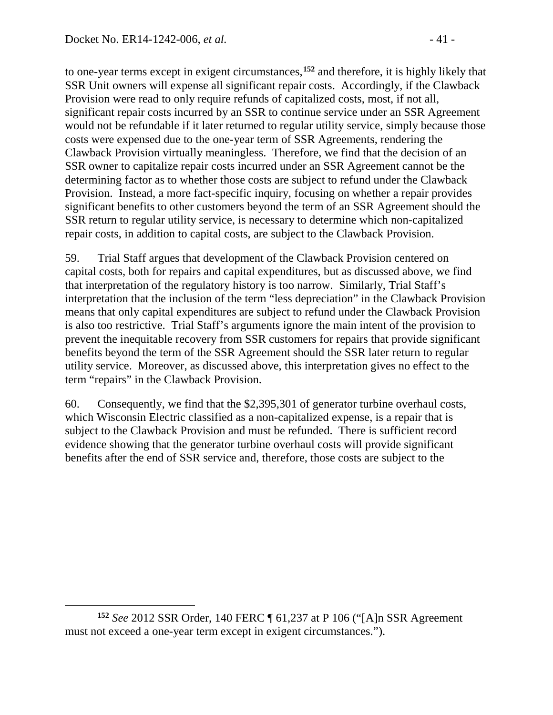to one-year terms except in exigent circumstances,**[152](#page-40-0)** and therefore, it is highly likely that SSR Unit owners will expense all significant repair costs. Accordingly, if the Clawback Provision were read to only require refunds of capitalized costs, most, if not all, significant repair costs incurred by an SSR to continue service under an SSR Agreement would not be refundable if it later returned to regular utility service, simply because those costs were expensed due to the one-year term of SSR Agreements, rendering the Clawback Provision virtually meaningless. Therefore, we find that the decision of an SSR owner to capitalize repair costs incurred under an SSR Agreement cannot be the determining factor as to whether those costs are subject to refund under the Clawback Provision. Instead, a more fact-specific inquiry, focusing on whether a repair provides significant benefits to other customers beyond the term of an SSR Agreement should the SSR return to regular utility service, is necessary to determine which non-capitalized repair costs, in addition to capital costs, are subject to the Clawback Provision.

59. Trial Staff argues that development of the Clawback Provision centered on capital costs, both for repairs and capital expenditures, but as discussed above, we find that interpretation of the regulatory history is too narrow. Similarly, Trial Staff's interpretation that the inclusion of the term "less depreciation" in the Clawback Provision means that only capital expenditures are subject to refund under the Clawback Provision is also too restrictive. Trial Staff's arguments ignore the main intent of the provision to prevent the inequitable recovery from SSR customers for repairs that provide significant benefits beyond the term of the SSR Agreement should the SSR later return to regular utility service. Moreover, as discussed above, this interpretation gives no effect to the term "repairs" in the Clawback Provision.

60. Consequently, we find that the \$2,395,301 of generator turbine overhaul costs, which Wisconsin Electric classified as a non-capitalized expense, is a repair that is subject to the Clawback Provision and must be refunded. There is sufficient record evidence showing that the generator turbine overhaul costs will provide significant benefits after the end of SSR service and, therefore, those costs are subject to the

<span id="page-40-0"></span>**<sup>152</sup>** *See* 2012 SSR Order, 140 FERC ¶ 61,237 at P 106 ("[A]n SSR Agreement must not exceed a one-year term except in exigent circumstances.").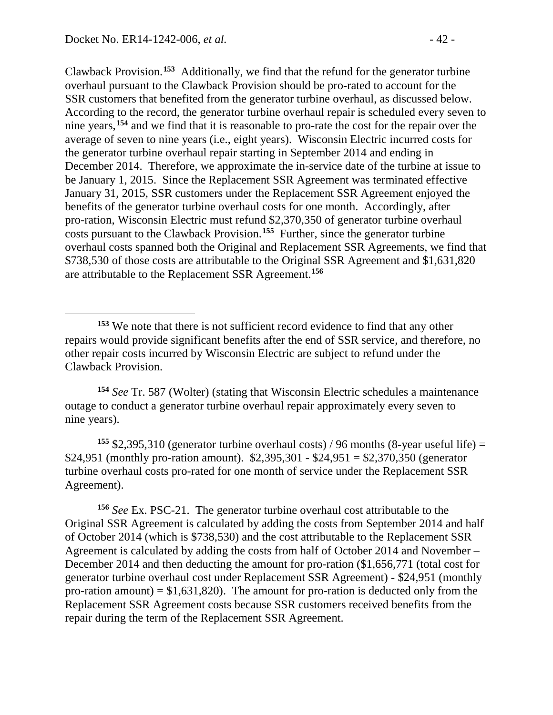Clawback Provision.**[153](#page-41-0)** Additionally, we find that the refund for the generator turbine overhaul pursuant to the Clawback Provision should be pro-rated to account for the SSR customers that benefited from the generator turbine overhaul, as discussed below. According to the record, the generator turbine overhaul repair is scheduled every seven to nine years,**[154](#page-41-1)** and we find that it is reasonable to pro-rate the cost for the repair over the average of seven to nine years (i.e., eight years). Wisconsin Electric incurred costs for the generator turbine overhaul repair starting in September 2014 and ending in December 2014. Therefore, we approximate the in-service date of the turbine at issue to be January 1, 2015. Since the Replacement SSR Agreement was terminated effective January 31, 2015, SSR customers under the Replacement SSR Agreement enjoyed the benefits of the generator turbine overhaul costs for one month. Accordingly, after pro-ration, Wisconsin Electric must refund \$2,370,350 of generator turbine overhaul costs pursuant to the Clawback Provision.**[155](#page-41-2)** Further, since the generator turbine overhaul costs spanned both the Original and Replacement SSR Agreements, we find that \$738,530 of those costs are attributable to the Original SSR Agreement and \$1,631,820 are attributable to the Replacement SSR Agreement.**[156](#page-41-3)**

<span id="page-41-1"></span>**<sup>154</sup>** *See* Tr. 587 (Wolter) (stating that Wisconsin Electric schedules a maintenance outage to conduct a generator turbine overhaul repair approximately every seven to nine years).

<span id="page-41-2"></span><sup>155</sup> \$2,395,310 (generator turbine overhaul costs) / 96 months (8-year useful life) = \$24,951 (monthly pro-ration amount). \$2,395,301 - \$24,951 = \$2,370,350 (generator turbine overhaul costs pro-rated for one month of service under the Replacement SSR Agreement).

<span id="page-41-3"></span>**<sup>156</sup>** *See* Ex. PSC-21. The generator turbine overhaul cost attributable to the Original SSR Agreement is calculated by adding the costs from September 2014 and half of October 2014 (which is \$738,530) and the cost attributable to the Replacement SSR Agreement is calculated by adding the costs from half of October 2014 and November – December 2014 and then deducting the amount for pro-ration (\$1,656,771 (total cost for generator turbine overhaul cost under Replacement SSR Agreement) - \$24,951 (monthly pro-ration amount) =  $$1,631,820$ . The amount for pro-ration is deducted only from the Replacement SSR Agreement costs because SSR customers received benefits from the repair during the term of the Replacement SSR Agreement.

<span id="page-41-0"></span>**<sup>153</sup>** We note that there is not sufficient record evidence to find that any other repairs would provide significant benefits after the end of SSR service, and therefore, no other repair costs incurred by Wisconsin Electric are subject to refund under the Clawback Provision.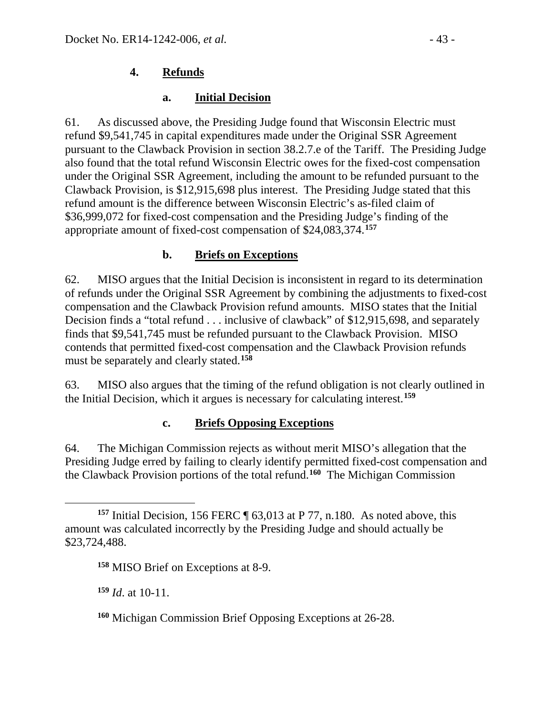#### <span id="page-42-1"></span><span id="page-42-0"></span>**a. Initial Decision**

61. As discussed above, the Presiding Judge found that Wisconsin Electric must refund \$9,541,745 in capital expenditures made under the Original SSR Agreement pursuant to the Clawback Provision in section 38.2.7.e of the Tariff. The Presiding Judge also found that the total refund Wisconsin Electric owes for the fixed-cost compensation under the Original SSR Agreement, including the amount to be refunded pursuant to the Clawback Provision, is \$12,915,698 plus interest. The Presiding Judge stated that this refund amount is the difference between Wisconsin Electric's as-filed claim of \$36,999,072 for fixed-cost compensation and the Presiding Judge's finding of the appropriate amount of fixed-cost compensation of \$24,083,374.**[157](#page-42-4)**

### <span id="page-42-2"></span>**b. Briefs on Exceptions**

62. MISO argues that the Initial Decision is inconsistent in regard to its determination of refunds under the Original SSR Agreement by combining the adjustments to fixed-cost compensation and the Clawback Provision refund amounts. MISO states that the Initial Decision finds a "total refund . . . inclusive of clawback" of \$12,915,698, and separately finds that \$9,541,745 must be refunded pursuant to the Clawback Provision. MISO contends that permitted fixed-cost compensation and the Clawback Provision refunds must be separately and clearly stated.**[158](#page-42-5)**

63. MISO also argues that the timing of the refund obligation is not clearly outlined in the Initial Decision, which it argues is necessary for calculating interest.**[159](#page-42-6)**

#### <span id="page-42-3"></span>**c. Briefs Opposing Exceptions**

64. The Michigan Commission rejects as without merit MISO's allegation that the Presiding Judge erred by failing to clearly identify permitted fixed-cost compensation and the Clawback Provision portions of the total refund.**[160](#page-42-7)** The Michigan Commission

<span id="page-42-6"></span>**<sup>159</sup>** *Id*. at 10-11.

 $\overline{a}$ 

<span id="page-42-7"></span>**<sup>160</sup>** Michigan Commission Brief Opposing Exceptions at 26-28.

<span id="page-42-5"></span><span id="page-42-4"></span>**<sup>157</sup>** Initial Decision, 156 FERC ¶ 63,013 at P 77, n.180. As noted above, this amount was calculated incorrectly by the Presiding Judge and should actually be \$23,724,488.

**<sup>158</sup>** MISO Brief on Exceptions at 8-9.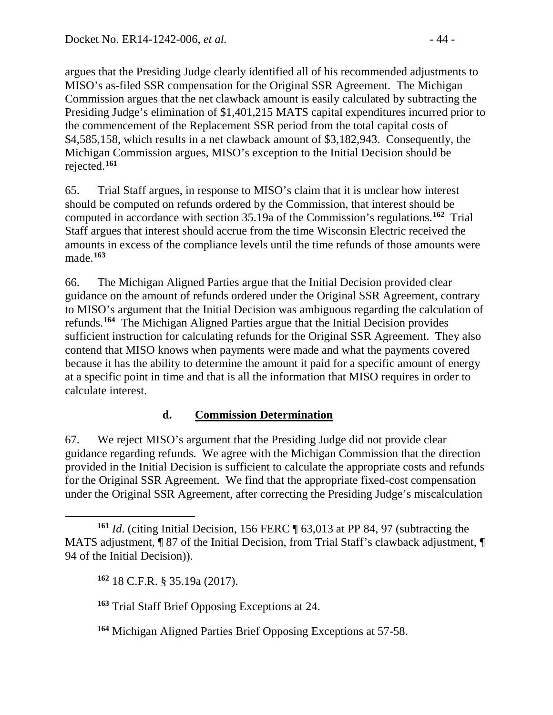argues that the Presiding Judge clearly identified all of his recommended adjustments to MISO's as-filed SSR compensation for the Original SSR Agreement. The Michigan Commission argues that the net clawback amount is easily calculated by subtracting the Presiding Judge's elimination of \$1,401,215 MATS capital expenditures incurred prior to the commencement of the Replacement SSR period from the total capital costs of \$4,585,158, which results in a net clawback amount of \$3,182,943. Consequently, the Michigan Commission argues, MISO's exception to the Initial Decision should be rejected.**[161](#page-43-1)**

65. Trial Staff argues, in response to MISO's claim that it is unclear how interest should be computed on refunds ordered by the Commission, that interest should be computed in accordance with section 35.19a of the Commission's regulations.**[162](#page-43-2)** Trial Staff argues that interest should accrue from the time Wisconsin Electric received the amounts in excess of the compliance levels until the time refunds of those amounts were made.**[163](#page-43-3)**

66. The Michigan Aligned Parties argue that the Initial Decision provided clear guidance on the amount of refunds ordered under the Original SSR Agreement, contrary to MISO's argument that the Initial Decision was ambiguous regarding the calculation of refunds.**[164](#page-43-4)** The Michigan Aligned Parties argue that the Initial Decision provides sufficient instruction for calculating refunds for the Original SSR Agreement. They also contend that MISO knows when payments were made and what the payments covered because it has the ability to determine the amount it paid for a specific amount of energy at a specific point in time and that is all the information that MISO requires in order to calculate interest.

## <span id="page-43-0"></span>**d. Commission Determination**

67. We reject MISO's argument that the Presiding Judge did not provide clear guidance regarding refunds. We agree with the Michigan Commission that the direction provided in the Initial Decision is sufficient to calculate the appropriate costs and refunds for the Original SSR Agreement. We find that the appropriate fixed-cost compensation under the Original SSR Agreement, after correcting the Presiding Judge's miscalculation

 $\overline{a}$ 

<span id="page-43-3"></span>**<sup>163</sup>** Trial Staff Brief Opposing Exceptions at 24.

<span id="page-43-4"></span>**<sup>164</sup>** Michigan Aligned Parties Brief Opposing Exceptions at 57-58.

<span id="page-43-2"></span><span id="page-43-1"></span>**<sup>161</sup>** *Id*. (citing Initial Decision, 156 FERC ¶ 63,013 at PP 84, 97 (subtracting the MATS adjustment, ¶ 87 of the Initial Decision, from Trial Staff's clawback adjustment, ¶ 94 of the Initial Decision)).

**<sup>162</sup>** 18 C.F.R. § 35.19a (2017).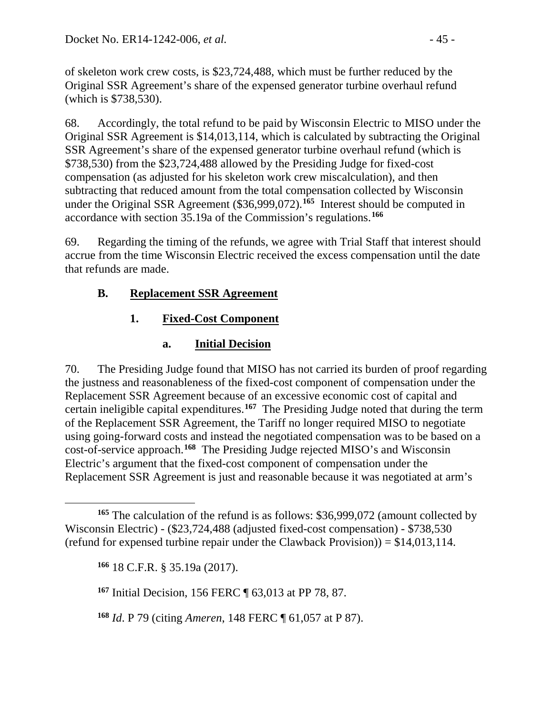of skeleton work crew costs, is \$23,724,488, which must be further reduced by the Original SSR Agreement's share of the expensed generator turbine overhaul refund (which is \$738,530).

68. Accordingly, the total refund to be paid by Wisconsin Electric to MISO under the Original SSR Agreement is \$14,013,114, which is calculated by subtracting the Original SSR Agreement's share of the expensed generator turbine overhaul refund (which is \$738,530) from the \$23,724,488 allowed by the Presiding Judge for fixed-cost compensation (as adjusted for his skeleton work crew miscalculation), and then subtracting that reduced amount from the total compensation collected by Wisconsin under the Original SSR Agreement (\$36,999,072).**[165](#page-44-3)** Interest should be computed in accordance with section 35.19a of the Commission's regulations.**[166](#page-44-4)**

69. Regarding the timing of the refunds, we agree with Trial Staff that interest should accrue from the time Wisconsin Electric received the excess compensation until the date that refunds are made.

### **B. Replacement SSR Agreement**

### **1. Fixed-Cost Component**

#### <span id="page-44-2"></span><span id="page-44-1"></span><span id="page-44-0"></span>**a. Initial Decision**

70. The Presiding Judge found that MISO has not carried its burden of proof regarding the justness and reasonableness of the fixed-cost component of compensation under the Replacement SSR Agreement because of an excessive economic cost of capital and certain ineligible capital expenditures.**[167](#page-44-5)** The Presiding Judge noted that during the term of the Replacement SSR Agreement, the Tariff no longer required MISO to negotiate using going-forward costs and instead the negotiated compensation was to be based on a cost-of-service approach.**[168](#page-44-6)** The Presiding Judge rejected MISO's and Wisconsin Electric's argument that the fixed-cost component of compensation under the Replacement SSR Agreement is just and reasonable because it was negotiated at arm's

**<sup>166</sup>** 18 C.F.R. § 35.19a (2017).

<span id="page-44-5"></span>**<sup>167</sup>** Initial Decision, 156 FERC ¶ 63,013 at PP 78, 87.

<span id="page-44-6"></span>**<sup>168</sup>** *Id*. P 79 (citing *Ameren*, 148 FERC ¶ 61,057 at P 87).

<span id="page-44-4"></span><span id="page-44-3"></span> $\overline{a}$ **<sup>165</sup>** The calculation of the refund is as follows: \$36,999,072 (amount collected by Wisconsin Electric) - (\$23,724,488 (adjusted fixed-cost compensation) - \$738,530 (refund for expensed turbine repair under the Clawback Provision)) =  $$14,013,114$ .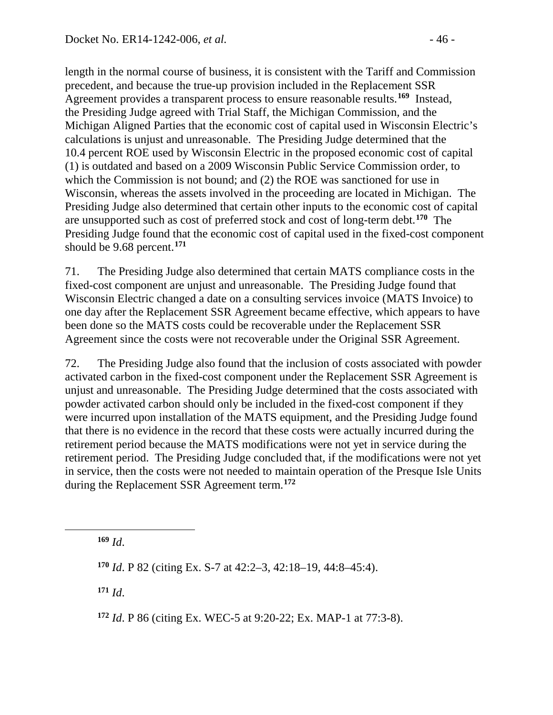length in the normal course of business, it is consistent with the Tariff and Commission precedent, and because the true-up provision included in the Replacement SSR Agreement provides a transparent process to ensure reasonable results.**[169](#page-45-0)** Instead, the Presiding Judge agreed with Trial Staff, the Michigan Commission, and the Michigan Aligned Parties that the economic cost of capital used in Wisconsin Electric's calculations is unjust and unreasonable. The Presiding Judge determined that the 10.4 percent ROE used by Wisconsin Electric in the proposed economic cost of capital (1) is outdated and based on a 2009 Wisconsin Public Service Commission order, to which the Commission is not bound; and (2) the ROE was sanctioned for use in Wisconsin, whereas the assets involved in the proceeding are located in Michigan. The Presiding Judge also determined that certain other inputs to the economic cost of capital are unsupported such as cost of preferred stock and cost of long-term debt.**[170](#page-45-1)** The Presiding Judge found that the economic cost of capital used in the fixed-cost component should be 9.68 percent.**[171](#page-45-2)**

71. The Presiding Judge also determined that certain MATS compliance costs in the fixed-cost component are unjust and unreasonable. The Presiding Judge found that Wisconsin Electric changed a date on a consulting services invoice (MATS Invoice) to one day after the Replacement SSR Agreement became effective, which appears to have been done so the MATS costs could be recoverable under the Replacement SSR Agreement since the costs were not recoverable under the Original SSR Agreement.

72. The Presiding Judge also found that the inclusion of costs associated with powder activated carbon in the fixed-cost component under the Replacement SSR Agreement is unjust and unreasonable. The Presiding Judge determined that the costs associated with powder activated carbon should only be included in the fixed-cost component if they were incurred upon installation of the MATS equipment, and the Presiding Judge found that there is no evidence in the record that these costs were actually incurred during the retirement period because the MATS modifications were not yet in service during the retirement period. The Presiding Judge concluded that, if the modifications were not yet in service, then the costs were not needed to maintain operation of the Presque Isle Units during the Replacement SSR Agreement term.**[172](#page-45-3)**

**<sup>169</sup>** *Id*.

<span id="page-45-2"></span><span id="page-45-1"></span><span id="page-45-0"></span> $\overline{a}$ 

**<sup>171</sup>** *Id*.

<span id="page-45-3"></span>**<sup>172</sup>** *Id*. P 86 (citing Ex. WEC-5 at 9:20-22; Ex. MAP-1 at 77:3-8).

**<sup>170</sup>** *Id*. P 82 (citing Ex. S-7 at 42:2–3, 42:18–19, 44:8–45:4).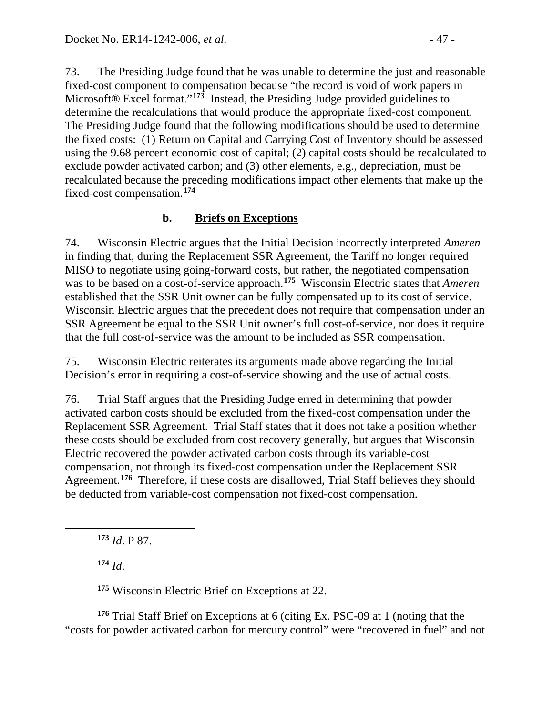73. The Presiding Judge found that he was unable to determine the just and reasonable fixed-cost component to compensation because "the record is void of work papers in Microsoft<sup>®</sup> Excel format."<sup>[173](#page-46-1)</sup> Instead, the Presiding Judge provided guidelines to determine the recalculations that would produce the appropriate fixed-cost component. The Presiding Judge found that the following modifications should be used to determine the fixed costs: (1) Return on Capital and Carrying Cost of Inventory should be assessed using the 9.68 percent economic cost of capital; (2) capital costs should be recalculated to exclude powder activated carbon; and (3) other elements, e.g., depreciation, must be recalculated because the preceding modifications impact other elements that make up the fixed-cost compensation.**[174](#page-46-2)**

#### <span id="page-46-0"></span>**b. Briefs on Exceptions**

74. Wisconsin Electric argues that the Initial Decision incorrectly interpreted *Ameren*  in finding that, during the Replacement SSR Agreement, the Tariff no longer required MISO to negotiate using going-forward costs, but rather, the negotiated compensation was to be based on a cost-of-service approach.**[175](#page-46-3)** Wisconsin Electric states that *Ameren*  established that the SSR Unit owner can be fully compensated up to its cost of service. Wisconsin Electric argues that the precedent does not require that compensation under an SSR Agreement be equal to the SSR Unit owner's full cost-of-service, nor does it require that the full cost-of-service was the amount to be included as SSR compensation.

75. Wisconsin Electric reiterates its arguments made above regarding the Initial Decision's error in requiring a cost-of-service showing and the use of actual costs.

76. Trial Staff argues that the Presiding Judge erred in determining that powder activated carbon costs should be excluded from the fixed-cost compensation under the Replacement SSR Agreement. Trial Staff states that it does not take a position whether these costs should be excluded from cost recovery generally, but argues that Wisconsin Electric recovered the powder activated carbon costs through its variable-cost compensation, not through its fixed-cost compensation under the Replacement SSR Agreement.**[176](#page-46-4)** Therefore, if these costs are disallowed, Trial Staff believes they should be deducted from variable-cost compensation not fixed-cost compensation.

**<sup>173</sup>** *Id*. P 87.

**<sup>174</sup>** *Id*.

<span id="page-46-2"></span><span id="page-46-1"></span> $\overline{a}$ 

**<sup>175</sup>** Wisconsin Electric Brief on Exceptions at 22.

<span id="page-46-4"></span><span id="page-46-3"></span>**<sup>176</sup>** Trial Staff Brief on Exceptions at 6 (citing Ex. PSC-09 at 1 (noting that the "costs for powder activated carbon for mercury control" were "recovered in fuel" and not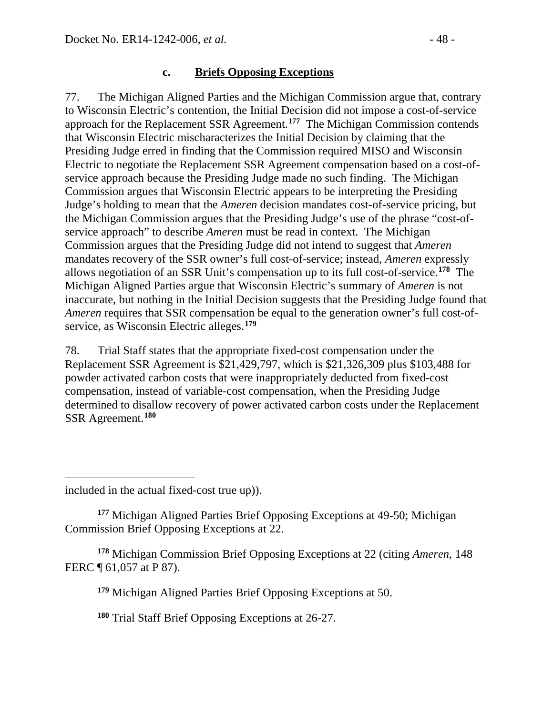#### <span id="page-47-0"></span>**c. Briefs Opposing Exceptions**

77. The Michigan Aligned Parties and the Michigan Commission argue that, contrary to Wisconsin Electric's contention, the Initial Decision did not impose a cost-of-service approach for the Replacement SSR Agreement.**[177](#page-47-1)** The Michigan Commission contends that Wisconsin Electric mischaracterizes the Initial Decision by claiming that the Presiding Judge erred in finding that the Commission required MISO and Wisconsin Electric to negotiate the Replacement SSR Agreement compensation based on a cost-ofservice approach because the Presiding Judge made no such finding. The Michigan Commission argues that Wisconsin Electric appears to be interpreting the Presiding Judge's holding to mean that the *Ameren* decision mandates cost-of-service pricing, but the Michigan Commission argues that the Presiding Judge's use of the phrase "cost-ofservice approach" to describe *Ameren* must be read in context. The Michigan Commission argues that the Presiding Judge did not intend to suggest that *Ameren* mandates recovery of the SSR owner's full cost-of-service; instead, *Ameren* expressly allows negotiation of an SSR Unit's compensation up to its full cost-of-service.**[178](#page-47-2)** The Michigan Aligned Parties argue that Wisconsin Electric's summary of *Ameren* is not inaccurate, but nothing in the Initial Decision suggests that the Presiding Judge found that *Ameren* requires that SSR compensation be equal to the generation owner's full cost-ofservice, as Wisconsin Electric alleges.**[179](#page-47-3)**

78. Trial Staff states that the appropriate fixed-cost compensation under the Replacement SSR Agreement is \$21,429,797, which is \$21,326,309 plus \$103,488 for powder activated carbon costs that were inappropriately deducted from fixed-cost compensation, instead of variable-cost compensation, when the Presiding Judge determined to disallow recovery of power activated carbon costs under the Replacement SSR Agreement.**[180](#page-47-4)**

<span id="page-47-1"></span>**<sup>177</sup>** Michigan Aligned Parties Brief Opposing Exceptions at 49-50; Michigan Commission Brief Opposing Exceptions at 22.

<span id="page-47-4"></span><span id="page-47-3"></span><span id="page-47-2"></span>**<sup>178</sup>** Michigan Commission Brief Opposing Exceptions at 22 (citing *Ameren*, 148 FERC ¶ 61,057 at P 87).

**<sup>179</sup>** Michigan Aligned Parties Brief Opposing Exceptions at 50.

**<sup>180</sup>** Trial Staff Brief Opposing Exceptions at 26-27.

 $\overline{a}$ included in the actual fixed-cost true up)).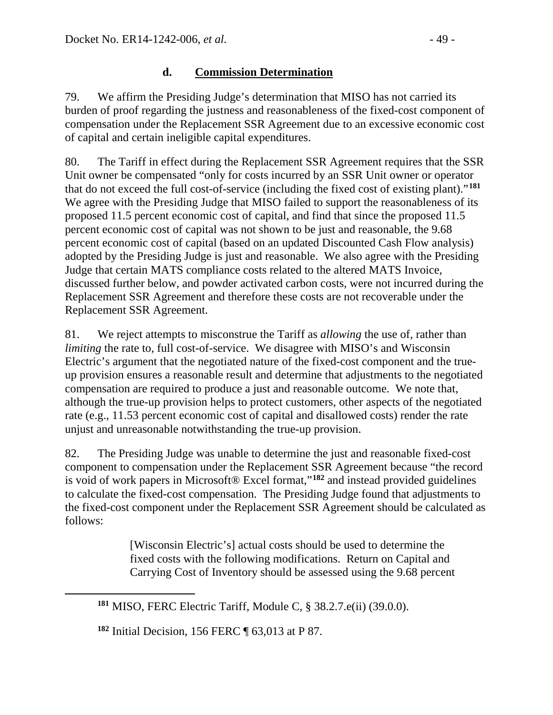#### <span id="page-48-0"></span>**d. Commission Determination**

79. We affirm the Presiding Judge's determination that MISO has not carried its burden of proof regarding the justness and reasonableness of the fixed-cost component of compensation under the Replacement SSR Agreement due to an excessive economic cost of capital and certain ineligible capital expenditures.

80. The Tariff in effect during the Replacement SSR Agreement requires that the SSR Unit owner be compensated "only for costs incurred by an SSR Unit owner or operator that do not exceed the full cost-of-service (including the fixed cost of existing plant)."**[181](#page-48-1)** We agree with the Presiding Judge that MISO failed to support the reasonableness of its proposed 11.5 percent economic cost of capital, and find that since the proposed 11.5 percent economic cost of capital was not shown to be just and reasonable, the 9.68 percent economic cost of capital (based on an updated Discounted Cash Flow analysis) adopted by the Presiding Judge is just and reasonable. We also agree with the Presiding Judge that certain MATS compliance costs related to the altered MATS Invoice, discussed further below, and powder activated carbon costs, were not incurred during the Replacement SSR Agreement and therefore these costs are not recoverable under the Replacement SSR Agreement.

81. We reject attempts to misconstrue the Tariff as *allowing* the use of, rather than *limiting* the rate to, full cost-of-service. We disagree with MISO's and Wisconsin Electric's argument that the negotiated nature of the fixed-cost component and the trueup provision ensures a reasonable result and determine that adjustments to the negotiated compensation are required to produce a just and reasonable outcome. We note that, although the true-up provision helps to protect customers, other aspects of the negotiated rate (e.g., 11.53 percent economic cost of capital and disallowed costs) render the rate unjust and unreasonable notwithstanding the true-up provision.

82. The Presiding Judge was unable to determine the just and reasonable fixed-cost component to compensation under the Replacement SSR Agreement because "the record is void of work papers in Microsoft® Excel format,"**[182](#page-48-2)** and instead provided guidelines to calculate the fixed-cost compensation. The Presiding Judge found that adjustments to the fixed-cost component under the Replacement SSR Agreement should be calculated as follows:

> [Wisconsin Electric's] actual costs should be used to determine the fixed costs with the following modifications. Return on Capital and Carrying Cost of Inventory should be assessed using the 9.68 percent

**<sup>182</sup>** Initial Decision, 156 FERC ¶ 63,013 at P 87.

<span id="page-48-2"></span><span id="page-48-1"></span> $\overline{a}$ 

**<sup>181</sup>** MISO, FERC Electric Tariff, Module C, § 38.2.7.e(ii) (39.0.0).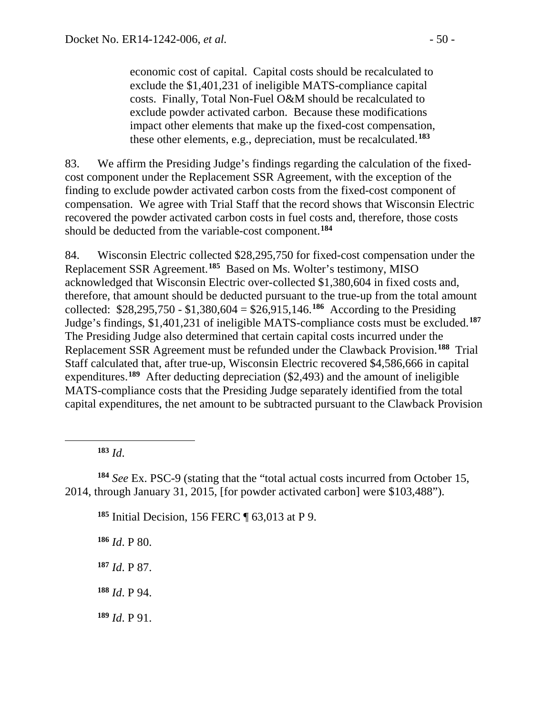economic cost of capital. Capital costs should be recalculated to exclude the \$1,401,231 of ineligible MATS-compliance capital costs. Finally, Total Non-Fuel O&M should be recalculated to exclude powder activated carbon. Because these modifications impact other elements that make up the fixed-cost compensation, these other elements, e.g., depreciation, must be recalculated.**[183](#page-49-0)**

83. We affirm the Presiding Judge's findings regarding the calculation of the fixedcost component under the Replacement SSR Agreement, with the exception of the finding to exclude powder activated carbon costs from the fixed-cost component of compensation. We agree with Trial Staff that the record shows that Wisconsin Electric recovered the powder activated carbon costs in fuel costs and, therefore, those costs should be deducted from the variable-cost component.**[184](#page-49-1)**

84. Wisconsin Electric collected \$28,295,750 for fixed-cost compensation under the Replacement SSR Agreement.**[185](#page-49-2)** Based on Ms. Wolter's testimony, MISO acknowledged that Wisconsin Electric over-collected \$1,380,604 in fixed costs and, therefore, that amount should be deducted pursuant to the true-up from the total amount collected: \$28,295,750 - \$1,380,604 = \$26,915,146.**[186](#page-49-3)** According to the Presiding Judge's findings, \$1,401,231 of ineligible MATS-compliance costs must be excluded.**[187](#page-49-4)** The Presiding Judge also determined that certain capital costs incurred under the Replacement SSR Agreement must be refunded under the Clawback Provision.**[188](#page-49-5)** Trial Staff calculated that, after true-up, Wisconsin Electric recovered \$4,586,666 in capital expenditures.**[189](#page-49-6)** After deducting depreciation (\$2,493) and the amount of ineligible MATS-compliance costs that the Presiding Judge separately identified from the total capital expenditures, the net amount to be subtracted pursuant to the Clawback Provision

**<sup>183</sup>** *Id*.

<span id="page-49-0"></span> $\overline{a}$ 

<span id="page-49-3"></span><span id="page-49-2"></span><span id="page-49-1"></span>**<sup>184</sup>** *See* Ex. PSC-9 (stating that the "total actual costs incurred from October 15, 2014, through January 31, 2015, [for powder activated carbon] were \$103,488").

**<sup>185</sup>** Initial Decision, 156 FERC ¶ 63,013 at P 9.

**<sup>186</sup>** *Id*. P 80.

<span id="page-49-4"></span>**<sup>187</sup>** *Id*. P 87.

<span id="page-49-5"></span>**<sup>188</sup>** *Id*. P 94.

<span id="page-49-6"></span>**<sup>189</sup>** *Id*. P 91.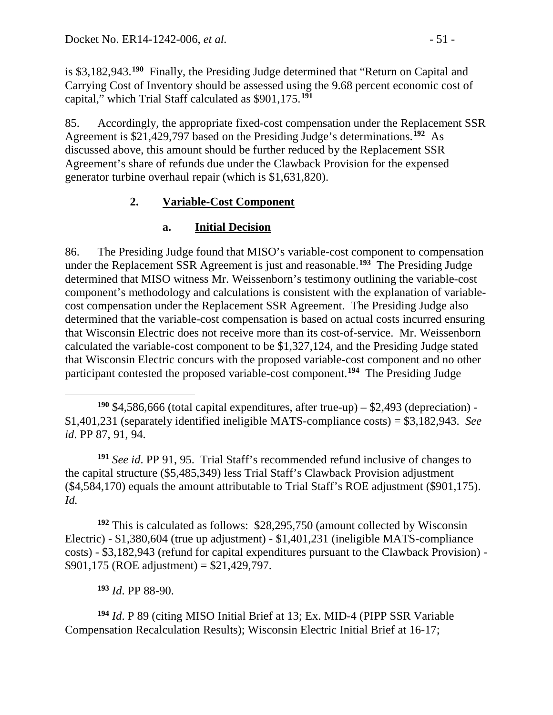is \$3,182,943.**[190](#page-50-2)** Finally, the Presiding Judge determined that "Return on Capital and Carrying Cost of Inventory should be assessed using the 9.68 percent economic cost of capital," which Trial Staff calculated as \$901,175.**[191](#page-50-3)**

85. Accordingly, the appropriate fixed-cost compensation under the Replacement SSR Agreement is \$21,429,797 based on the Presiding Judge's determinations. **[192](#page-50-4)** As discussed above, this amount should be further reduced by the Replacement SSR Agreement's share of refunds due under the Clawback Provision for the expensed generator turbine overhaul repair (which is \$1,631,820).

### **2. Variable-Cost Component**

### <span id="page-50-1"></span><span id="page-50-0"></span>**a. Initial Decision**

86. The Presiding Judge found that MISO's variable-cost component to compensation under the Replacement SSR Agreement is just and reasonable.**[193](#page-50-5)** The Presiding Judge determined that MISO witness Mr. Weissenborn's testimony outlining the variable-cost component's methodology and calculations is consistent with the explanation of variablecost compensation under the Replacement SSR Agreement. The Presiding Judge also determined that the variable-cost compensation is based on actual costs incurred ensuring that Wisconsin Electric does not receive more than its cost-of-service. Mr. Weissenborn calculated the variable-cost component to be \$1,327,124, and the Presiding Judge stated that Wisconsin Electric concurs with the proposed variable-cost component and no other participant contested the proposed variable-cost component.**[194](#page-50-6)** The Presiding Judge

<span id="page-50-3"></span>**<sup>191</sup>** *See id*. PP 91, 95. Trial Staff's recommended refund inclusive of changes to the capital structure (\$5,485,349) less Trial Staff's Clawback Provision adjustment (\$4,584,170) equals the amount attributable to Trial Staff's ROE adjustment (\$901,175). *Id.*

<span id="page-50-4"></span>**<sup>192</sup>** This is calculated as follows: \$28,295,750 (amount collected by Wisconsin Electric) - \$1,380,604 (true up adjustment) - \$1,401,231 (ineligible MATS-compliance costs) - \$3,182,943 (refund for capital expenditures pursuant to the Clawback Provision) - \$901,175 (ROE adjustment) = \$21,429,797.

**<sup>193</sup>** *Id*. PP 88-90.

<span id="page-50-6"></span><span id="page-50-5"></span>**<sup>194</sup>** *Id*. P 89 (citing MISO Initial Brief at 13; Ex. MID-4 (PIPP SSR Variable Compensation Recalculation Results); Wisconsin Electric Initial Brief at 16-17;

<span id="page-50-2"></span> $\overline{a}$ **<sup>190</sup>** \$4,586,666 (total capital expenditures, after true-up) – \$2,493 (depreciation) - \$1,401,231 (separately identified ineligible MATS-compliance costs) = \$3,182,943. *See id*. PP 87, 91, 94.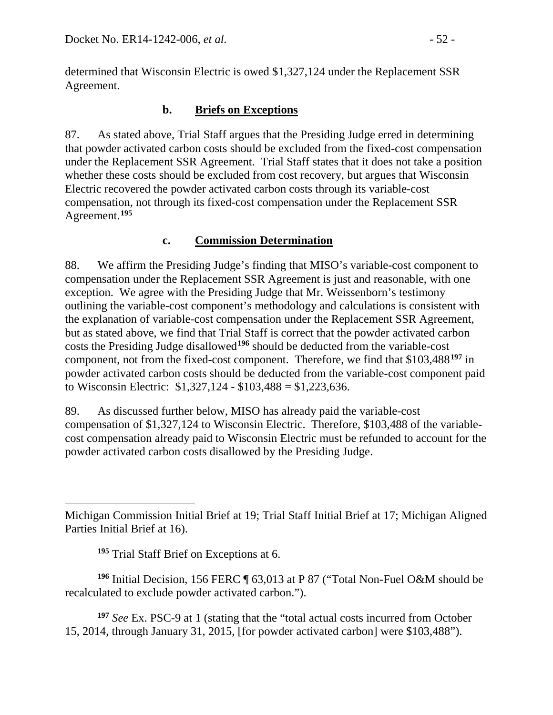determined that Wisconsin Electric is owed \$1,327,124 under the Replacement SSR Agreement.

#### <span id="page-51-0"></span>**b. Briefs on Exceptions**

87. As stated above, Trial Staff argues that the Presiding Judge erred in determining that powder activated carbon costs should be excluded from the fixed-cost compensation under the Replacement SSR Agreement. Trial Staff states that it does not take a position whether these costs should be excluded from cost recovery, but argues that Wisconsin Electric recovered the powder activated carbon costs through its variable-cost compensation, not through its fixed-cost compensation under the Replacement SSR Agreement.**[195](#page-51-2)**

#### <span id="page-51-1"></span>**c. Commission Determination**

88. We affirm the Presiding Judge's finding that MISO's variable-cost component to compensation under the Replacement SSR Agreement is just and reasonable, with one exception. We agree with the Presiding Judge that Mr. Weissenborn's testimony outlining the variable-cost component's methodology and calculations is consistent with the explanation of variable-cost compensation under the Replacement SSR Agreement, but as stated above, we find that Trial Staff is correct that the powder activated carbon costs the Presiding Judge disallowed**[196](#page-51-3)** should be deducted from the variable-cost component, not from the fixed-cost component. Therefore, we find that \$103,488**[197](#page-51-4)** in powder activated carbon costs should be deducted from the variable-cost component paid to Wisconsin Electric: \$1,327,124 - \$103,488 = \$1,223,636.

89. As discussed further below, MISO has already paid the variable-cost compensation of \$1,327,124 to Wisconsin Electric. Therefore, \$103,488 of the variablecost compensation already paid to Wisconsin Electric must be refunded to account for the powder activated carbon costs disallowed by the Presiding Judge.

**<sup>195</sup>** Trial Staff Brief on Exceptions at 6.

<span id="page-51-3"></span><span id="page-51-2"></span>**<sup>196</sup>** Initial Decision, 156 FERC ¶ 63,013 at P 87 ("Total Non-Fuel O&M should be recalculated to exclude powder activated carbon.").

<span id="page-51-4"></span>**<sup>197</sup>** *See* Ex. PSC-9 at 1 (stating that the "total actual costs incurred from October 15, 2014, through January 31, 2015, [for powder activated carbon] were \$103,488").

 $\overline{a}$ Michigan Commission Initial Brief at 19; Trial Staff Initial Brief at 17; Michigan Aligned Parties Initial Brief at 16).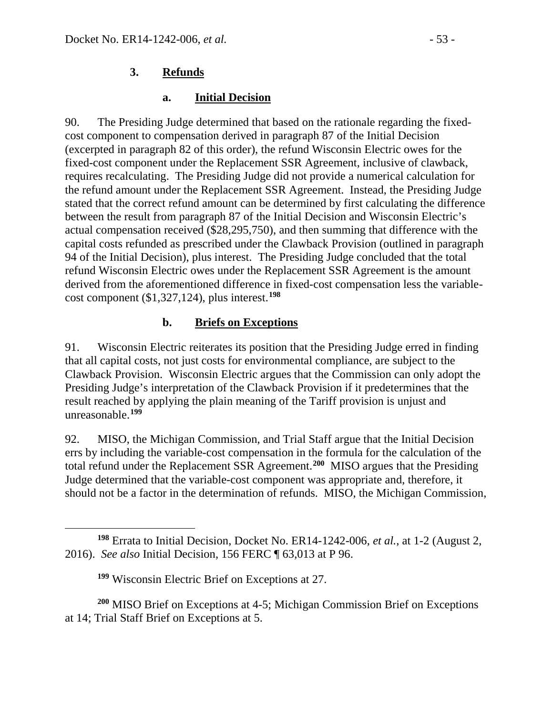### **3. Refunds**

#### <span id="page-52-1"></span><span id="page-52-0"></span>**a. Initial Decision**

90. The Presiding Judge determined that based on the rationale regarding the fixedcost component to compensation derived in paragraph 87 of the Initial Decision (excerpted in paragraph 82 of this order), the refund Wisconsin Electric owes for the fixed-cost component under the Replacement SSR Agreement, inclusive of clawback, requires recalculating. The Presiding Judge did not provide a numerical calculation for the refund amount under the Replacement SSR Agreement. Instead, the Presiding Judge stated that the correct refund amount can be determined by first calculating the difference between the result from paragraph 87 of the Initial Decision and Wisconsin Electric's actual compensation received (\$28,295,750), and then summing that difference with the capital costs refunded as prescribed under the Clawback Provision (outlined in paragraph 94 of the Initial Decision), plus interest. The Presiding Judge concluded that the total refund Wisconsin Electric owes under the Replacement SSR Agreement is the amount derived from the aforementioned difference in fixed-cost compensation less the variablecost component (\$1,327,124), plus interest.**[198](#page-52-3)**

#### <span id="page-52-2"></span>**b. Briefs on Exceptions**

91. Wisconsin Electric reiterates its position that the Presiding Judge erred in finding that all capital costs, not just costs for environmental compliance, are subject to the Clawback Provision. Wisconsin Electric argues that the Commission can only adopt the Presiding Judge's interpretation of the Clawback Provision if it predetermines that the result reached by applying the plain meaning of the Tariff provision is unjust and unreasonable.**[199](#page-52-4)**

92. MISO, the Michigan Commission, and Trial Staff argue that the Initial Decision errs by including the variable-cost compensation in the formula for the calculation of the total refund under the Replacement SSR Agreement.**[200](#page-52-5)** MISO argues that the Presiding Judge determined that the variable-cost component was appropriate and, therefore, it should not be a factor in the determination of refunds. MISO, the Michigan Commission,

 $\overline{a}$ 

<span id="page-52-5"></span><span id="page-52-4"></span>**<sup>200</sup>** MISO Brief on Exceptions at 4-5; Michigan Commission Brief on Exceptions at 14; Trial Staff Brief on Exceptions at 5.

<span id="page-52-3"></span>**<sup>198</sup>** Errata to Initial Decision, Docket No. ER14-1242-006, *et al.*, at 1-2 (August 2, 2016). *See also* Initial Decision, 156 FERC ¶ 63,013 at P 96.

**<sup>199</sup>** Wisconsin Electric Brief on Exceptions at 27.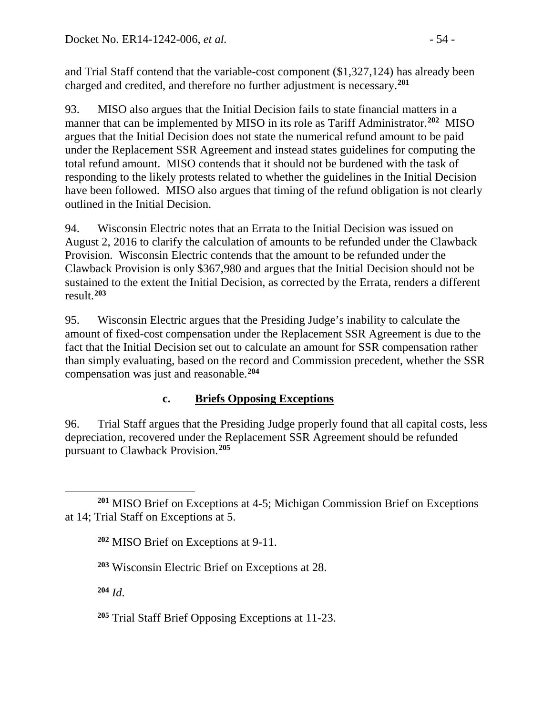and Trial Staff contend that the variable-cost component (\$1,327,124) has already been charged and credited, and therefore no further adjustment is necessary.**[201](#page-53-1)**

93. MISO also argues that the Initial Decision fails to state financial matters in a manner that can be implemented by MISO in its role as Tariff Administrator.**[202](#page-53-2)** MISO argues that the Initial Decision does not state the numerical refund amount to be paid under the Replacement SSR Agreement and instead states guidelines for computing the total refund amount. MISO contends that it should not be burdened with the task of responding to the likely protests related to whether the guidelines in the Initial Decision have been followed. MISO also argues that timing of the refund obligation is not clearly outlined in the Initial Decision.

94. Wisconsin Electric notes that an Errata to the Initial Decision was issued on August 2, 2016 to clarify the calculation of amounts to be refunded under the Clawback Provision. Wisconsin Electric contends that the amount to be refunded under the Clawback Provision is only \$367,980 and argues that the Initial Decision should not be sustained to the extent the Initial Decision, as corrected by the Errata, renders a different result.**[203](#page-53-3)**

95. Wisconsin Electric argues that the Presiding Judge's inability to calculate the amount of fixed-cost compensation under the Replacement SSR Agreement is due to the fact that the Initial Decision set out to calculate an amount for SSR compensation rather than simply evaluating, based on the record and Commission precedent, whether the SSR compensation was just and reasonable.**[204](#page-53-4)**

#### <span id="page-53-0"></span>**c. Briefs Opposing Exceptions**

96. Trial Staff argues that the Presiding Judge properly found that all capital costs, less depreciation, recovered under the Replacement SSR Agreement should be refunded pursuant to Clawback Provision.**[205](#page-53-5)**

**<sup>202</sup>** MISO Brief on Exceptions at 9-11.

<span id="page-53-4"></span>**<sup>204</sup>** *Id*.

<span id="page-53-5"></span>**<sup>205</sup>** Trial Staff Brief Opposing Exceptions at 11-23.

<span id="page-53-2"></span><span id="page-53-1"></span> $\overline{a}$ **<sup>201</sup>** MISO Brief on Exceptions at 4-5; Michigan Commission Brief on Exceptions at 14; Trial Staff on Exceptions at 5.

<span id="page-53-3"></span>**<sup>203</sup>** Wisconsin Electric Brief on Exceptions at 28.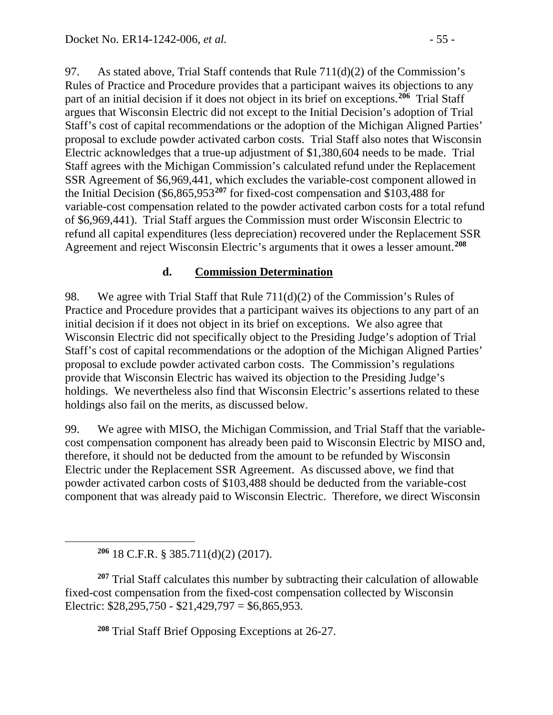97. As stated above, Trial Staff contends that Rule 711(d)(2) of the Commission's Rules of Practice and Procedure provides that a participant waives its objections to any part of an initial decision if it does not object in its brief on exceptions.**[206](#page-54-1)** Trial Staff argues that Wisconsin Electric did not except to the Initial Decision's adoption of Trial Staff's cost of capital recommendations or the adoption of the Michigan Aligned Parties' proposal to exclude powder activated carbon costs. Trial Staff also notes that Wisconsin Electric acknowledges that a true-up adjustment of \$1,380,604 needs to be made. Trial Staff agrees with the Michigan Commission's calculated refund under the Replacement SSR Agreement of \$6,969,441, which excludes the variable-cost component allowed in the Initial Decision (\$6,865,953**[207](#page-54-2)** for fixed-cost compensation and \$103,488 for variable-cost compensation related to the powder activated carbon costs for a total refund of \$6,969,441). Trial Staff argues the Commission must order Wisconsin Electric to refund all capital expenditures (less depreciation) recovered under the Replacement SSR Agreement and reject Wisconsin Electric's arguments that it owes a lesser amount.**[208](#page-54-3)**

#### <span id="page-54-0"></span>**d. Commission Determination**

98. We agree with Trial Staff that Rule 711(d)(2) of the Commission's Rules of Practice and Procedure provides that a participant waives its objections to any part of an initial decision if it does not object in its brief on exceptions. We also agree that Wisconsin Electric did not specifically object to the Presiding Judge's adoption of Trial Staff's cost of capital recommendations or the adoption of the Michigan Aligned Parties' proposal to exclude powder activated carbon costs. The Commission's regulations provide that Wisconsin Electric has waived its objection to the Presiding Judge's holdings. We nevertheless also find that Wisconsin Electric's assertions related to these holdings also fail on the merits, as discussed below.

99. We agree with MISO, the Michigan Commission, and Trial Staff that the variablecost compensation component has already been paid to Wisconsin Electric by MISO and, therefore, it should not be deducted from the amount to be refunded by Wisconsin Electric under the Replacement SSR Agreement. As discussed above, we find that powder activated carbon costs of \$103,488 should be deducted from the variable-cost component that was already paid to Wisconsin Electric. Therefore, we direct Wisconsin

<span id="page-54-1"></span> $\overline{a}$ 

<span id="page-54-3"></span><span id="page-54-2"></span>**<sup>207</sup>** Trial Staff calculates this number by subtracting their calculation of allowable fixed-cost compensation from the fixed-cost compensation collected by Wisconsin Electric: \$28,295,750 - \$21,429,797 = \$6,865,953.

**<sup>208</sup>** Trial Staff Brief Opposing Exceptions at 26-27.

**<sup>206</sup>** 18 C.F.R. § 385.711(d)(2) (2017).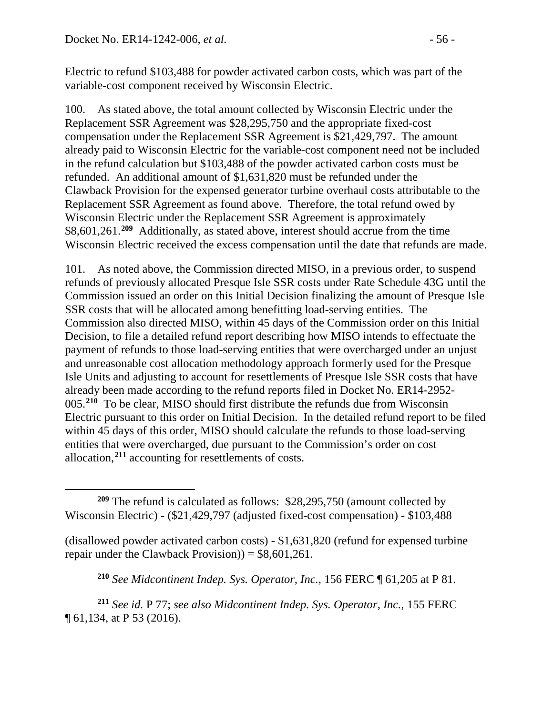Electric to refund \$103,488 for powder activated carbon costs, which was part of the variable-cost component received by Wisconsin Electric.

100. As stated above, the total amount collected by Wisconsin Electric under the Replacement SSR Agreement was \$28,295,750 and the appropriate fixed-cost compensation under the Replacement SSR Agreement is \$21,429,797. The amount already paid to Wisconsin Electric for the variable-cost component need not be included in the refund calculation but \$103,488 of the powder activated carbon costs must be refunded. An additional amount of \$1,631,820 must be refunded under the Clawback Provision for the expensed generator turbine overhaul costs attributable to the Replacement SSR Agreement as found above. Therefore, the total refund owed by Wisconsin Electric under the Replacement SSR Agreement is approximately \$8,601,261. **[209](#page-55-0)** Additionally, as stated above, interest should accrue from the time Wisconsin Electric received the excess compensation until the date that refunds are made.

101. As noted above, the Commission directed MISO, in a previous order, to suspend refunds of previously allocated Presque Isle SSR costs under Rate Schedule 43G until the Commission issued an order on this Initial Decision finalizing the amount of Presque Isle SSR costs that will be allocated among benefitting load-serving entities. The Commission also directed MISO, within 45 days of the Commission order on this Initial Decision, to file a detailed refund report describing how MISO intends to effectuate the payment of refunds to those load-serving entities that were overcharged under an unjust and unreasonable cost allocation methodology approach formerly used for the Presque Isle Units and adjusting to account for resettlements of Presque Isle SSR costs that have already been made according to the refund reports filed in Docket No. ER14-2952- 005.**[210](#page-55-1)** To be clear, MISO should first distribute the refunds due from Wisconsin Electric pursuant to this order on Initial Decision. In the detailed refund report to be filed within 45 days of this order, MISO should calculate the refunds to those load-serving entities that were overcharged, due pursuant to the Commission's order on cost allocation, **[211](#page-55-2)** accounting for resettlements of costs.

(disallowed powder activated carbon costs) - \$1,631,820 (refund for expensed turbine repair under the Clawback Provision)) =  $$8,601,261$ .

**<sup>210</sup>** *See Midcontinent Indep. Sys. Operator, Inc.*, 156 FERC ¶ 61,205 at P 81.

<span id="page-55-2"></span><span id="page-55-1"></span>**<sup>211</sup>** *See id.* P 77; *see also Midcontinent Indep. Sys. Operator, Inc.*, 155 FERC ¶ 61,134, at P 53 (2016).

<span id="page-55-0"></span> $\overline{a}$ **<sup>209</sup>** The refund is calculated as follows: \$28,295,750 (amount collected by Wisconsin Electric) - (\$21,429,797 (adjusted fixed-cost compensation) - \$103,488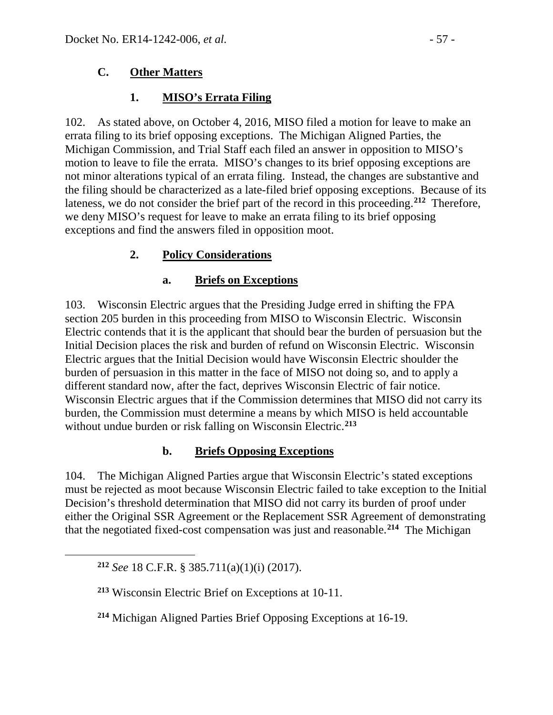## **C. Other Matters**

## <span id="page-56-1"></span><span id="page-56-0"></span>**1. MISO's Errata Filing**

102. As stated above, on October 4, 2016, MISO filed a motion for leave to make an errata filing to its brief opposing exceptions. The Michigan Aligned Parties, the Michigan Commission, and Trial Staff each filed an answer in opposition to MISO's motion to leave to file the errata. MISO's changes to its brief opposing exceptions are not minor alterations typical of an errata filing. Instead, the changes are substantive and the filing should be characterized as a late-filed brief opposing exceptions. Because of its lateness, we do not consider the brief part of the record in this proceeding.**[212](#page-56-5)** Therefore, we deny MISO's request for leave to make an errata filing to its brief opposing exceptions and find the answers filed in opposition moot.

## **2. Policy Considerations**

## <span id="page-56-3"></span><span id="page-56-2"></span>**a. Briefs on Exceptions**

103. Wisconsin Electric argues that the Presiding Judge erred in shifting the FPA section 205 burden in this proceeding from MISO to Wisconsin Electric. Wisconsin Electric contends that it is the applicant that should bear the burden of persuasion but the Initial Decision places the risk and burden of refund on Wisconsin Electric. Wisconsin Electric argues that the Initial Decision would have Wisconsin Electric shoulder the burden of persuasion in this matter in the face of MISO not doing so, and to apply a different standard now, after the fact, deprives Wisconsin Electric of fair notice. Wisconsin Electric argues that if the Commission determines that MISO did not carry its burden, the Commission must determine a means by which MISO is held accountable without undue burden or risk falling on Wisconsin Electric.**[213](#page-56-6)**

## <span id="page-56-4"></span>**b. Briefs Opposing Exceptions**

104. The Michigan Aligned Parties argue that Wisconsin Electric's stated exceptions must be rejected as moot because Wisconsin Electric failed to take exception to the Initial Decision's threshold determination that MISO did not carry its burden of proof under either the Original SSR Agreement or the Replacement SSR Agreement of demonstrating that the negotiated fixed-cost compensation was just and reasonable.**[214](#page-56-7)** The Michigan

<span id="page-56-7"></span><span id="page-56-6"></span><span id="page-56-5"></span> $\overline{a}$ 

**<sup>212</sup>** *See* 18 C.F.R. § 385.711(a)(1)(i) (2017).

**<sup>213</sup>** Wisconsin Electric Brief on Exceptions at 10-11.

**<sup>214</sup>** Michigan Aligned Parties Brief Opposing Exceptions at 16-19.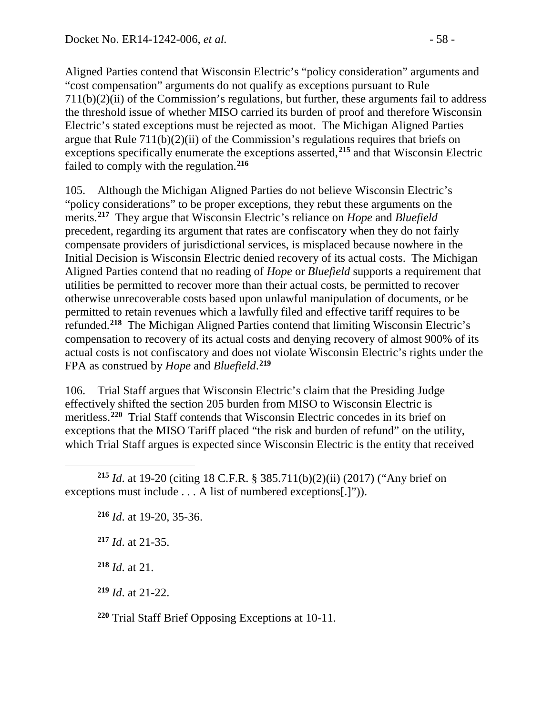Aligned Parties contend that Wisconsin Electric's "policy consideration" arguments and "cost compensation" arguments do not qualify as exceptions pursuant to Rule  $711(b)(2)(ii)$  of the Commission's regulations, but further, these arguments fail to address the threshold issue of whether MISO carried its burden of proof and therefore Wisconsin Electric's stated exceptions must be rejected as moot. The Michigan Aligned Parties argue that Rule 711(b)(2)(ii) of the Commission's regulations requires that briefs on exceptions specifically enumerate the exceptions asserted,**[215](#page-57-0)** and that Wisconsin Electric failed to comply with the regulation.**[216](#page-57-1)**

105. Although the Michigan Aligned Parties do not believe Wisconsin Electric's "policy considerations" to be proper exceptions, they rebut these arguments on the merits.**[217](#page-57-2)** They argue that Wisconsin Electric's reliance on *Hope* and *Bluefield*  precedent, regarding its argument that rates are confiscatory when they do not fairly compensate providers of jurisdictional services, is misplaced because nowhere in the Initial Decision is Wisconsin Electric denied recovery of its actual costs. The Michigan Aligned Parties contend that no reading of *Hope* or *Bluefield* supports a requirement that utilities be permitted to recover more than their actual costs, be permitted to recover otherwise unrecoverable costs based upon unlawful manipulation of documents, or be permitted to retain revenues which a lawfully filed and effective tariff requires to be refunded.**[218](#page-57-3)** The Michigan Aligned Parties contend that limiting Wisconsin Electric's compensation to recovery of its actual costs and denying recovery of almost 900% of its actual costs is not confiscatory and does not violate Wisconsin Electric's rights under the FPA as construed by *Hope* and *Bluefield*. **[219](#page-57-4)**

106. Trial Staff argues that Wisconsin Electric's claim that the Presiding Judge effectively shifted the section 205 burden from MISO to Wisconsin Electric is meritless.**[220](#page-57-5)** Trial Staff contends that Wisconsin Electric concedes in its brief on exceptions that the MISO Tariff placed "the risk and burden of refund" on the utility, which Trial Staff argues is expected since Wisconsin Electric is the entity that received

<span id="page-57-2"></span><span id="page-57-1"></span><span id="page-57-0"></span> $\overline{a}$ **<sup>215</sup>** *Id*. at 19-20 (citing 18 C.F.R. § 385.711(b)(2)(ii) (2017) ("Any brief on exceptions must include . . . A list of numbered exceptions[.]")).

<span id="page-57-3"></span> *Id*. at 19-20, 35-36. *Id*. at 21-35. *Id*. at 21. *Id*. at 21-22.

<span id="page-57-5"></span><span id="page-57-4"></span>**<sup>220</sup>** Trial Staff Brief Opposing Exceptions at 10-11.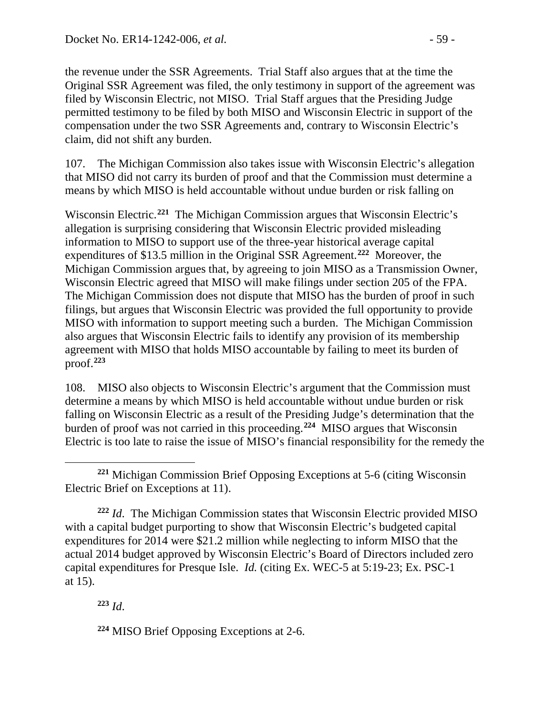the revenue under the SSR Agreements. Trial Staff also argues that at the time the Original SSR Agreement was filed, the only testimony in support of the agreement was filed by Wisconsin Electric, not MISO. Trial Staff argues that the Presiding Judge permitted testimony to be filed by both MISO and Wisconsin Electric in support of the compensation under the two SSR Agreements and, contrary to Wisconsin Electric's claim, did not shift any burden.

107. The Michigan Commission also takes issue with Wisconsin Electric's allegation that MISO did not carry its burden of proof and that the Commission must determine a means by which MISO is held accountable without undue burden or risk falling on

Wisconsin Electric.**[221](#page-58-0)** The Michigan Commission argues that Wisconsin Electric's allegation is surprising considering that Wisconsin Electric provided misleading information to MISO to support use of the three-year historical average capital expenditures of \$13.5 million in the Original SSR Agreement.**[222](#page-58-1)** Moreover, the Michigan Commission argues that, by agreeing to join MISO as a Transmission Owner, Wisconsin Electric agreed that MISO will make filings under section 205 of the FPA. The Michigan Commission does not dispute that MISO has the burden of proof in such filings, but argues that Wisconsin Electric was provided the full opportunity to provide MISO with information to support meeting such a burden. The Michigan Commission also argues that Wisconsin Electric fails to identify any provision of its membership agreement with MISO that holds MISO accountable by failing to meet its burden of proof.**[223](#page-58-2)**

108. MISO also objects to Wisconsin Electric's argument that the Commission must determine a means by which MISO is held accountable without undue burden or risk falling on Wisconsin Electric as a result of the Presiding Judge's determination that the burden of proof was not carried in this proceeding.**[224](#page-58-3)** MISO argues that Wisconsin Electric is too late to raise the issue of MISO's financial responsibility for the remedy the

<span id="page-58-1"></span>**<sup>222</sup>** *Id*. The Michigan Commission states that Wisconsin Electric provided MISO with a capital budget purporting to show that Wisconsin Electric's budgeted capital expenditures for 2014 were \$21.2 million while neglecting to inform MISO that the actual 2014 budget approved by Wisconsin Electric's Board of Directors included zero capital expenditures for Presque Isle. *Id.* (citing Ex. WEC-5 at 5:19-23; Ex. PSC-1 at 15).

<span id="page-58-2"></span>**<sup>223</sup>** *Id*.

<span id="page-58-3"></span>**<sup>224</sup>** MISO Brief Opposing Exceptions at 2-6.

<span id="page-58-0"></span> $\overline{a}$ **<sup>221</sup>** Michigan Commission Brief Opposing Exceptions at 5-6 (citing Wisconsin Electric Brief on Exceptions at 11).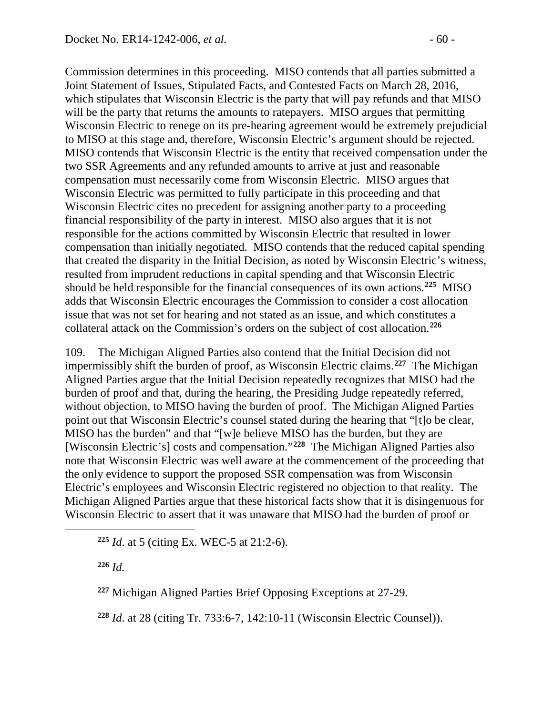Commission determines in this proceeding. MISO contends that all parties submitted a Joint Statement of Issues, Stipulated Facts, and Contested Facts on March 28, 2016, which stipulates that Wisconsin Electric is the party that will pay refunds and that MISO will be the party that returns the amounts to ratepayers. MISO argues that permitting Wisconsin Electric to renege on its pre-hearing agreement would be extremely prejudicial to MISO at this stage and, therefore, Wisconsin Electric's argument should be rejected. MISO contends that Wisconsin Electric is the entity that received compensation under the two SSR Agreements and any refunded amounts to arrive at just and reasonable compensation must necessarily come from Wisconsin Electric. MISO argues that Wisconsin Electric was permitted to fully participate in this proceeding and that Wisconsin Electric cites no precedent for assigning another party to a proceeding financial responsibility of the party in interest. MISO also argues that it is not responsible for the actions committed by Wisconsin Electric that resulted in lower compensation than initially negotiated. MISO contends that the reduced capital spending that created the disparity in the Initial Decision, as noted by Wisconsin Electric's witness, resulted from imprudent reductions in capital spending and that Wisconsin Electric should be held responsible for the financial consequences of its own actions.**[225](#page-59-0)** MISO adds that Wisconsin Electric encourages the Commission to consider a cost allocation issue that was not set for hearing and not stated as an issue, and which constitutes a collateral attack on the Commission's orders on the subject of cost allocation.**[226](#page-59-1)**

109. The Michigan Aligned Parties also contend that the Initial Decision did not impermissibly shift the burden of proof, as Wisconsin Electric claims.**[227](#page-59-2)** The Michigan Aligned Parties argue that the Initial Decision repeatedly recognizes that MISO had the burden of proof and that, during the hearing, the Presiding Judge repeatedly referred, without objection, to MISO having the burden of proof. The Michigan Aligned Parties point out that Wisconsin Electric's counsel stated during the hearing that "[t]o be clear, MISO has the burden" and that "[w]e believe MISO has the burden, but they are [Wisconsin Electric's] costs and compensation."**[228](#page-59-3)** The Michigan Aligned Parties also note that Wisconsin Electric was well aware at the commencement of the proceeding that the only evidence to support the proposed SSR compensation was from Wisconsin Electric's employees and Wisconsin Electric registered no objection to that reality. The Michigan Aligned Parties argue that these historical facts show that it is disingenuous for Wisconsin Electric to assert that it was unaware that MISO had the burden of proof or

**<sup>225</sup>** *Id*. at 5 (citing Ex. WEC-5 at 21:2-6).

**<sup>226</sup>** *Id.*

<span id="page-59-2"></span><span id="page-59-1"></span><span id="page-59-0"></span> $\overline{a}$ 

**<sup>227</sup>** Michigan Aligned Parties Brief Opposing Exceptions at 27-29.

<span id="page-59-3"></span>**<sup>228</sup>** *Id*. at 28 (citing Tr. 733:6-7, 142:10-11 (Wisconsin Electric Counsel)).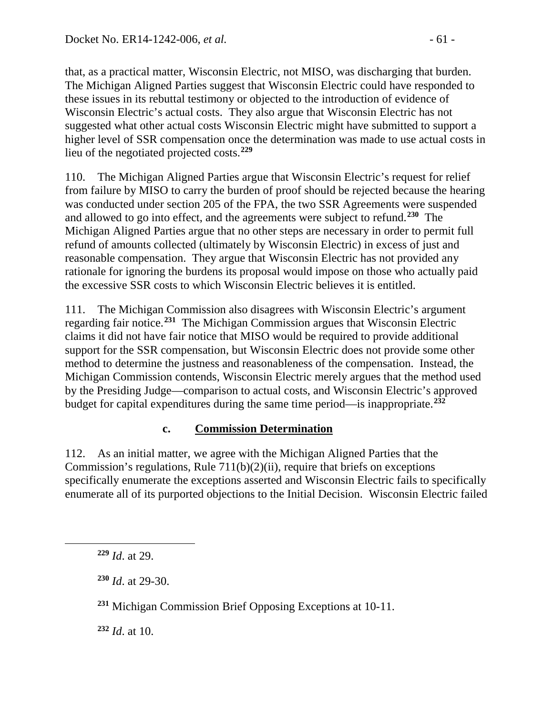that, as a practical matter, Wisconsin Electric, not MISO, was discharging that burden. The Michigan Aligned Parties suggest that Wisconsin Electric could have responded to these issues in its rebuttal testimony or objected to the introduction of evidence of Wisconsin Electric's actual costs. They also argue that Wisconsin Electric has not suggested what other actual costs Wisconsin Electric might have submitted to support a higher level of SSR compensation once the determination was made to use actual costs in lieu of the negotiated projected costs.**[229](#page-60-1)**

110. The Michigan Aligned Parties argue that Wisconsin Electric's request for relief from failure by MISO to carry the burden of proof should be rejected because the hearing was conducted under section 205 of the FPA, the two SSR Agreements were suspended and allowed to go into effect, and the agreements were subject to refund.**[230](#page-60-2)** The Michigan Aligned Parties argue that no other steps are necessary in order to permit full refund of amounts collected (ultimately by Wisconsin Electric) in excess of just and reasonable compensation. They argue that Wisconsin Electric has not provided any rationale for ignoring the burdens its proposal would impose on those who actually paid the excessive SSR costs to which Wisconsin Electric believes it is entitled.

111. The Michigan Commission also disagrees with Wisconsin Electric's argument regarding fair notice.**[231](#page-60-3)** The Michigan Commission argues that Wisconsin Electric claims it did not have fair notice that MISO would be required to provide additional support for the SSR compensation, but Wisconsin Electric does not provide some other method to determine the justness and reasonableness of the compensation. Instead, the Michigan Commission contends, Wisconsin Electric merely argues that the method used by the Presiding Judge—comparison to actual costs, and Wisconsin Electric's approved budget for capital expenditures during the same time period—is inappropriate.**[232](#page-60-4)**

#### <span id="page-60-0"></span>**c. Commission Determination**

112. As an initial matter, we agree with the Michigan Aligned Parties that the Commission's regulations, Rule 711(b)(2)(ii), require that briefs on exceptions specifically enumerate the exceptions asserted and Wisconsin Electric fails to specifically enumerate all of its purported objections to the Initial Decision. Wisconsin Electric failed

<span id="page-60-3"></span><span id="page-60-2"></span><span id="page-60-1"></span> $\overline{a}$ 

<span id="page-60-4"></span>**<sup>232</sup>** *Id*. at 10.

**<sup>229</sup>** *Id*. at 29.

**<sup>230</sup>** *Id*. at 29-30.

**<sup>231</sup>** Michigan Commission Brief Opposing Exceptions at 10-11.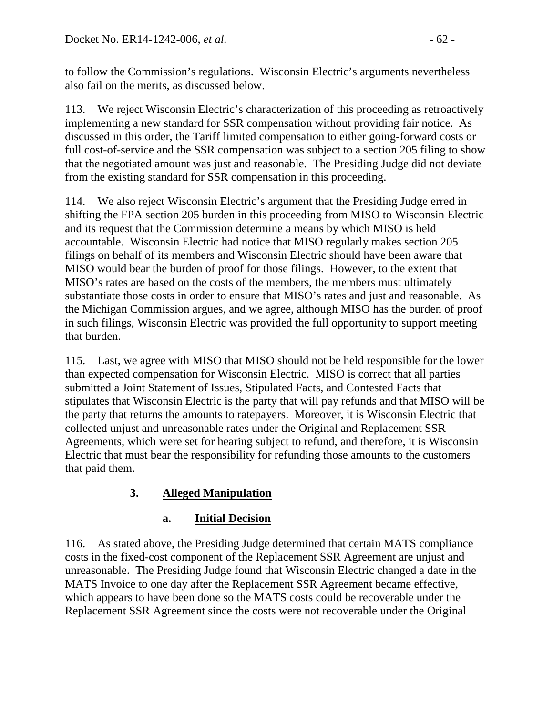to follow the Commission's regulations. Wisconsin Electric's arguments nevertheless also fail on the merits, as discussed below.

113. We reject Wisconsin Electric's characterization of this proceeding as retroactively implementing a new standard for SSR compensation without providing fair notice. As discussed in this order, the Tariff limited compensation to either going-forward costs or full cost-of-service and the SSR compensation was subject to a section 205 filing to show that the negotiated amount was just and reasonable. The Presiding Judge did not deviate from the existing standard for SSR compensation in this proceeding.

114. We also reject Wisconsin Electric's argument that the Presiding Judge erred in shifting the FPA section 205 burden in this proceeding from MISO to Wisconsin Electric and its request that the Commission determine a means by which MISO is held accountable. Wisconsin Electric had notice that MISO regularly makes section 205 filings on behalf of its members and Wisconsin Electric should have been aware that MISO would bear the burden of proof for those filings. However, to the extent that MISO's rates are based on the costs of the members, the members must ultimately substantiate those costs in order to ensure that MISO's rates and just and reasonable. As the Michigan Commission argues, and we agree, although MISO has the burden of proof in such filings, Wisconsin Electric was provided the full opportunity to support meeting that burden.

115. Last, we agree with MISO that MISO should not be held responsible for the lower than expected compensation for Wisconsin Electric. MISO is correct that all parties submitted a Joint Statement of Issues, Stipulated Facts, and Contested Facts that stipulates that Wisconsin Electric is the party that will pay refunds and that MISO will be the party that returns the amounts to ratepayers. Moreover, it is Wisconsin Electric that collected unjust and unreasonable rates under the Original and Replacement SSR Agreements, which were set for hearing subject to refund, and therefore, it is Wisconsin Electric that must bear the responsibility for refunding those amounts to the customers that paid them.

# **3. Alleged Manipulation**

## <span id="page-61-1"></span><span id="page-61-0"></span>**a. Initial Decision**

116. As stated above, the Presiding Judge determined that certain MATS compliance costs in the fixed-cost component of the Replacement SSR Agreement are unjust and unreasonable. The Presiding Judge found that Wisconsin Electric changed a date in the MATS Invoice to one day after the Replacement SSR Agreement became effective, which appears to have been done so the MATS costs could be recoverable under the Replacement SSR Agreement since the costs were not recoverable under the Original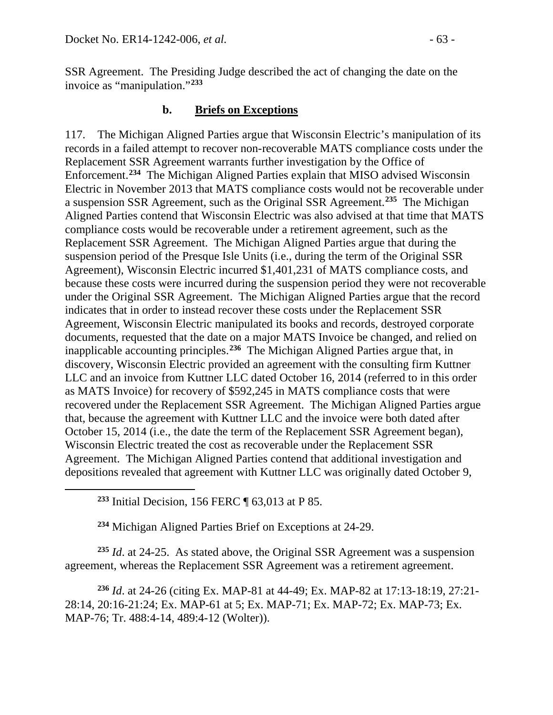SSR Agreement. The Presiding Judge described the act of changing the date on the invoice as "manipulation."**[233](#page-62-1)**

#### <span id="page-62-0"></span>**b. Briefs on Exceptions**

117. The Michigan Aligned Parties argue that Wisconsin Electric's manipulation of its records in a failed attempt to recover non-recoverable MATS compliance costs under the Replacement SSR Agreement warrants further investigation by the Office of Enforcement.**[234](#page-62-2)** The Michigan Aligned Parties explain that MISO advised Wisconsin Electric in November 2013 that MATS compliance costs would not be recoverable under a suspension SSR Agreement, such as the Original SSR Agreement.**[235](#page-62-3)** The Michigan Aligned Parties contend that Wisconsin Electric was also advised at that time that MATS compliance costs would be recoverable under a retirement agreement, such as the Replacement SSR Agreement. The Michigan Aligned Parties argue that during the suspension period of the Presque Isle Units (i.e., during the term of the Original SSR Agreement), Wisconsin Electric incurred \$1,401,231 of MATS compliance costs, and because these costs were incurred during the suspension period they were not recoverable under the Original SSR Agreement. The Michigan Aligned Parties argue that the record indicates that in order to instead recover these costs under the Replacement SSR Agreement, Wisconsin Electric manipulated its books and records, destroyed corporate documents, requested that the date on a major MATS Invoice be changed, and relied on inapplicable accounting principles.**[236](#page-62-4)** The Michigan Aligned Parties argue that, in discovery, Wisconsin Electric provided an agreement with the consulting firm Kuttner LLC and an invoice from Kuttner LLC dated October 16, 2014 (referred to in this order as MATS Invoice) for recovery of \$592,245 in MATS compliance costs that were recovered under the Replacement SSR Agreement. The Michigan Aligned Parties argue that, because the agreement with Kuttner LLC and the invoice were both dated after October 15, 2014 (i.e., the date the term of the Replacement SSR Agreement began), Wisconsin Electric treated the cost as recoverable under the Replacement SSR Agreement. The Michigan Aligned Parties contend that additional investigation and depositions revealed that agreement with Kuttner LLC was originally dated October 9,

**<sup>233</sup>** Initial Decision, 156 FERC ¶ 63,013 at P 85.

<span id="page-62-1"></span> $\overline{a}$ 

**<sup>234</sup>** Michigan Aligned Parties Brief on Exceptions at 24-29.

<span id="page-62-3"></span><span id="page-62-2"></span>**<sup>235</sup>** *Id*. at 24-25. As stated above, the Original SSR Agreement was a suspension agreement, whereas the Replacement SSR Agreement was a retirement agreement.

<span id="page-62-4"></span>**<sup>236</sup>** *Id*. at 24-26 (citing Ex. MAP-81 at 44-49; Ex. MAP-82 at 17:13-18:19, 27:21- 28:14, 20:16-21:24; Ex. MAP-61 at 5; Ex. MAP-71; Ex. MAP-72; Ex. MAP-73; Ex. MAP-76; Tr. 488:4-14, 489:4-12 (Wolter)).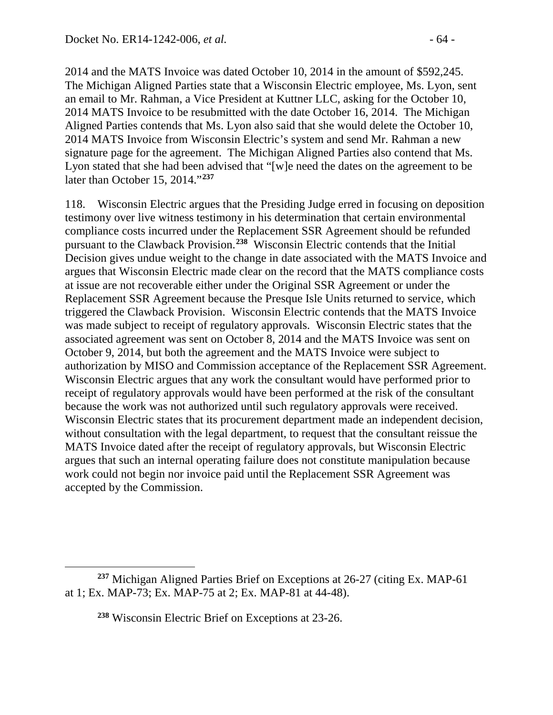2014 and the MATS Invoice was dated October 10, 2014 in the amount of \$592,245. The Michigan Aligned Parties state that a Wisconsin Electric employee, Ms. Lyon, sent an email to Mr. Rahman, a Vice President at Kuttner LLC, asking for the October 10, 2014 MATS Invoice to be resubmitted with the date October 16, 2014. The Michigan Aligned Parties contends that Ms. Lyon also said that she would delete the October 10, 2014 MATS Invoice from Wisconsin Electric's system and send Mr. Rahman a new signature page for the agreement. The Michigan Aligned Parties also contend that Ms. Lyon stated that she had been advised that "[w]e need the dates on the agreement to be later than October 15, 2014."**[237](#page-63-0)**

118. Wisconsin Electric argues that the Presiding Judge erred in focusing on deposition testimony over live witness testimony in his determination that certain environmental compliance costs incurred under the Replacement SSR Agreement should be refunded pursuant to the Clawback Provision.**[238](#page-63-1)** Wisconsin Electric contends that the Initial Decision gives undue weight to the change in date associated with the MATS Invoice and argues that Wisconsin Electric made clear on the record that the MATS compliance costs at issue are not recoverable either under the Original SSR Agreement or under the Replacement SSR Agreement because the Presque Isle Units returned to service, which triggered the Clawback Provision. Wisconsin Electric contends that the MATS Invoice was made subject to receipt of regulatory approvals. Wisconsin Electric states that the associated agreement was sent on October 8, 2014 and the MATS Invoice was sent on October 9, 2014, but both the agreement and the MATS Invoice were subject to authorization by MISO and Commission acceptance of the Replacement SSR Agreement. Wisconsin Electric argues that any work the consultant would have performed prior to receipt of regulatory approvals would have been performed at the risk of the consultant because the work was not authorized until such regulatory approvals were received. Wisconsin Electric states that its procurement department made an independent decision, without consultation with the legal department, to request that the consultant reissue the MATS Invoice dated after the receipt of regulatory approvals, but Wisconsin Electric argues that such an internal operating failure does not constitute manipulation because work could not begin nor invoice paid until the Replacement SSR Agreement was accepted by the Commission.

<span id="page-63-1"></span><span id="page-63-0"></span> $\overline{a}$ **<sup>237</sup>** Michigan Aligned Parties Brief on Exceptions at 26-27 (citing Ex. MAP-61 at 1; Ex. MAP-73; Ex. MAP-75 at 2; Ex. MAP-81 at 44-48).

**<sup>238</sup>** Wisconsin Electric Brief on Exceptions at 23-26.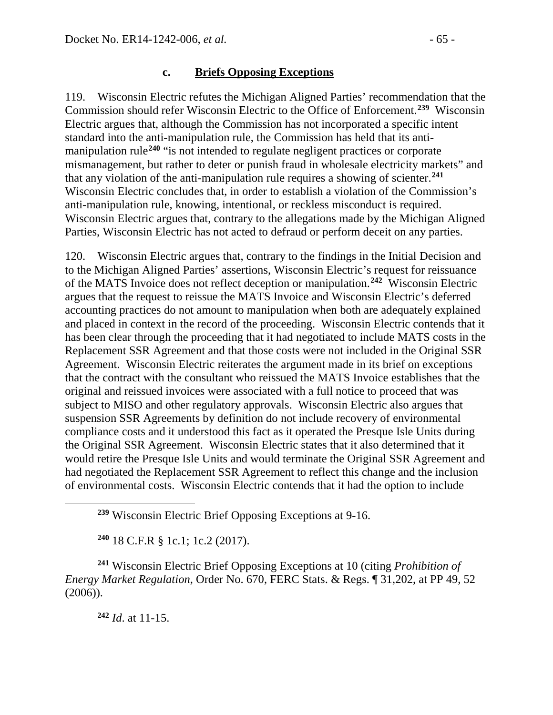#### <span id="page-64-0"></span>**c. Briefs Opposing Exceptions**

119. Wisconsin Electric refutes the Michigan Aligned Parties' recommendation that the Commission should refer Wisconsin Electric to the Office of Enforcement.**[239](#page-64-1)** Wisconsin Electric argues that, although the Commission has not incorporated a specific intent standard into the anti-manipulation rule, the Commission has held that its anti-manipulation rule<sup>[240](#page-64-2)</sup> "is not intended to regulate negligent practices or corporate mismanagement, but rather to deter or punish fraud in wholesale electricity markets" and that any violation of the anti-manipulation rule requires a showing of scienter.**[241](#page-64-3)** Wisconsin Electric concludes that, in order to establish a violation of the Commission's anti-manipulation rule, knowing, intentional, or reckless misconduct is required. Wisconsin Electric argues that, contrary to the allegations made by the Michigan Aligned Parties, Wisconsin Electric has not acted to defraud or perform deceit on any parties.

120. Wisconsin Electric argues that, contrary to the findings in the Initial Decision and to the Michigan Aligned Parties' assertions, Wisconsin Electric's request for reissuance of the MATS Invoice does not reflect deception or manipulation.**[242](#page-64-4)** Wisconsin Electric argues that the request to reissue the MATS Invoice and Wisconsin Electric's deferred accounting practices do not amount to manipulation when both are adequately explained and placed in context in the record of the proceeding. Wisconsin Electric contends that it has been clear through the proceeding that it had negotiated to include MATS costs in the Replacement SSR Agreement and that those costs were not included in the Original SSR Agreement. Wisconsin Electric reiterates the argument made in its brief on exceptions that the contract with the consultant who reissued the MATS Invoice establishes that the original and reissued invoices were associated with a full notice to proceed that was subject to MISO and other regulatory approvals. Wisconsin Electric also argues that suspension SSR Agreements by definition do not include recovery of environmental compliance costs and it understood this fact as it operated the Presque Isle Units during the Original SSR Agreement. Wisconsin Electric states that it also determined that it would retire the Presque Isle Units and would terminate the Original SSR Agreement and had negotiated the Replacement SSR Agreement to reflect this change and the inclusion of environmental costs. Wisconsin Electric contends that it had the option to include

**<sup>239</sup>** Wisconsin Electric Brief Opposing Exceptions at 9-16.

**<sup>240</sup>** 18 C.F.R § 1c.1; 1c.2 (2017).

<span id="page-64-4"></span><span id="page-64-3"></span><span id="page-64-2"></span>**<sup>241</sup>** Wisconsin Electric Brief Opposing Exceptions at 10 (citing *Prohibition of Energy Market Regulation*, Order No. 670, FERC Stats. & Regs. ¶ 31,202, at PP 49, 52 (2006)).

**<sup>242</sup>** *Id*. at 11-15.

<span id="page-64-1"></span> $\overline{a}$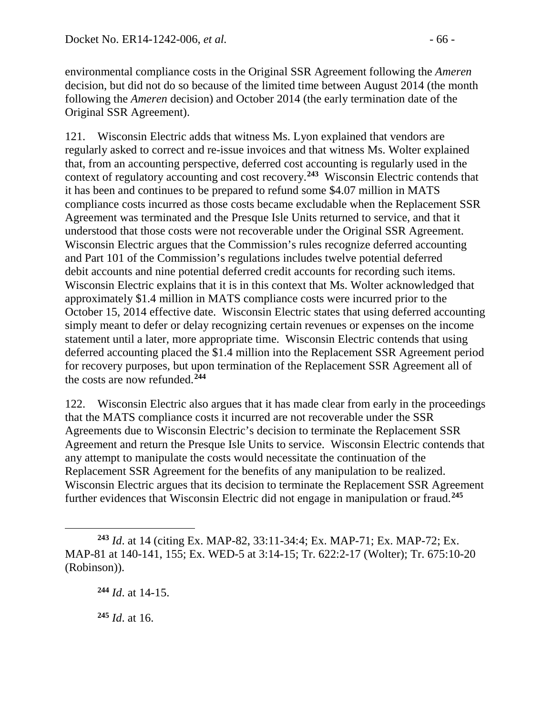environmental compliance costs in the Original SSR Agreement following the *Ameren* decision, but did not do so because of the limited time between August 2014 (the month following the *Ameren* decision) and October 2014 (the early termination date of the Original SSR Agreement).

121. Wisconsin Electric adds that witness Ms. Lyon explained that vendors are regularly asked to correct and re-issue invoices and that witness Ms. Wolter explained that, from an accounting perspective, deferred cost accounting is regularly used in the context of regulatory accounting and cost recovery.**[243](#page-65-0)** Wisconsin Electric contends that it has been and continues to be prepared to refund some \$4.07 million in MATS compliance costs incurred as those costs became excludable when the Replacement SSR Agreement was terminated and the Presque Isle Units returned to service, and that it understood that those costs were not recoverable under the Original SSR Agreement. Wisconsin Electric argues that the Commission's rules recognize deferred accounting and Part 101 of the Commission's regulations includes twelve potential deferred debit accounts and nine potential deferred credit accounts for recording such items. Wisconsin Electric explains that it is in this context that Ms. Wolter acknowledged that approximately \$1.4 million in MATS compliance costs were incurred prior to the October 15, 2014 effective date. Wisconsin Electric states that using deferred accounting simply meant to defer or delay recognizing certain revenues or expenses on the income statement until a later, more appropriate time. Wisconsin Electric contends that using deferred accounting placed the \$1.4 million into the Replacement SSR Agreement period for recovery purposes, but upon termination of the Replacement SSR Agreement all of the costs are now refunded.**[244](#page-65-1)**

122. Wisconsin Electric also argues that it has made clear from early in the proceedings that the MATS compliance costs it incurred are not recoverable under the SSR Agreements due to Wisconsin Electric's decision to terminate the Replacement SSR Agreement and return the Presque Isle Units to service. Wisconsin Electric contends that any attempt to manipulate the costs would necessitate the continuation of the Replacement SSR Agreement for the benefits of any manipulation to be realized. Wisconsin Electric argues that its decision to terminate the Replacement SSR Agreement further evidences that Wisconsin Electric did not engage in manipulation or fraud.**[245](#page-65-2)**

<span id="page-65-2"></span>**<sup>245</sup>** *Id*. at 16.

<span id="page-65-1"></span><span id="page-65-0"></span> $\overline{a}$ **<sup>243</sup>** *Id*. at 14 (citing Ex. MAP-82, 33:11-34:4; Ex. MAP-71; Ex. MAP-72; Ex. MAP-81 at 140-141, 155; Ex. WED-5 at 3:14-15; Tr. 622:2-17 (Wolter); Tr. 675:10-20 (Robinson)).

**<sup>244</sup>** *Id*. at 14-15.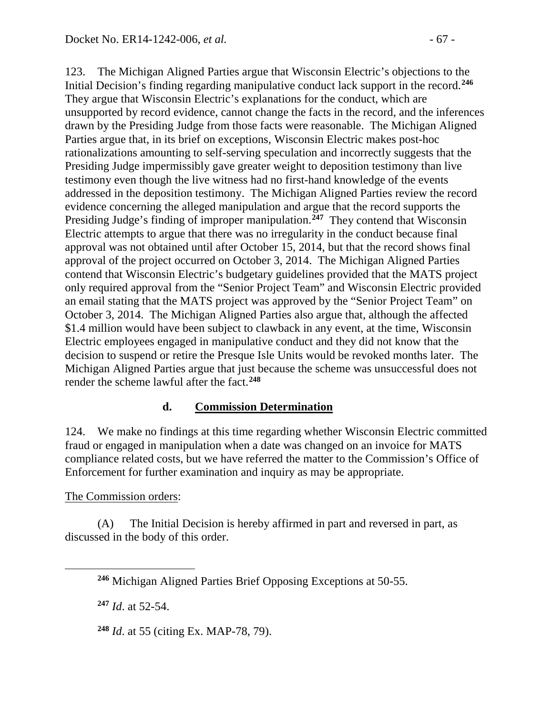123. The Michigan Aligned Parties argue that Wisconsin Electric's objections to the Initial Decision's finding regarding manipulative conduct lack support in the record.**[246](#page-66-1)** They argue that Wisconsin Electric's explanations for the conduct, which are unsupported by record evidence, cannot change the facts in the record, and the inferences drawn by the Presiding Judge from those facts were reasonable. The Michigan Aligned Parties argue that, in its brief on exceptions, Wisconsin Electric makes post-hoc rationalizations amounting to self-serving speculation and incorrectly suggests that the Presiding Judge impermissibly gave greater weight to deposition testimony than live testimony even though the live witness had no first-hand knowledge of the events addressed in the deposition testimony. The Michigan Aligned Parties review the record evidence concerning the alleged manipulation and argue that the record supports the Presiding Judge's finding of improper manipulation.**[247](#page-66-2)** They contend that Wisconsin Electric attempts to argue that there was no irregularity in the conduct because final approval was not obtained until after October 15, 2014, but that the record shows final approval of the project occurred on October 3, 2014. The Michigan Aligned Parties contend that Wisconsin Electric's budgetary guidelines provided that the MATS project only required approval from the "Senior Project Team" and Wisconsin Electric provided an email stating that the MATS project was approved by the "Senior Project Team" on October 3, 2014. The Michigan Aligned Parties also argue that, although the affected \$1.4 million would have been subject to clawback in any event, at the time, Wisconsin Electric employees engaged in manipulative conduct and they did not know that the decision to suspend or retire the Presque Isle Units would be revoked months later. The Michigan Aligned Parties argue that just because the scheme was unsuccessful does not render the scheme lawful after the fact.**[248](#page-66-3)**

#### <span id="page-66-0"></span>**d. Commission Determination**

124. We make no findings at this time regarding whether Wisconsin Electric committed fraud or engaged in manipulation when a date was changed on an invoice for MATS compliance related costs, but we have referred the matter to the Commission's Office of Enforcement for further examination and inquiry as may be appropriate.

The Commission orders:

<span id="page-66-3"></span><span id="page-66-2"></span><span id="page-66-1"></span> $\overline{a}$ 

(A) The Initial Decision is hereby affirmed in part and reversed in part, as discussed in the body of this order.

**<sup>247</sup>** *Id*. at 52-54.

**<sup>248</sup>** *Id*. at 55 (citing Ex. MAP-78, 79).

**<sup>246</sup>** Michigan Aligned Parties Brief Opposing Exceptions at 50-55.